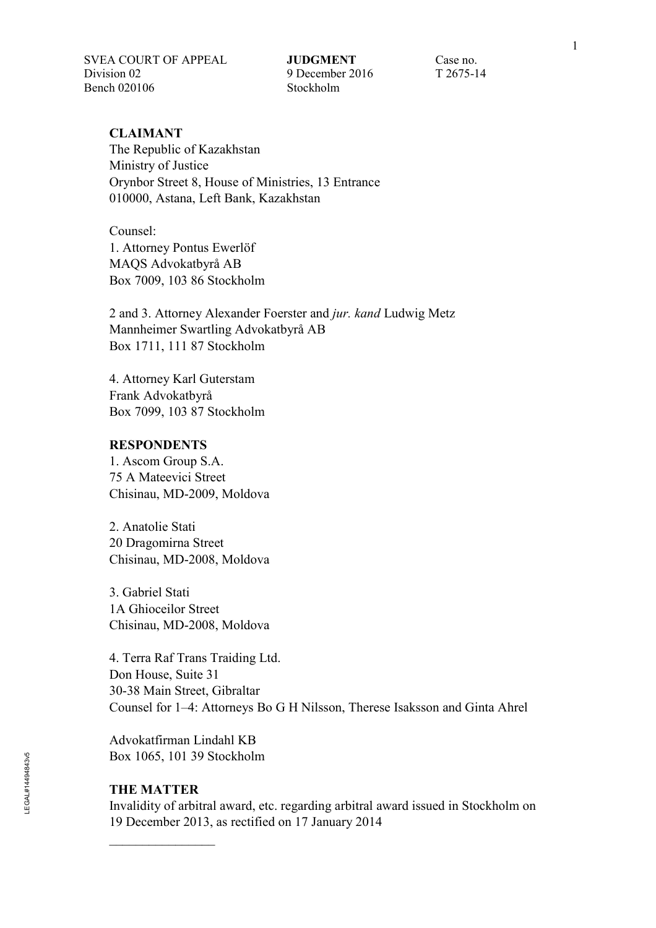SVEA COURT OF APPEAL **JUDGMENT** Case no. Division 02 9 December 2016 T 2675-14 Bench 020106 Stockholm

### **CLAIMANT**

The Republic of Kazakhstan Ministry of Justice Orynbor Street 8, House of Ministries, 13 Entrance 010000, Astana, Left Bank, Kazakhstan

Counsel: 1. Attorney Pontus Ewerlöf MAQS Advokatbyrå AB Box 7009, 103 86 Stockholm

2 and 3. Attorney Alexander Foerster and *jur. kand* Ludwig Metz Mannheimer Swartling Advokatbyrå AB Box 1711, 111 87 Stockholm

4. Attorney Karl Guterstam Frank Advokatbyrå Box 7099, 103 87 Stockholm

#### **RESPONDENTS**

1. Ascom Group S.A. 75 A Mateevici Street Chisinau, MD-2009, Moldova

2. Anatolie Stati 20 Dragomirna Street Chisinau, MD-2008, Moldova

3. Gabriel Stati 1A Ghioceilor Street Chisinau, MD-2008, Moldova

4. Terra Raf Trans Traiding Ltd. Don House, Suite 31 30-38 Main Street, Gibraltar Counsel for 1–4: Attorneys Bo G H Nilsson, Therese Isaksson and Ginta Ahrel

Advokatfirman Lindahl KB Box 1065, 101 39 Stockholm

### **THE MATTER**

 $\overline{\phantom{a}}$ 

Invalidity of arbitral award, etc. regarding arbitral award issued in Stockholm on 19 December 2013, as rectified on 17 January 2014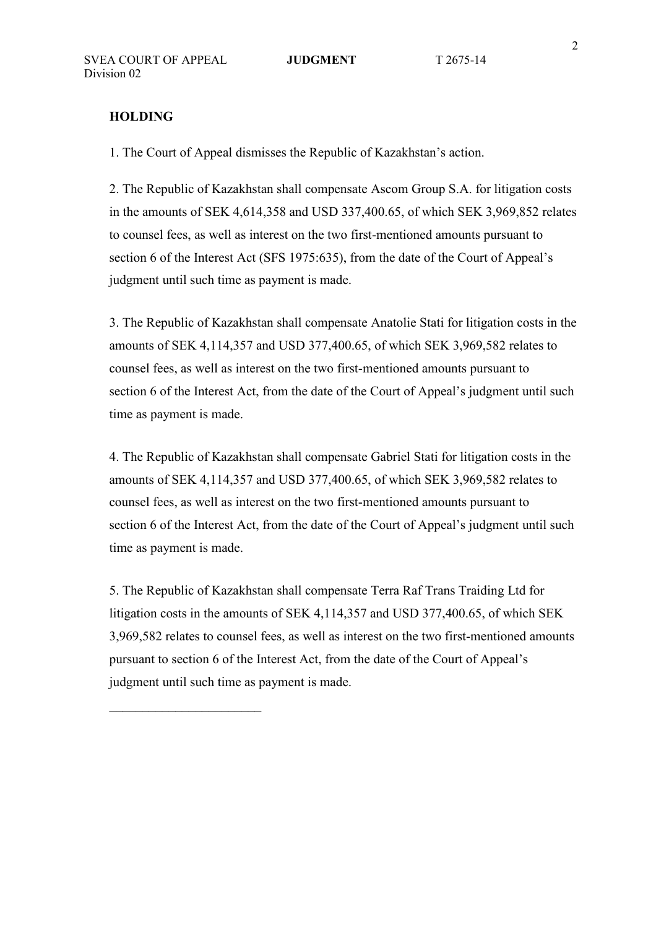### **HOLDING**

1. The Court of Appeal dismisses the Republic of Kazakhstan's action.

2. The Republic of Kazakhstan shall compensate Ascom Group S.A. for litigation costs in the amounts of SEK 4,614,358 and USD 337,400.65, of which SEK 3,969,852 relates to counsel fees, as well as interest on the two first-mentioned amounts pursuant to section 6 of the Interest Act (SFS 1975:635), from the date of the Court of Appeal's judgment until such time as payment is made.

3. The Republic of Kazakhstan shall compensate Anatolie Stati for litigation costs in the amounts of SEK 4,114,357 and USD 377,400.65, of which SEK 3,969,582 relates to counsel fees, as well as interest on the two first-mentioned amounts pursuant to section 6 of the Interest Act, from the date of the Court of Appeal's judgment until such time as payment is made.

4. The Republic of Kazakhstan shall compensate Gabriel Stati for litigation costs in the amounts of SEK 4,114,357 and USD 377,400.65, of which SEK 3,969,582 relates to counsel fees, as well as interest on the two first-mentioned amounts pursuant to section 6 of the Interest Act, from the date of the Court of Appeal's judgment until such time as payment is made.

5. The Republic of Kazakhstan shall compensate Terra Raf Trans Traiding Ltd for litigation costs in the amounts of SEK 4,114,357 and USD 377,400.65, of which SEK 3,969,582 relates to counsel fees, as well as interest on the two first-mentioned amounts pursuant to section 6 of the Interest Act, from the date of the Court of Appeal's judgment until such time as payment is made.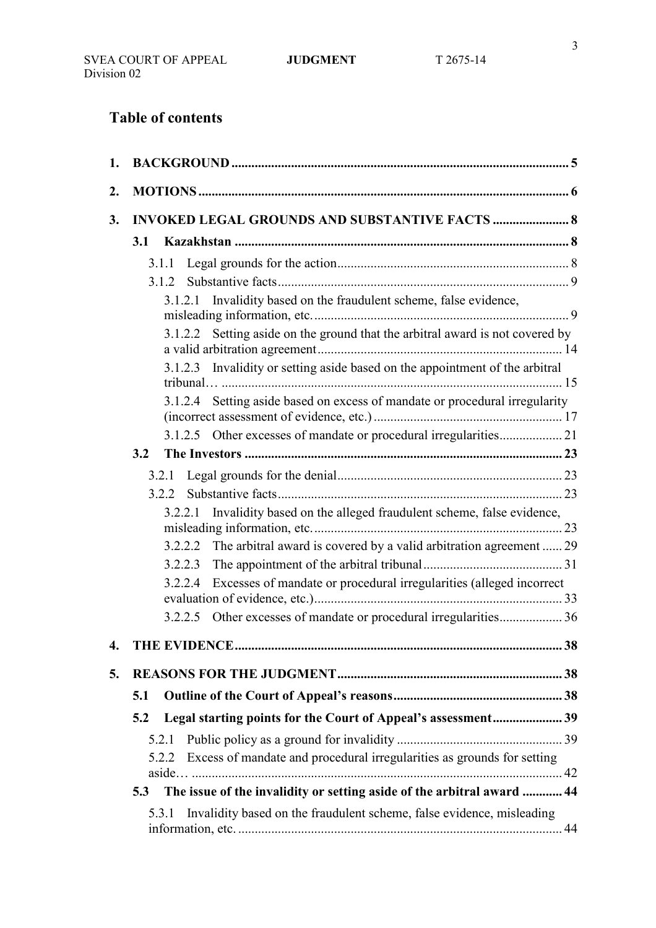# **Table of contents**

| 1. |                                                                                 |    |
|----|---------------------------------------------------------------------------------|----|
| 2. |                                                                                 |    |
| 3. | <b>INVOKED LEGAL GROUNDS AND SUBSTANTIVE FACTS  8</b>                           |    |
|    |                                                                                 |    |
|    |                                                                                 |    |
|    |                                                                                 |    |
|    | 3.1.2.1 Invalidity based on the fraudulent scheme, false evidence,              |    |
|    | 3.1.2.2 Setting aside on the ground that the arbitral award is not covered by   |    |
|    | 3.1.2.3 Invalidity or setting aside based on the appointment of the arbitral    |    |
|    | 3.1.2.4 Setting aside based on excess of mandate or procedural irregularity     |    |
|    |                                                                                 |    |
|    | 3.2                                                                             |    |
|    |                                                                                 |    |
|    | 3.2.2                                                                           |    |
|    | Invalidity based on the alleged fraudulent scheme, false evidence,<br>3.2.2.1   |    |
|    | 3.2.2.2 The arbitral award is covered by a valid arbitration agreement  29      |    |
|    |                                                                                 |    |
|    | 3.2.2.4 Excesses of mandate or procedural irregularities (alleged incorrect     |    |
|    | 3.2.2.5 Other excesses of mandate or procedural irregularities 36               |    |
| 4. | <b>THE EVIDENCE</b>                                                             | 38 |
| 5. |                                                                                 |    |
|    | 5.1                                                                             |    |
|    | Legal starting points for the Court of Appeal's assessment 39<br>5.2            |    |
|    | 5.2.1                                                                           |    |
|    | Excess of mandate and procedural irregularities as grounds for setting<br>5.2.2 |    |
|    | The issue of the invalidity or setting aside of the arbitral award  44<br>5.3   |    |
|    | Invalidity based on the fraudulent scheme, false evidence, misleading<br>5.3.1  |    |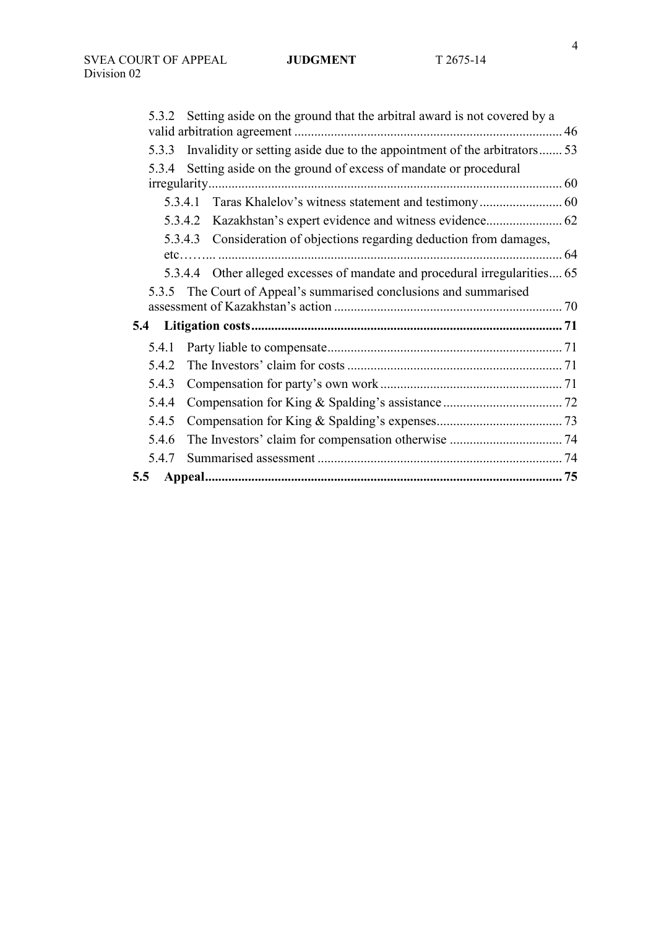|       | 5.3.2 Setting aside on the ground that the arbitral award is not covered by a |  |
|-------|-------------------------------------------------------------------------------|--|
|       |                                                                               |  |
| 5.3.3 | Invalidity or setting aside due to the appointment of the arbitrators 53      |  |
| 5.3.4 | Setting aside on the ground of excess of mandate or procedural                |  |
|       |                                                                               |  |
|       | Taras Khalelov's witness statement and testimony 60<br>5.3.4.1                |  |
|       | 5.3.4.2 Kazakhstan's expert evidence and witness evidence 62                  |  |
|       | 5.3.4.3 Consideration of objections regarding deduction from damages,         |  |
|       |                                                                               |  |
|       | 5.3.4.4 Other alleged excesses of mandate and procedural irregularities 65    |  |
| 5.3.5 | The Court of Appeal's summarised conclusions and summarised                   |  |
|       |                                                                               |  |
| 5.4   |                                                                               |  |
| 5.4.1 |                                                                               |  |
| 5.4.2 |                                                                               |  |
| 5.4.3 |                                                                               |  |
| 5.4.4 |                                                                               |  |
| 5.4.5 |                                                                               |  |
| 5.4.6 |                                                                               |  |
| 5.4.7 |                                                                               |  |
| 5.5   |                                                                               |  |
|       |                                                                               |  |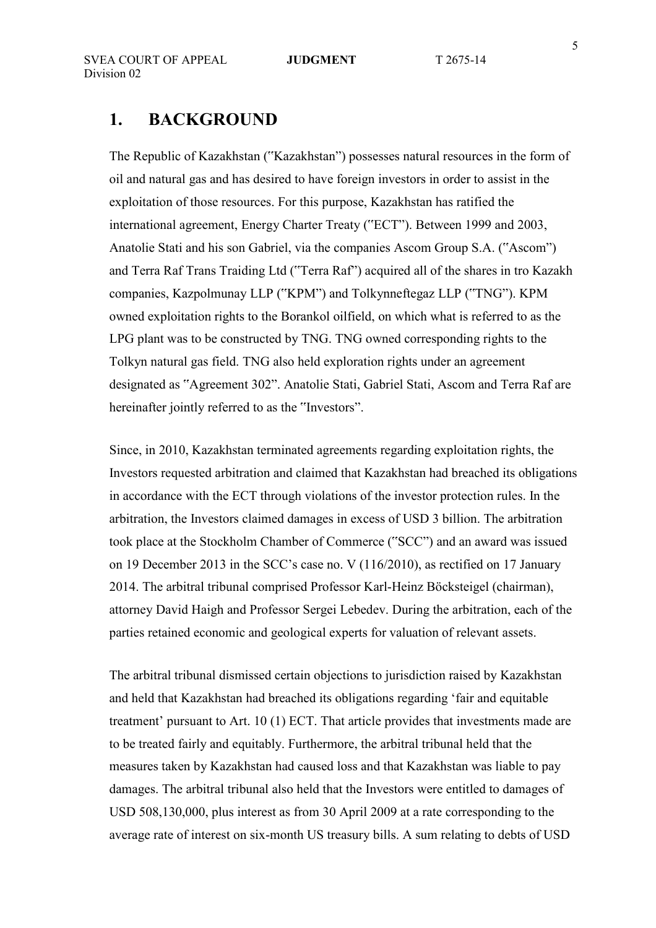# **1. BACKGROUND**

The Republic of Kazakhstan ("Kazakhstan") possesses natural resources in the form of oil and natural gas and has desired to have foreign investors in order to assist in the exploitation of those resources. For this purpose, Kazakhstan has ratified the international agreement, Energy Charter Treaty ("ECT"). Between 1999 and 2003, Anatolie Stati and his son Gabriel, via the companies Ascom Group S.A. ("Ascom") and Terra Raf Trans Traiding Ltd ("Terra Raf") acquired all of the shares in tro Kazakh companies, Kazpolmunay LLP ("KPM") and Tolkynneftegaz LLP ("TNG"). KPM owned exploitation rights to the Borankol oilfield, on which what is referred to as the LPG plant was to be constructed by TNG. TNG owned corresponding rights to the Tolkyn natural gas field. TNG also held exploration rights under an agreement designated as "Agreement 302". Anatolie Stati, Gabriel Stati, Ascom and Terra Raf are hereinafter jointly referred to as the "Investors".

Since, in 2010, Kazakhstan terminated agreements regarding exploitation rights, the Investors requested arbitration and claimed that Kazakhstan had breached its obligations in accordance with the ECT through violations of the investor protection rules. In the arbitration, the Investors claimed damages in excess of USD 3 billion. The arbitration took place at the Stockholm Chamber of Commerce ("SCC") and an award was issued on 19 December 2013 in the SCC's case no. V (116/2010), as rectified on 17 January 2014. The arbitral tribunal comprised Professor Karl-Heinz Böcksteigel (chairman), attorney David Haigh and Professor Sergei Lebedev. During the arbitration, each of the parties retained economic and geological experts for valuation of relevant assets.

The arbitral tribunal dismissed certain objections to jurisdiction raised by Kazakhstan and held that Kazakhstan had breached its obligations regarding 'fair and equitable treatment' pursuant to Art. 10 (1) ECT. That article provides that investments made are to be treated fairly and equitably. Furthermore, the arbitral tribunal held that the measures taken by Kazakhstan had caused loss and that Kazakhstan was liable to pay damages. The arbitral tribunal also held that the Investors were entitled to damages of USD 508,130,000, plus interest as from 30 April 2009 at a rate corresponding to the average rate of interest on six-month US treasury bills. A sum relating to debts of USD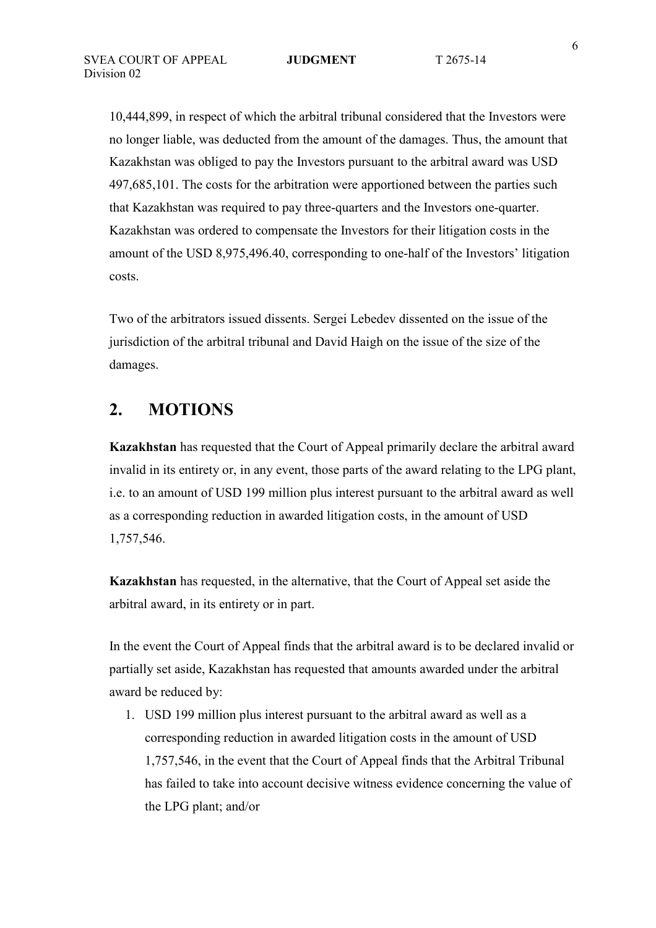10,444,899, in respect of which the arbitral tribunal considered that the Investors were no longer liable, was deducted from the amount of the damages. Thus, the amount that Kazakhstan was obliged to pay the Investors pursuant to the arbitral award was USD 497,685,101. The costs for the arbitration were apportioned between the parties such that Kazakhstan was required to pay three-quarters and the Investors one-quarter. Kazakhstan was ordered to compensate the Investors for their litigation costs in the amount of the USD 8,975,496.40, corresponding to one-half of the Investors' litigation costs.

Two of the arbitrators issued dissents. Sergei Lebedev dissented on the issue of the jurisdiction of the arbitral tribunal and David Haigh on the issue of the size of the damages.

# **2. MOTIONS**

**Kazakhstan** has requested that the Court of Appeal primarily declare the arbitral award invalid in its entirety or, in any event, those parts of the award relating to the LPG plant, i.e. to an amount of USD 199 million plus interest pursuant to the arbitral award as well as a corresponding reduction in awarded litigation costs, in the amount of USD 1,757,546.

**Kazakhstan** has requested, in the alternative, that the Court of Appeal set aside the arbitral award, in its entirety or in part.

In the event the Court of Appeal finds that the arbitral award is to be declared invalid or partially set aside, Kazakhstan has requested that amounts awarded under the arbitral award be reduced by:

1. USD 199 million plus interest pursuant to the arbitral award as well as a corresponding reduction in awarded litigation costs in the amount of USD 1,757,546, in the event that the Court of Appeal finds that the Arbitral Tribunal has failed to take into account decisive witness evidence concerning the value of the LPG plant; and/or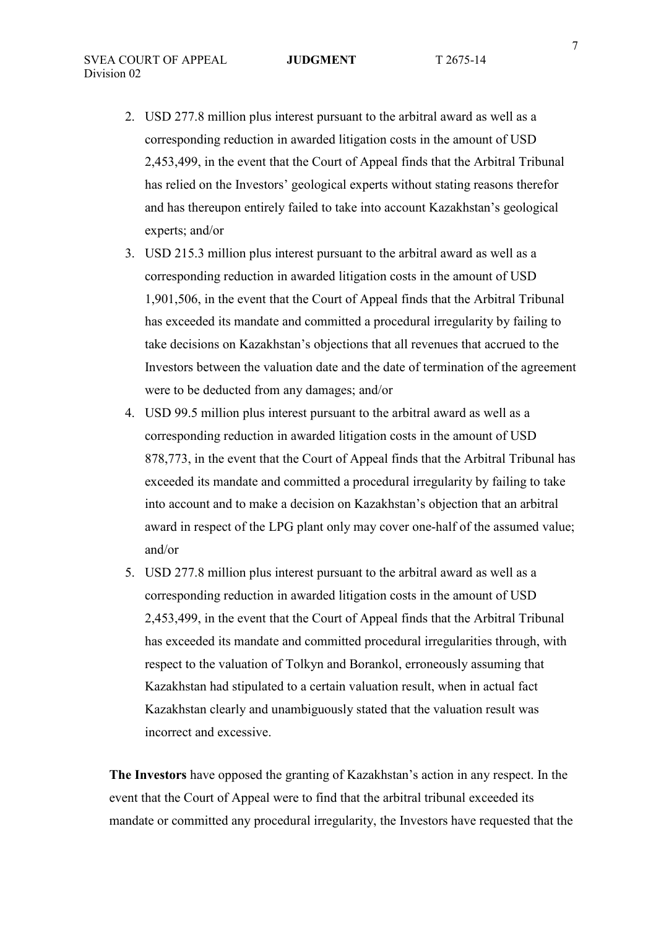- 2. USD 277.8 million plus interest pursuant to the arbitral award as well as a corresponding reduction in awarded litigation costs in the amount of USD 2,453,499, in the event that the Court of Appeal finds that the Arbitral Tribunal has relied on the Investors' geological experts without stating reasons therefor and has thereupon entirely failed to take into account Kazakhstan's geological experts; and/or
- 3. USD 215.3 million plus interest pursuant to the arbitral award as well as a corresponding reduction in awarded litigation costs in the amount of USD 1,901,506, in the event that the Court of Appeal finds that the Arbitral Tribunal has exceeded its mandate and committed a procedural irregularity by failing to take decisions on Kazakhstan's objections that all revenues that accrued to the Investors between the valuation date and the date of termination of the agreement were to be deducted from any damages; and/or
- 4. USD 99.5 million plus interest pursuant to the arbitral award as well as a corresponding reduction in awarded litigation costs in the amount of USD 878,773, in the event that the Court of Appeal finds that the Arbitral Tribunal has exceeded its mandate and committed a procedural irregularity by failing to take into account and to make a decision on Kazakhstan's objection that an arbitral award in respect of the LPG plant only may cover one-half of the assumed value; and/or
- 5. USD 277.8 million plus interest pursuant to the arbitral award as well as a corresponding reduction in awarded litigation costs in the amount of USD 2,453,499, in the event that the Court of Appeal finds that the Arbitral Tribunal has exceeded its mandate and committed procedural irregularities through, with respect to the valuation of Tolkyn and Borankol, erroneously assuming that Kazakhstan had stipulated to a certain valuation result, when in actual fact Kazakhstan clearly and unambiguously stated that the valuation result was incorrect and excessive.

**The Investors** have opposed the granting of Kazakhstan's action in any respect. In the event that the Court of Appeal were to find that the arbitral tribunal exceeded its mandate or committed any procedural irregularity, the Investors have requested that the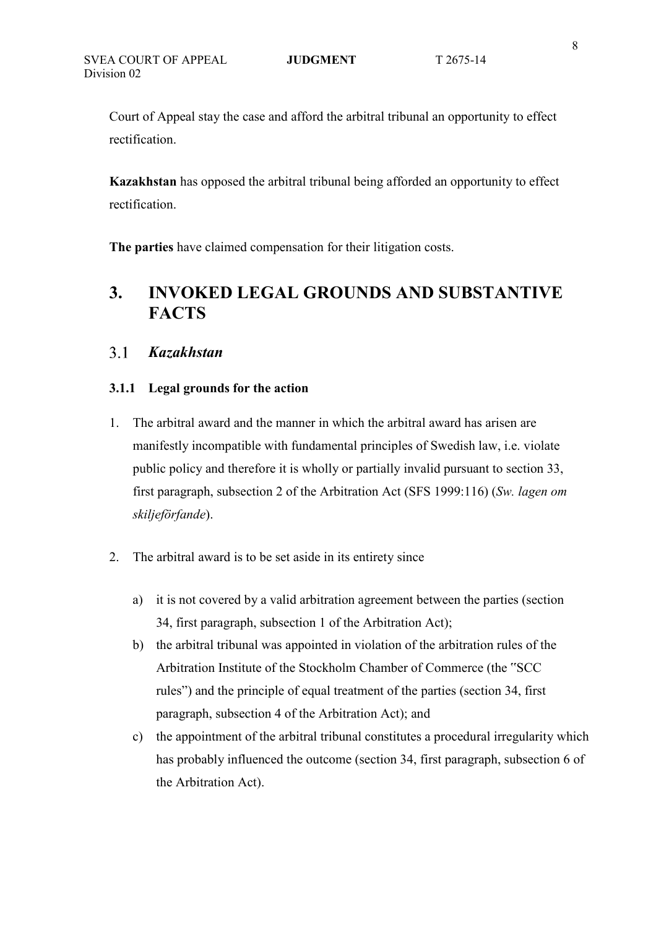Court of Appeal stay the case and afford the arbitral tribunal an opportunity to effect rectification.

**Kazakhstan** has opposed the arbitral tribunal being afforded an opportunity to effect rectification.

**The parties** have claimed compensation for their litigation costs.

# **3. INVOKED LEGAL GROUNDS AND SUBSTANTIVE FACTS**

#### $3.1$ *Kazakhstan*

#### **3.1.1 Legal grounds for the action**

- 1. The arbitral award and the manner in which the arbitral award has arisen are manifestly incompatible with fundamental principles of Swedish law, i.e. violate public policy and therefore it is wholly or partially invalid pursuant to section 33, first paragraph, subsection 2 of the Arbitration Act (SFS 1999:116) (*Sw. lagen om skiljeförfande*).
- 2. The arbitral award is to be set aside in its entirety since
	- a) it is not covered by a valid arbitration agreement between the parties (section 34, first paragraph, subsection 1 of the Arbitration Act);
	- b) the arbitral tribunal was appointed in violation of the arbitration rules of the Arbitration Institute of the Stockholm Chamber of Commerce (the "SCC rules") and the principle of equal treatment of the parties (section 34, first paragraph, subsection 4 of the Arbitration Act); and
	- c) the appointment of the arbitral tribunal constitutes a procedural irregularity which has probably influenced the outcome (section 34, first paragraph, subsection 6 of the Arbitration Act).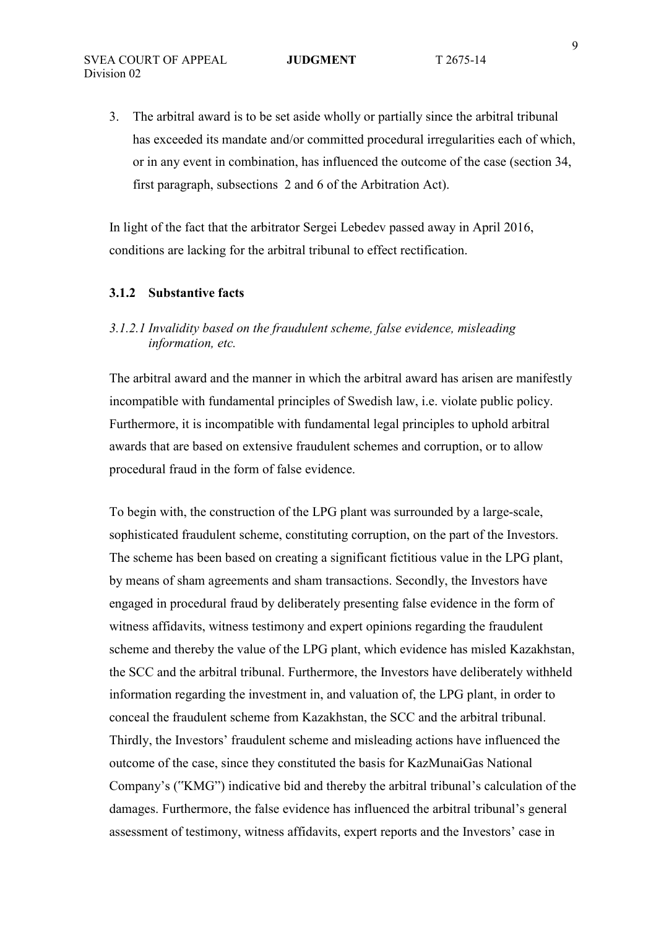3. The arbitral award is to be set aside wholly or partially since the arbitral tribunal has exceeded its mandate and/or committed procedural irregularities each of which, or in any event in combination, has influenced the outcome of the case (section 34, first paragraph, subsections 2 and 6 of the Arbitration Act).

In light of the fact that the arbitrator Sergei Lebedev passed away in April 2016, conditions are lacking for the arbitral tribunal to effect rectification.

#### **3.1.2 Substantive facts**

### *3.1.2.1 Invalidity based on the fraudulent scheme, false evidence, misleading information, etc.*

The arbitral award and the manner in which the arbitral award has arisen are manifestly incompatible with fundamental principles of Swedish law, i.e. violate public policy. Furthermore, it is incompatible with fundamental legal principles to uphold arbitral awards that are based on extensive fraudulent schemes and corruption, or to allow procedural fraud in the form of false evidence.

To begin with, the construction of the LPG plant was surrounded by a large-scale, sophisticated fraudulent scheme, constituting corruption, on the part of the Investors. The scheme has been based on creating a significant fictitious value in the LPG plant, by means of sham agreements and sham transactions. Secondly, the Investors have engaged in procedural fraud by deliberately presenting false evidence in the form of witness affidavits, witness testimony and expert opinions regarding the fraudulent scheme and thereby the value of the LPG plant, which evidence has misled Kazakhstan, the SCC and the arbitral tribunal. Furthermore, the Investors have deliberately withheld information regarding the investment in, and valuation of, the LPG plant, in order to conceal the fraudulent scheme from Kazakhstan, the SCC and the arbitral tribunal. Thirdly, the Investors' fraudulent scheme and misleading actions have influenced the outcome of the case, since they constituted the basis for KazMunaiGas National Company's ("KMG") indicative bid and thereby the arbitral tribunal's calculation of the damages. Furthermore, the false evidence has influenced the arbitral tribunal's general assessment of testimony, witness affidavits, expert reports and the Investors' case in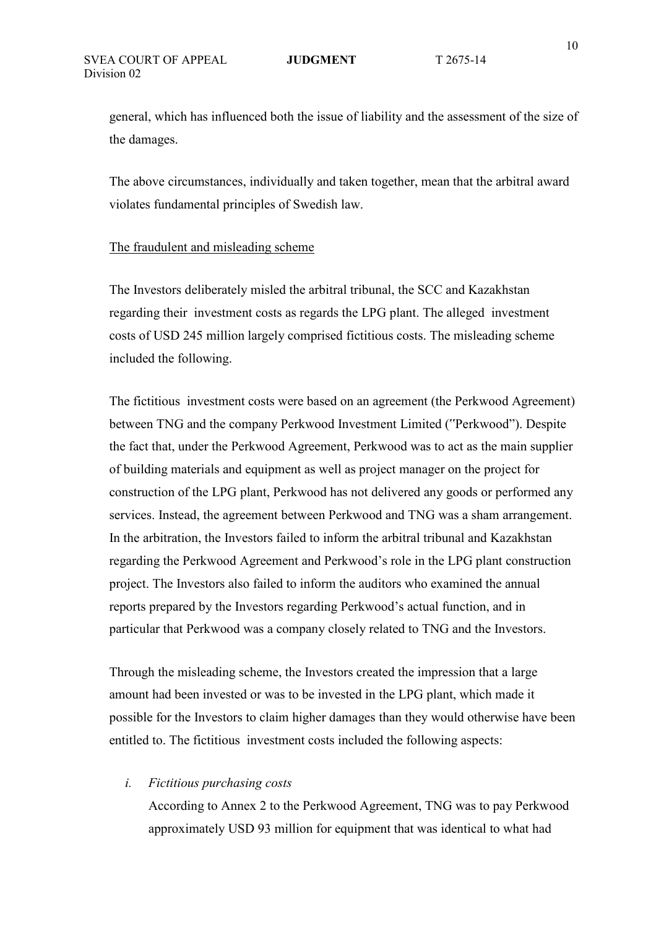general, which has influenced both the issue of liability and the assessment of the size of the damages.

The above circumstances, individually and taken together, mean that the arbitral award violates fundamental principles of Swedish law.

#### The fraudulent and misleading scheme

The Investors deliberately misled the arbitral tribunal, the SCC and Kazakhstan regarding their investment costs as regards the LPG plant. The alleged investment costs of USD 245 million largely comprised fictitious costs. The misleading scheme included the following.

The fictitious investment costs were based on an agreement (the Perkwood Agreement) between TNG and the company Perkwood Investment Limited ("Perkwood"). Despite the fact that, under the Perkwood Agreement, Perkwood was to act as the main supplier of building materials and equipment as well as project manager on the project for construction of the LPG plant, Perkwood has not delivered any goods or performed any services. Instead, the agreement between Perkwood and TNG was a sham arrangement. In the arbitration, the Investors failed to inform the arbitral tribunal and Kazakhstan regarding the Perkwood Agreement and Perkwood's role in the LPG plant construction project. The Investors also failed to inform the auditors who examined the annual reports prepared by the Investors regarding Perkwood's actual function, and in particular that Perkwood was a company closely related to TNG and the Investors.

Through the misleading scheme, the Investors created the impression that a large amount had been invested or was to be invested in the LPG plant, which made it possible for the Investors to claim higher damages than they would otherwise have been entitled to. The fictitious investment costs included the following aspects:

#### *i. Fictitious purchasing costs*

 According to Annex 2 to the Perkwood Agreement, TNG was to pay Perkwood approximately USD 93 million for equipment that was identical to what had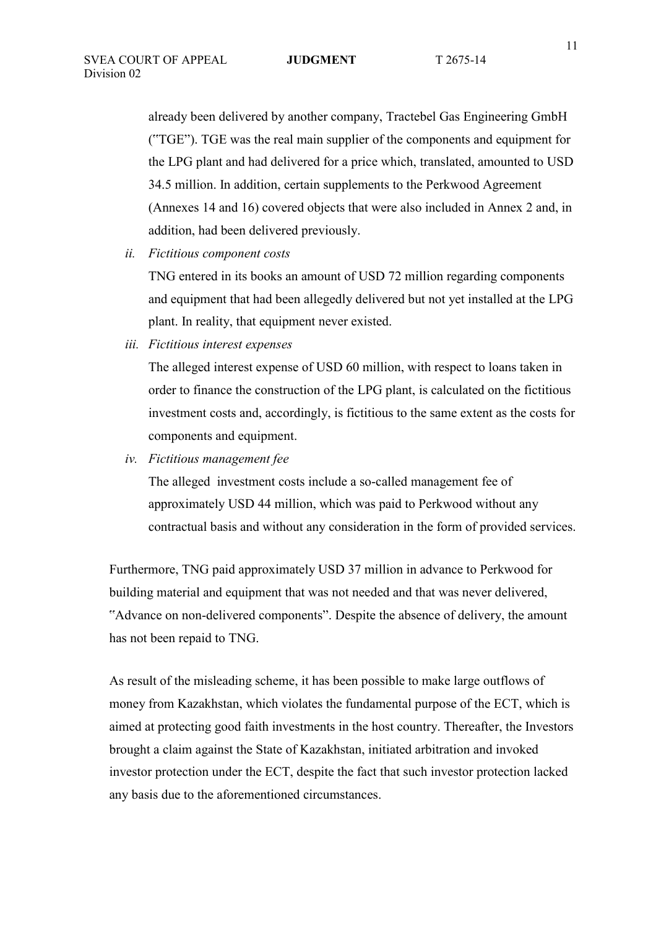already been delivered by another company, Tractebel Gas Engineering GmbH ("TGE"). TGE was the real main supplier of the components and equipment for the LPG plant and had delivered for a price which, translated, amounted to USD 34.5 million. In addition, certain supplements to the Perkwood Agreement (Annexes 14 and 16) covered objects that were also included in Annex 2 and, in addition, had been delivered previously.

*ii. Fictitious component costs* 

 TNG entered in its books an amount of USD 72 million regarding components and equipment that had been allegedly delivered but not yet installed at the LPG plant. In reality, that equipment never existed.

*iii. Fictitious interest expenses* 

 The alleged interest expense of USD 60 million, with respect to loans taken in order to finance the construction of the LPG plant, is calculated on the fictitious investment costs and, accordingly, is fictitious to the same extent as the costs for components and equipment.

*iv. Fictitious management fee* 

 The alleged investment costs include a so-called management fee of approximately USD 44 million, which was paid to Perkwood without any contractual basis and without any consideration in the form of provided services.

Furthermore, TNG paid approximately USD 37 million in advance to Perkwood for building material and equipment that was not needed and that was never delivered, "Advance on non-delivered components". Despite the absence of delivery, the amount has not been repaid to TNG.

As result of the misleading scheme, it has been possible to make large outflows of money from Kazakhstan, which violates the fundamental purpose of the ECT, which is aimed at protecting good faith investments in the host country. Thereafter, the Investors brought a claim against the State of Kazakhstan, initiated arbitration and invoked investor protection under the ECT, despite the fact that such investor protection lacked any basis due to the aforementioned circumstances.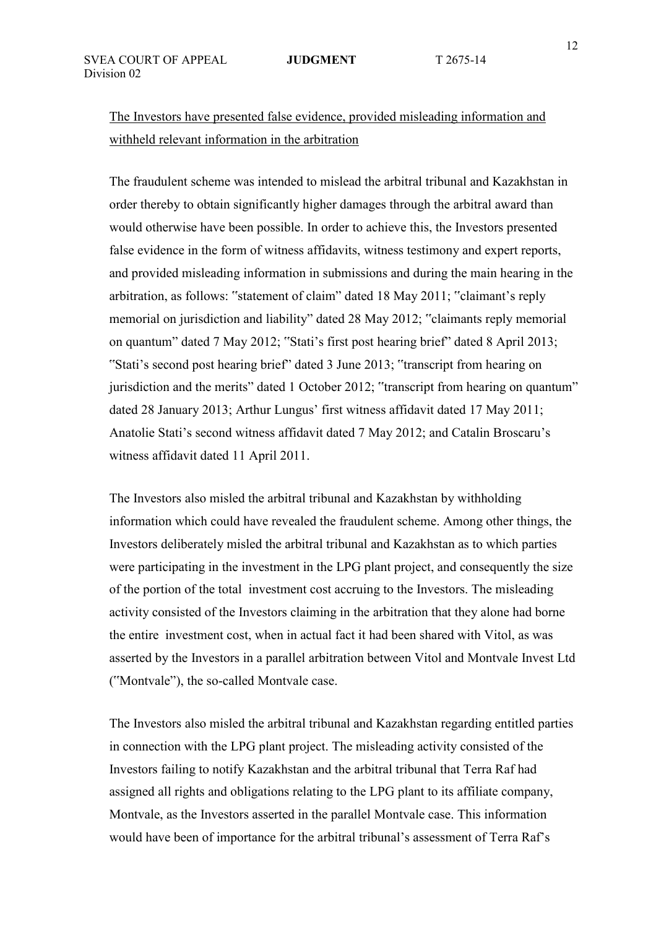# The Investors have presented false evidence, provided misleading information and withheld relevant information in the arbitration

The fraudulent scheme was intended to mislead the arbitral tribunal and Kazakhstan in order thereby to obtain significantly higher damages through the arbitral award than would otherwise have been possible. In order to achieve this, the Investors presented false evidence in the form of witness affidavits, witness testimony and expert reports, and provided misleading information in submissions and during the main hearing in the arbitration, as follows: "statement of claim" dated 18 May 2011; "claimant's reply memorial on jurisdiction and liability" dated 28 May 2012; "claimants reply memorial on quantum" dated 7 May 2012; "Stati's first post hearing brief" dated 8 April 2013; "Stati's second post hearing brief" dated 3 June 2013; "transcript from hearing on jurisdiction and the merits" dated 1 October 2012; "transcript from hearing on quantum" dated 28 January 2013; Arthur Lungus' first witness affidavit dated 17 May 2011; Anatolie Stati's second witness affidavit dated 7 May 2012; and Catalin Broscaru's witness affidavit dated 11 April 2011.

The Investors also misled the arbitral tribunal and Kazakhstan by withholding information which could have revealed the fraudulent scheme. Among other things, the Investors deliberately misled the arbitral tribunal and Kazakhstan as to which parties were participating in the investment in the LPG plant project, and consequently the size of the portion of the total investment cost accruing to the Investors. The misleading activity consisted of the Investors claiming in the arbitration that they alone had borne the entire investment cost, when in actual fact it had been shared with Vitol, as was asserted by the Investors in a parallel arbitration between Vitol and Montvale Invest Ltd ("Montvale"), the so-called Montvale case.

The Investors also misled the arbitral tribunal and Kazakhstan regarding entitled parties in connection with the LPG plant project. The misleading activity consisted of the Investors failing to notify Kazakhstan and the arbitral tribunal that Terra Raf had assigned all rights and obligations relating to the LPG plant to its affiliate company, Montvale, as the Investors asserted in the parallel Montvale case. This information would have been of importance for the arbitral tribunal's assessment of Terra Raf's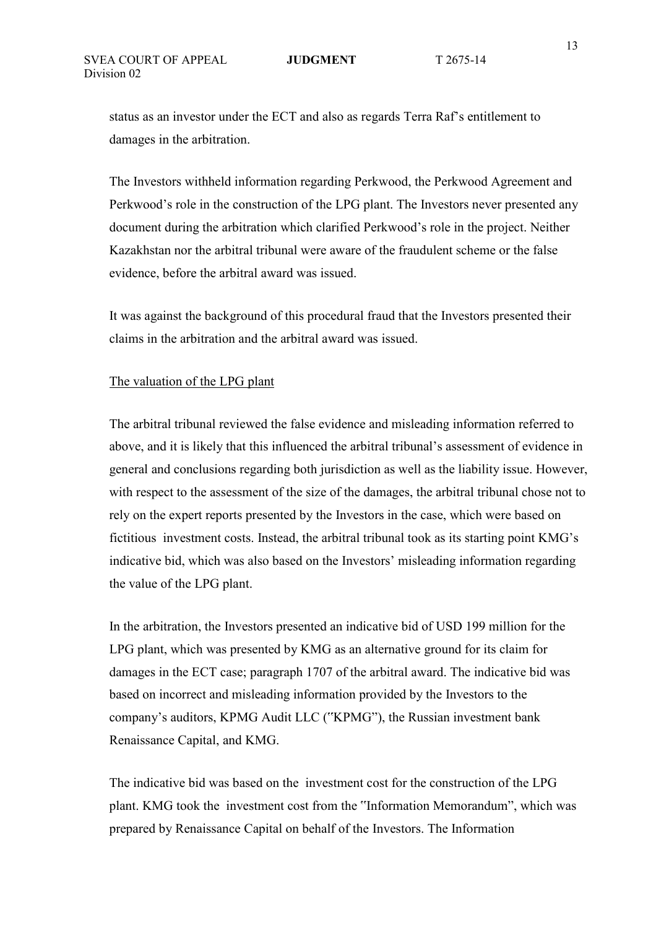status as an investor under the ECT and also as regards Terra Raf's entitlement to damages in the arbitration.

The Investors withheld information regarding Perkwood, the Perkwood Agreement and Perkwood's role in the construction of the LPG plant. The Investors never presented any document during the arbitration which clarified Perkwood's role in the project. Neither Kazakhstan nor the arbitral tribunal were aware of the fraudulent scheme or the false evidence, before the arbitral award was issued.

It was against the background of this procedural fraud that the Investors presented their claims in the arbitration and the arbitral award was issued.

#### The valuation of the LPG plant

The arbitral tribunal reviewed the false evidence and misleading information referred to above, and it is likely that this influenced the arbitral tribunal's assessment of evidence in general and conclusions regarding both jurisdiction as well as the liability issue. However, with respect to the assessment of the size of the damages, the arbitral tribunal chose not to rely on the expert reports presented by the Investors in the case, which were based on fictitious investment costs. Instead, the arbitral tribunal took as its starting point KMG's indicative bid, which was also based on the Investors' misleading information regarding the value of the LPG plant.

In the arbitration, the Investors presented an indicative bid of USD 199 million for the LPG plant, which was presented by KMG as an alternative ground for its claim for damages in the ECT case; paragraph 1707 of the arbitral award. The indicative bid was based on incorrect and misleading information provided by the Investors to the company's auditors, KPMG Audit LLC ("KPMG"), the Russian investment bank Renaissance Capital, and KMG.

The indicative bid was based on the investment cost for the construction of the LPG plant. KMG took the investment cost from the "Information Memorandum", which was prepared by Renaissance Capital on behalf of the Investors. The Information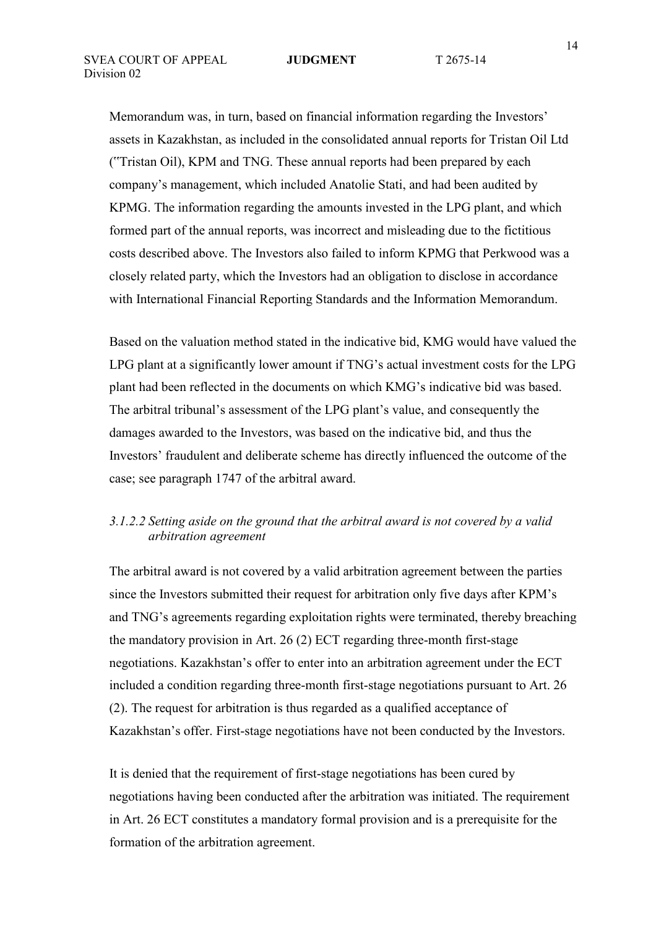Memorandum was, in turn, based on financial information regarding the Investors' assets in Kazakhstan, as included in the consolidated annual reports for Tristan Oil Ltd ("Tristan Oil), KPM and TNG. These annual reports had been prepared by each company's management, which included Anatolie Stati, and had been audited by KPMG. The information regarding the amounts invested in the LPG plant, and which formed part of the annual reports, was incorrect and misleading due to the fictitious costs described above. The Investors also failed to inform KPMG that Perkwood was a closely related party, which the Investors had an obligation to disclose in accordance with International Financial Reporting Standards and the Information Memorandum.

Based on the valuation method stated in the indicative bid, KMG would have valued the LPG plant at a significantly lower amount if TNG's actual investment costs for the LPG plant had been reflected in the documents on which KMG's indicative bid was based. The arbitral tribunal's assessment of the LPG plant's value, and consequently the damages awarded to the Investors, was based on the indicative bid, and thus the Investors' fraudulent and deliberate scheme has directly influenced the outcome of the case; see paragraph 1747 of the arbitral award.

### *3.1.2.2 Setting aside on the ground that the arbitral award is not covered by a valid arbitration agreement*

The arbitral award is not covered by a valid arbitration agreement between the parties since the Investors submitted their request for arbitration only five days after KPM's and TNG's agreements regarding exploitation rights were terminated, thereby breaching the mandatory provision in Art. 26 (2) ECT regarding three-month first-stage negotiations. Kazakhstan's offer to enter into an arbitration agreement under the ECT included a condition regarding three-month first-stage negotiations pursuant to Art. 26 (2). The request for arbitration is thus regarded as a qualified acceptance of Kazakhstan's offer. First-stage negotiations have not been conducted by the Investors.

It is denied that the requirement of first-stage negotiations has been cured by negotiations having been conducted after the arbitration was initiated. The requirement in Art. 26 ECT constitutes a mandatory formal provision and is a prerequisite for the formation of the arbitration agreement.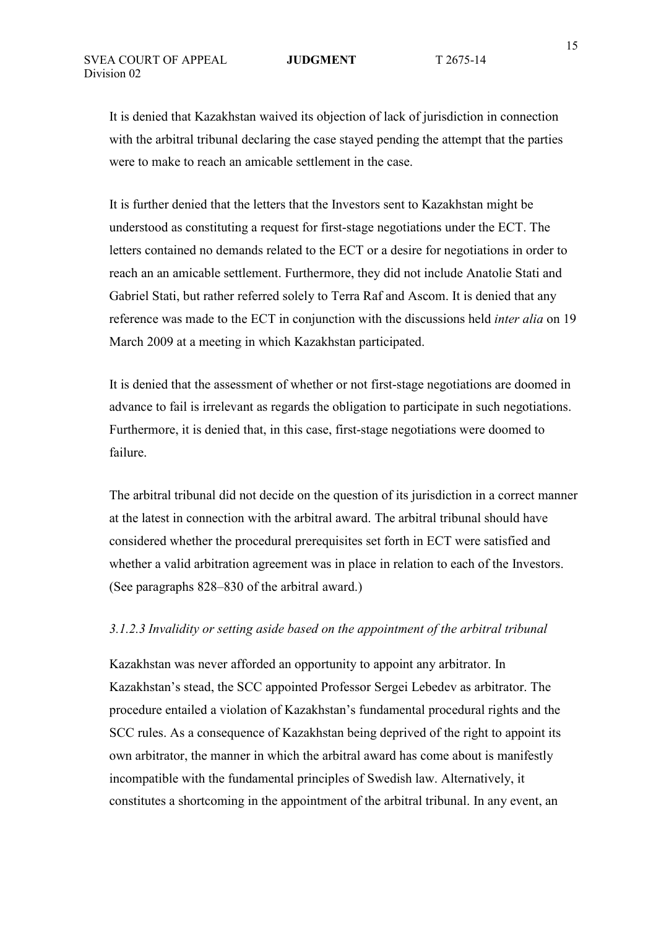It is denied that Kazakhstan waived its objection of lack of jurisdiction in connection with the arbitral tribunal declaring the case stayed pending the attempt that the parties were to make to reach an amicable settlement in the case.

It is further denied that the letters that the Investors sent to Kazakhstan might be understood as constituting a request for first-stage negotiations under the ECT. The letters contained no demands related to the ECT or a desire for negotiations in order to reach an an amicable settlement. Furthermore, they did not include Anatolie Stati and Gabriel Stati, but rather referred solely to Terra Raf and Ascom. It is denied that any reference was made to the ECT in conjunction with the discussions held *inter alia* on 19 March 2009 at a meeting in which Kazakhstan participated.

It is denied that the assessment of whether or not first-stage negotiations are doomed in advance to fail is irrelevant as regards the obligation to participate in such negotiations. Furthermore, it is denied that, in this case, first-stage negotiations were doomed to failure.

The arbitral tribunal did not decide on the question of its jurisdiction in a correct manner at the latest in connection with the arbitral award. The arbitral tribunal should have considered whether the procedural prerequisites set forth in ECT were satisfied and whether a valid arbitration agreement was in place in relation to each of the Investors. (See paragraphs 828–830 of the arbitral award.)

### *3.1.2.3 Invalidity or setting aside based on the appointment of the arbitral tribunal*

Kazakhstan was never afforded an opportunity to appoint any arbitrator. In Kazakhstan's stead, the SCC appointed Professor Sergei Lebedev as arbitrator. The procedure entailed a violation of Kazakhstan's fundamental procedural rights and the SCC rules. As a consequence of Kazakhstan being deprived of the right to appoint its own arbitrator, the manner in which the arbitral award has come about is manifestly incompatible with the fundamental principles of Swedish law. Alternatively, it constitutes a shortcoming in the appointment of the arbitral tribunal. In any event, an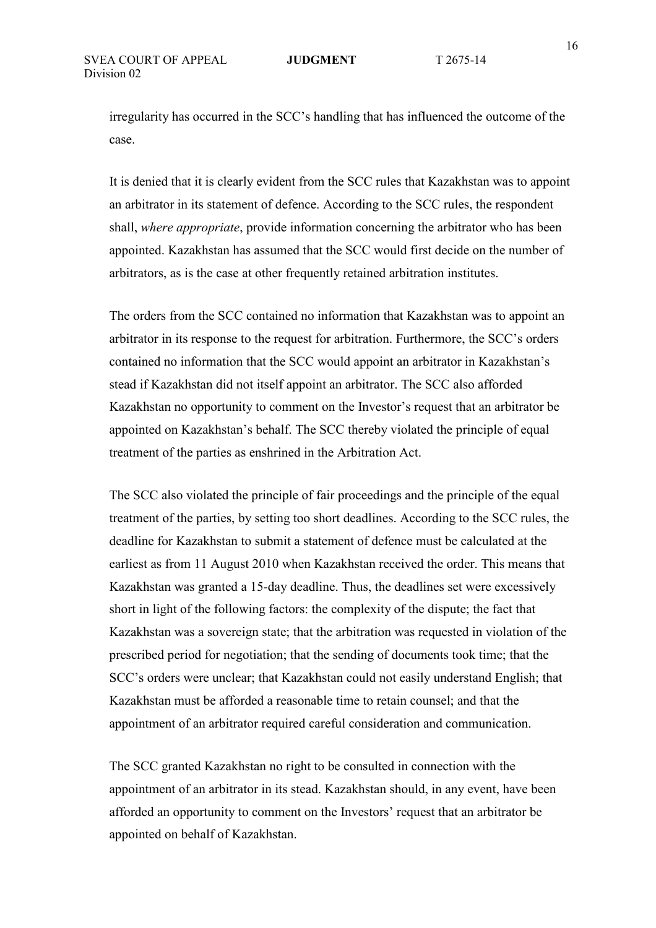irregularity has occurred in the SCC's handling that has influenced the outcome of the case.

It is denied that it is clearly evident from the SCC rules that Kazakhstan was to appoint an arbitrator in its statement of defence. According to the SCC rules, the respondent shall, *where appropriate*, provide information concerning the arbitrator who has been appointed. Kazakhstan has assumed that the SCC would first decide on the number of arbitrators, as is the case at other frequently retained arbitration institutes.

The orders from the SCC contained no information that Kazakhstan was to appoint an arbitrator in its response to the request for arbitration. Furthermore, the SCC's orders contained no information that the SCC would appoint an arbitrator in Kazakhstan's stead if Kazakhstan did not itself appoint an arbitrator. The SCC also afforded Kazakhstan no opportunity to comment on the Investor's request that an arbitrator be appointed on Kazakhstan's behalf. The SCC thereby violated the principle of equal treatment of the parties as enshrined in the Arbitration Act.

The SCC also violated the principle of fair proceedings and the principle of the equal treatment of the parties, by setting too short deadlines. According to the SCC rules, the deadline for Kazakhstan to submit a statement of defence must be calculated at the earliest as from 11 August 2010 when Kazakhstan received the order. This means that Kazakhstan was granted a 15-day deadline. Thus, the deadlines set were excessively short in light of the following factors: the complexity of the dispute; the fact that Kazakhstan was a sovereign state; that the arbitration was requested in violation of the prescribed period for negotiation; that the sending of documents took time; that the SCC's orders were unclear; that Kazakhstan could not easily understand English; that Kazakhstan must be afforded a reasonable time to retain counsel; and that the appointment of an arbitrator required careful consideration and communication.

The SCC granted Kazakhstan no right to be consulted in connection with the appointment of an arbitrator in its stead. Kazakhstan should, in any event, have been afforded an opportunity to comment on the Investors' request that an arbitrator be appointed on behalf of Kazakhstan.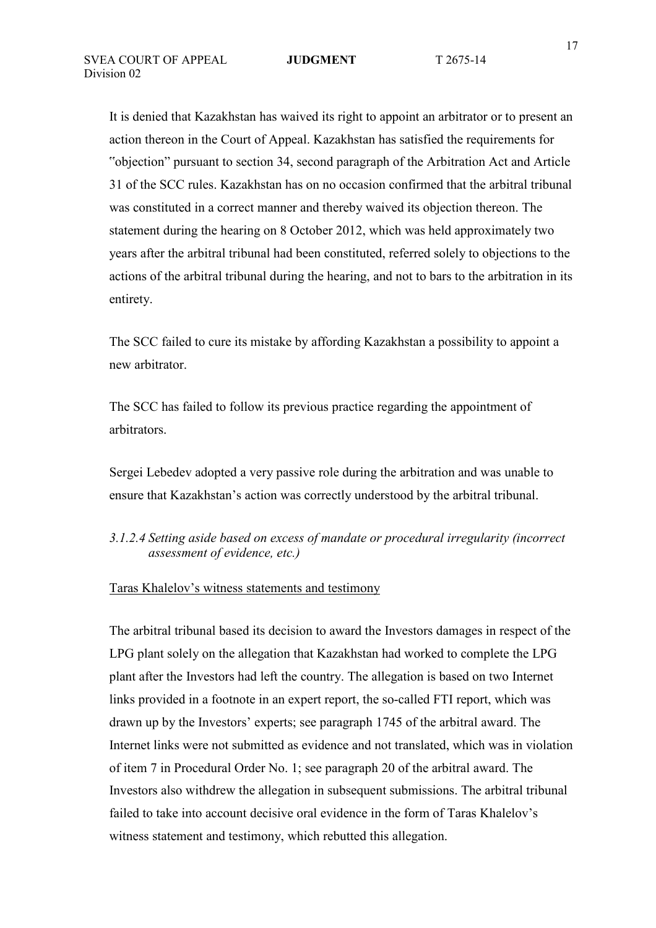It is denied that Kazakhstan has waived its right to appoint an arbitrator or to present an action thereon in the Court of Appeal. Kazakhstan has satisfied the requirements for "objection" pursuant to section 34, second paragraph of the Arbitration Act and Article 31 of the SCC rules. Kazakhstan has on no occasion confirmed that the arbitral tribunal was constituted in a correct manner and thereby waived its objection thereon. The statement during the hearing on 8 October 2012, which was held approximately two years after the arbitral tribunal had been constituted, referred solely to objections to the actions of the arbitral tribunal during the hearing, and not to bars to the arbitration in its entirety.

The SCC failed to cure its mistake by affording Kazakhstan a possibility to appoint a new arbitrator.

The SCC has failed to follow its previous practice regarding the appointment of arbitrators.

Sergei Lebedev adopted a very passive role during the arbitration and was unable to ensure that Kazakhstan's action was correctly understood by the arbitral tribunal.

## *3.1.2.4 Setting aside based on excess of mandate or procedural irregularity (incorrect assessment of evidence, etc.)*

#### Taras Khalelov's witness statements and testimony

The arbitral tribunal based its decision to award the Investors damages in respect of the LPG plant solely on the allegation that Kazakhstan had worked to complete the LPG plant after the Investors had left the country. The allegation is based on two Internet links provided in a footnote in an expert report, the so-called FTI report, which was drawn up by the Investors' experts; see paragraph 1745 of the arbitral award. The Internet links were not submitted as evidence and not translated, which was in violation of item 7 in Procedural Order No. 1; see paragraph 20 of the arbitral award. The Investors also withdrew the allegation in subsequent submissions. The arbitral tribunal failed to take into account decisive oral evidence in the form of Taras Khalelov's witness statement and testimony, which rebutted this allegation.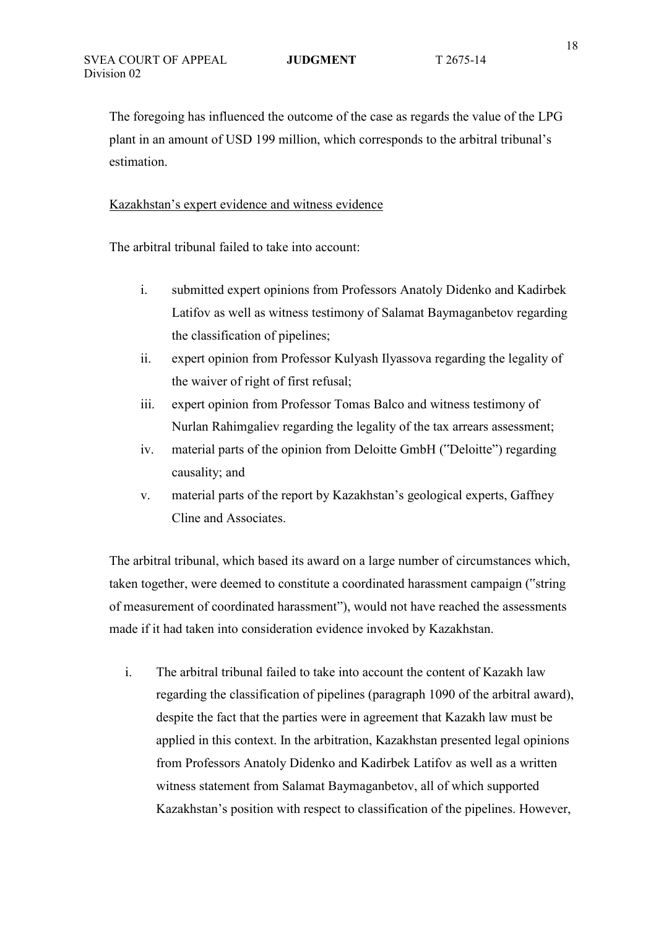The foregoing has influenced the outcome of the case as regards the value of the LPG plant in an amount of USD 199 million, which corresponds to the arbitral tribunal's estimation.

### Kazakhstan's expert evidence and witness evidence

The arbitral tribunal failed to take into account:

- i. submitted expert opinions from Professors Anatoly Didenko and Kadirbek Latifov as well as witness testimony of Salamat Baymaganbetov regarding the classification of pipelines;
- ii. expert opinion from Professor Kulyash Ilyassova regarding the legality of the waiver of right of first refusal;
- iii. expert opinion from Professor Tomas Balco and witness testimony of Nurlan Rahimgaliev regarding the legality of the tax arrears assessment;
- iv. material parts of the opinion from Deloitte GmbH ("Deloitte") regarding causality; and
- v. material parts of the report by Kazakhstan's geological experts, Gaffney Cline and Associates.

The arbitral tribunal, which based its award on a large number of circumstances which, taken together, were deemed to constitute a coordinated harassment campaign ("string of measurement of coordinated harassment"), would not have reached the assessments made if it had taken into consideration evidence invoked by Kazakhstan.

i. The arbitral tribunal failed to take into account the content of Kazakh law regarding the classification of pipelines (paragraph 1090 of the arbitral award), despite the fact that the parties were in agreement that Kazakh law must be applied in this context. In the arbitration, Kazakhstan presented legal opinions from Professors Anatoly Didenko and Kadirbek Latifov as well as a written witness statement from Salamat Baymaganbetov, all of which supported Kazakhstan's position with respect to classification of the pipelines. However,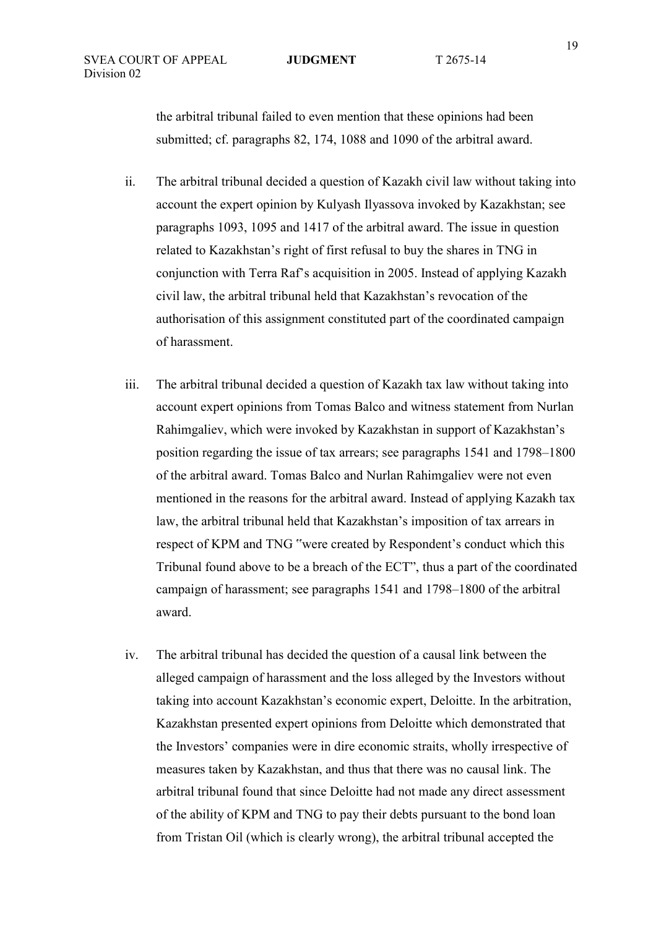the arbitral tribunal failed to even mention that these opinions had been submitted; cf. paragraphs 82, 174, 1088 and 1090 of the arbitral award.

- ii. The arbitral tribunal decided a question of Kazakh civil law without taking into account the expert opinion by Kulyash Ilyassova invoked by Kazakhstan; see paragraphs 1093, 1095 and 1417 of the arbitral award. The issue in question related to Kazakhstan's right of first refusal to buy the shares in TNG in conjunction with Terra Raf's acquisition in 2005. Instead of applying Kazakh civil law, the arbitral tribunal held that Kazakhstan's revocation of the authorisation of this assignment constituted part of the coordinated campaign of harassment.
- iii. The arbitral tribunal decided a question of Kazakh tax law without taking into account expert opinions from Tomas Balco and witness statement from Nurlan Rahimgaliev, which were invoked by Kazakhstan in support of Kazakhstan's position regarding the issue of tax arrears; see paragraphs 1541 and 1798–1800 of the arbitral award. Tomas Balco and Nurlan Rahimgaliev were not even mentioned in the reasons for the arbitral award. Instead of applying Kazakh tax law, the arbitral tribunal held that Kazakhstan's imposition of tax arrears in respect of KPM and TNG "were created by Respondent's conduct which this Tribunal found above to be a breach of the ECT", thus a part of the coordinated campaign of harassment; see paragraphs 1541 and 1798–1800 of the arbitral award.
- iv. The arbitral tribunal has decided the question of a causal link between the alleged campaign of harassment and the loss alleged by the Investors without taking into account Kazakhstan's economic expert, Deloitte. In the arbitration, Kazakhstan presented expert opinions from Deloitte which demonstrated that the Investors' companies were in dire economic straits, wholly irrespective of measures taken by Kazakhstan, and thus that there was no causal link. The arbitral tribunal found that since Deloitte had not made any direct assessment of the ability of KPM and TNG to pay their debts pursuant to the bond loan from Tristan Oil (which is clearly wrong), the arbitral tribunal accepted the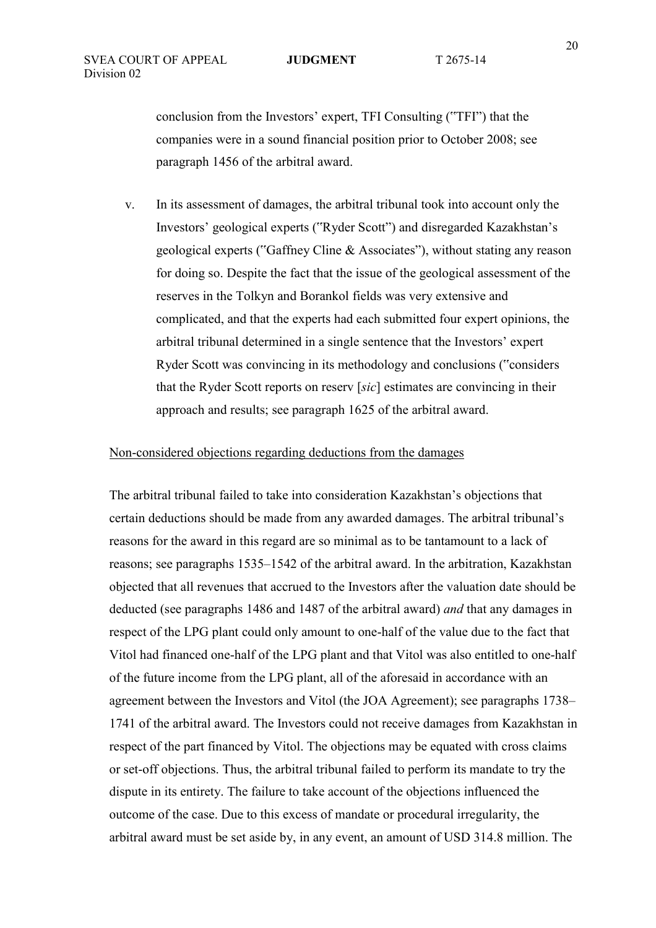conclusion from the Investors' expert, TFI Consulting ("TFI") that the companies were in a sound financial position prior to October 2008; see paragraph 1456 of the arbitral award.

v. In its assessment of damages, the arbitral tribunal took into account only the Investors' geological experts ("Ryder Scott") and disregarded Kazakhstan's geological experts ("Gaffney Cline & Associates"), without stating any reason for doing so. Despite the fact that the issue of the geological assessment of the reserves in the Tolkyn and Borankol fields was very extensive and complicated, and that the experts had each submitted four expert opinions, the arbitral tribunal determined in a single sentence that the Investors' expert Ryder Scott was convincing in its methodology and conclusions ("considers that the Ryder Scott reports on reserv [*sic*] estimates are convincing in their approach and results; see paragraph 1625 of the arbitral award.

### Non-considered objections regarding deductions from the damages

The arbitral tribunal failed to take into consideration Kazakhstan's objections that certain deductions should be made from any awarded damages. The arbitral tribunal's reasons for the award in this regard are so minimal as to be tantamount to a lack of reasons; see paragraphs 1535–1542 of the arbitral award. In the arbitration, Kazakhstan objected that all revenues that accrued to the Investors after the valuation date should be deducted (see paragraphs 1486 and 1487 of the arbitral award) *and* that any damages in respect of the LPG plant could only amount to one-half of the value due to the fact that Vitol had financed one-half of the LPG plant and that Vitol was also entitled to one-half of the future income from the LPG plant, all of the aforesaid in accordance with an agreement between the Investors and Vitol (the JOA Agreement); see paragraphs 1738– 1741 of the arbitral award. The Investors could not receive damages from Kazakhstan in respect of the part financed by Vitol. The objections may be equated with cross claims or set-off objections. Thus, the arbitral tribunal failed to perform its mandate to try the dispute in its entirety. The failure to take account of the objections influenced the outcome of the case. Due to this excess of mandate or procedural irregularity, the arbitral award must be set aside by, in any event, an amount of USD 314.8 million. The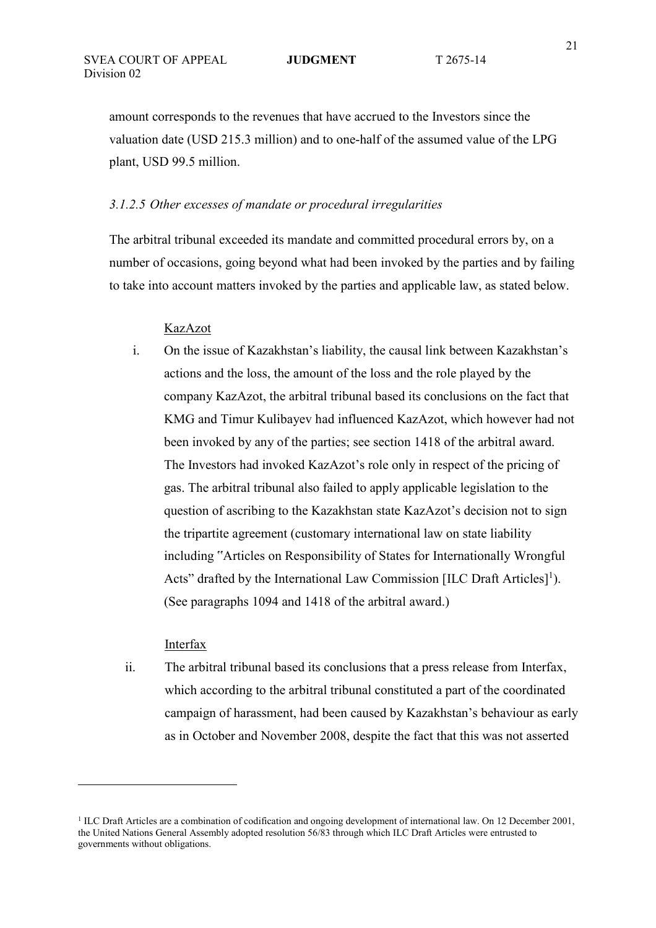amount corresponds to the revenues that have accrued to the Investors since the valuation date (USD 215.3 million) and to one-half of the assumed value of the LPG plant, USD 99.5 million.

### *3.1.2.5 Other excesses of mandate or procedural irregularities*

The arbitral tribunal exceeded its mandate and committed procedural errors by, on a number of occasions, going beyond what had been invoked by the parties and by failing to take into account matters invoked by the parties and applicable law, as stated below.

#### KazAzot

i. On the issue of Kazakhstan's liability, the causal link between Kazakhstan's actions and the loss, the amount of the loss and the role played by the company KazAzot, the arbitral tribunal based its conclusions on the fact that KMG and Timur Kulibayev had influenced KazAzot, which however had not been invoked by any of the parties; see section 1418 of the arbitral award. The Investors had invoked KazAzot's role only in respect of the pricing of gas. The arbitral tribunal also failed to apply applicable legislation to the question of ascribing to the Kazakhstan state KazAzot's decision not to sign the tripartite agreement (customary international law on state liability including "Articles on Responsibility of States for Internationally Wrongful Acts" drafted by the International Law Commission  $[ILC$  Draft Articles $]$ <sup>1</sup>). (See paragraphs 1094 and 1418 of the arbitral award.)

#### Interfax

 $\overline{a}$ 

ii. The arbitral tribunal based its conclusions that a press release from Interfax, which according to the arbitral tribunal constituted a part of the coordinated campaign of harassment, had been caused by Kazakhstan's behaviour as early as in October and November 2008, despite the fact that this was not asserted

<sup>&</sup>lt;sup>1</sup> ILC Draft Articles are a combination of codification and ongoing development of international law. On 12 December 2001, the United Nations General Assembly adopted resolution 56/83 through which ILC Draft Articles were entrusted to governments without obligations.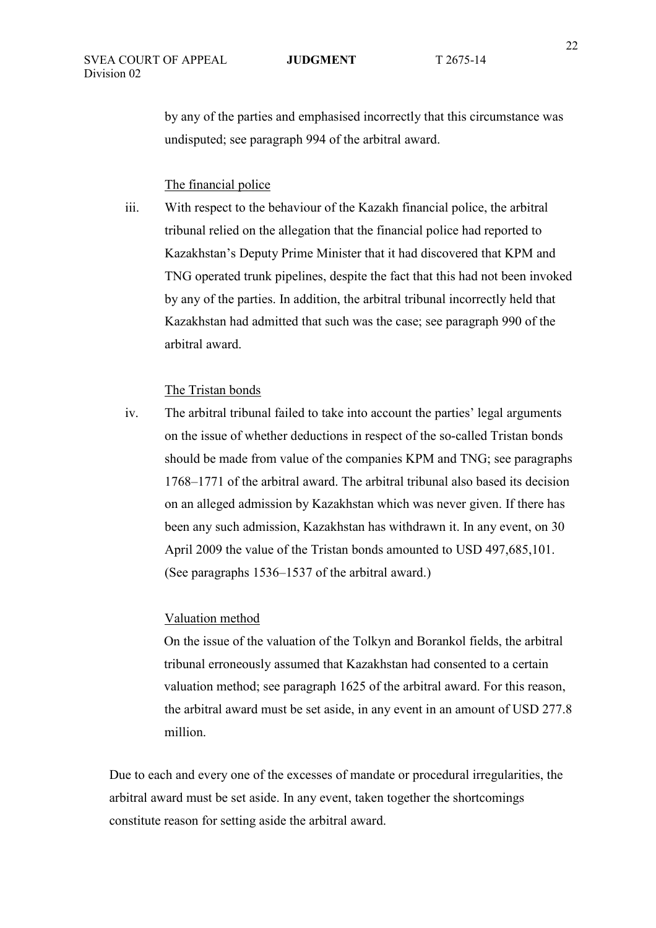by any of the parties and emphasised incorrectly that this circumstance was undisputed; see paragraph 994 of the arbitral award.

### The financial police

iii. With respect to the behaviour of the Kazakh financial police, the arbitral tribunal relied on the allegation that the financial police had reported to Kazakhstan's Deputy Prime Minister that it had discovered that KPM and TNG operated trunk pipelines, despite the fact that this had not been invoked by any of the parties. In addition, the arbitral tribunal incorrectly held that Kazakhstan had admitted that such was the case; see paragraph 990 of the arbitral award.

#### The Tristan bonds

iv. The arbitral tribunal failed to take into account the parties' legal arguments on the issue of whether deductions in respect of the so-called Tristan bonds should be made from value of the companies KPM and TNG; see paragraphs 1768–1771 of the arbitral award. The arbitral tribunal also based its decision on an alleged admission by Kazakhstan which was never given. If there has been any such admission, Kazakhstan has withdrawn it. In any event, on 30 April 2009 the value of the Tristan bonds amounted to USD 497,685,101. (See paragraphs 1536–1537 of the arbitral award.)

#### Valuation method

On the issue of the valuation of the Tolkyn and Borankol fields, the arbitral tribunal erroneously assumed that Kazakhstan had consented to a certain valuation method; see paragraph 1625 of the arbitral award. For this reason, the arbitral award must be set aside, in any event in an amount of USD 277.8 million.

Due to each and every one of the excesses of mandate or procedural irregularities, the arbitral award must be set aside. In any event, taken together the shortcomings constitute reason for setting aside the arbitral award.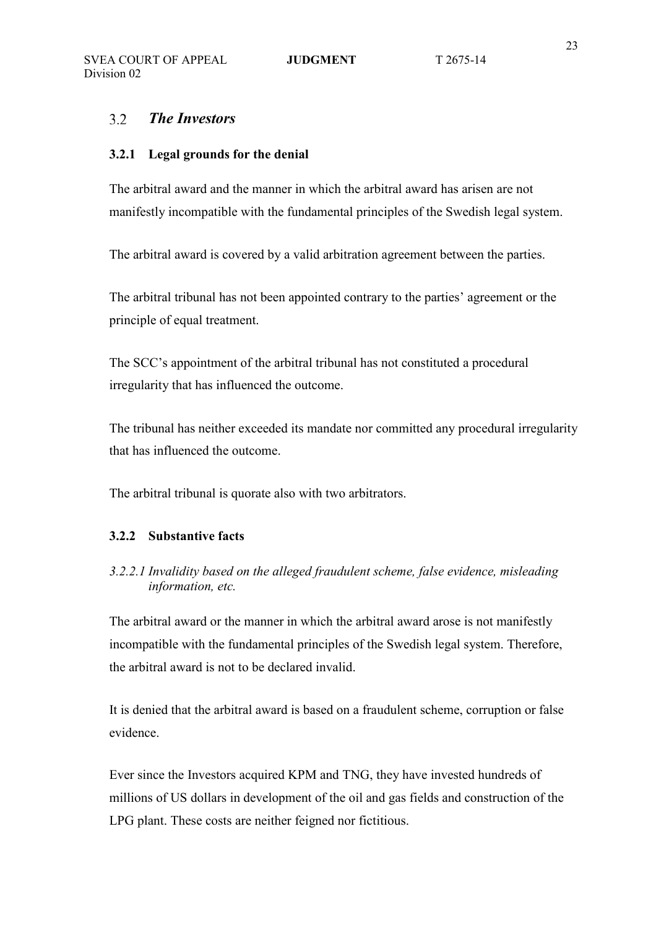#### *The Investors*  $3.2$

#### **3.2.1 Legal grounds for the denial**

The arbitral award and the manner in which the arbitral award has arisen are not manifestly incompatible with the fundamental principles of the Swedish legal system.

The arbitral award is covered by a valid arbitration agreement between the parties.

The arbitral tribunal has not been appointed contrary to the parties' agreement or the principle of equal treatment.

The SCC's appointment of the arbitral tribunal has not constituted a procedural irregularity that has influenced the outcome.

The tribunal has neither exceeded its mandate nor committed any procedural irregularity that has influenced the outcome.

The arbitral tribunal is quorate also with two arbitrators.

### **3.2.2 Substantive facts**

*3.2.2.1 Invalidity based on the alleged fraudulent scheme, false evidence, misleading information, etc.* 

The arbitral award or the manner in which the arbitral award arose is not manifestly incompatible with the fundamental principles of the Swedish legal system. Therefore, the arbitral award is not to be declared invalid.

It is denied that the arbitral award is based on a fraudulent scheme, corruption or false evidence.

Ever since the Investors acquired KPM and TNG, they have invested hundreds of millions of US dollars in development of the oil and gas fields and construction of the LPG plant. These costs are neither feigned nor fictitious.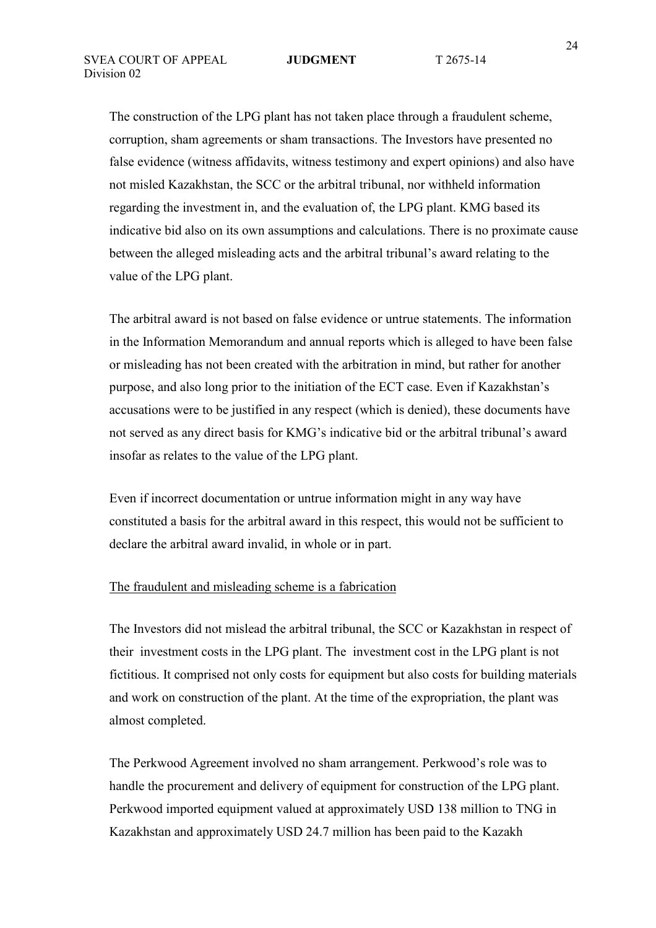The construction of the LPG plant has not taken place through a fraudulent scheme, corruption, sham agreements or sham transactions. The Investors have presented no false evidence (witness affidavits, witness testimony and expert opinions) and also have not misled Kazakhstan, the SCC or the arbitral tribunal, nor withheld information regarding the investment in, and the evaluation of, the LPG plant. KMG based its indicative bid also on its own assumptions and calculations. There is no proximate cause between the alleged misleading acts and the arbitral tribunal's award relating to the value of the LPG plant.

The arbitral award is not based on false evidence or untrue statements. The information in the Information Memorandum and annual reports which is alleged to have been false or misleading has not been created with the arbitration in mind, but rather for another purpose, and also long prior to the initiation of the ECT case. Even if Kazakhstan's accusations were to be justified in any respect (which is denied), these documents have not served as any direct basis for KMG's indicative bid or the arbitral tribunal's award insofar as relates to the value of the LPG plant.

Even if incorrect documentation or untrue information might in any way have constituted a basis for the arbitral award in this respect, this would not be sufficient to declare the arbitral award invalid, in whole or in part.

### The fraudulent and misleading scheme is a fabrication

The Investors did not mislead the arbitral tribunal, the SCC or Kazakhstan in respect of their investment costs in the LPG plant. The investment cost in the LPG plant is not fictitious. It comprised not only costs for equipment but also costs for building materials and work on construction of the plant. At the time of the expropriation, the plant was almost completed.

The Perkwood Agreement involved no sham arrangement. Perkwood's role was to handle the procurement and delivery of equipment for construction of the LPG plant. Perkwood imported equipment valued at approximately USD 138 million to TNG in Kazakhstan and approximately USD 24.7 million has been paid to the Kazakh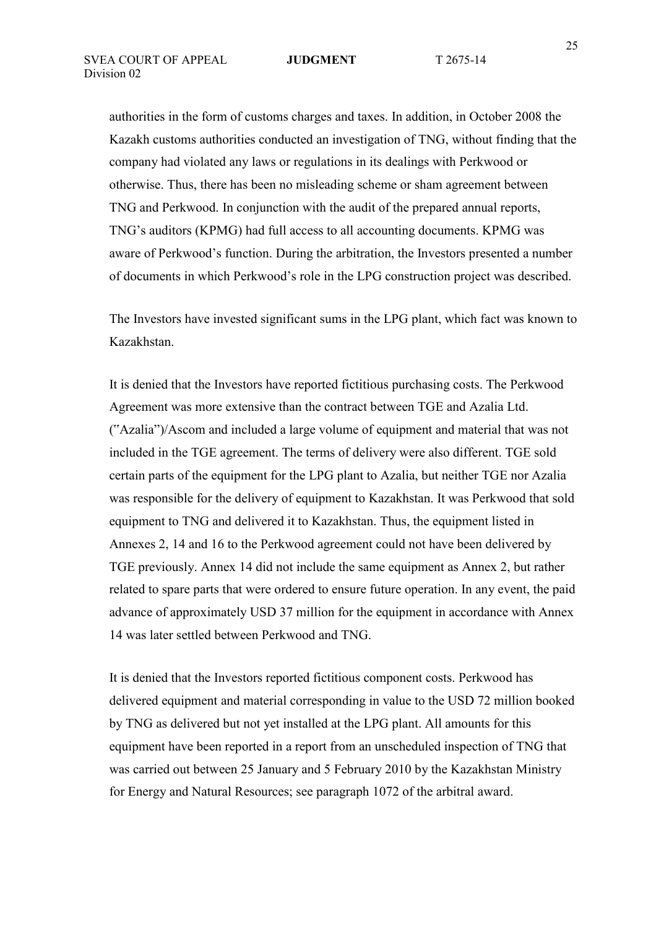authorities in the form of customs charges and taxes. In addition, in October 2008 the Kazakh customs authorities conducted an investigation of TNG, without finding that the company had violated any laws or regulations in its dealings with Perkwood or otherwise. Thus, there has been no misleading scheme or sham agreement between TNG and Perkwood. In conjunction with the audit of the prepared annual reports, TNG's auditors (KPMG) had full access to all accounting documents. KPMG was aware of Perkwood's function. During the arbitration, the Investors presented a number of documents in which Perkwood's role in the LPG construction project was described.

The Investors have invested significant sums in the LPG plant, which fact was known to Kazakhstan.

It is denied that the Investors have reported fictitious purchasing costs. The Perkwood Agreement was more extensive than the contract between TGE and Azalia Ltd. ("Azalia")/Ascom and included a large volume of equipment and material that was not included in the TGE agreement. The terms of delivery were also different. TGE sold certain parts of the equipment for the LPG plant to Azalia, but neither TGE nor Azalia was responsible for the delivery of equipment to Kazakhstan. It was Perkwood that sold equipment to TNG and delivered it to Kazakhstan. Thus, the equipment listed in Annexes 2, 14 and 16 to the Perkwood agreement could not have been delivered by TGE previously. Annex 14 did not include the same equipment as Annex 2, but rather related to spare parts that were ordered to ensure future operation. In any event, the paid advance of approximately USD 37 million for the equipment in accordance with Annex 14 was later settled between Perkwood and TNG.

It is denied that the Investors reported fictitious component costs. Perkwood has delivered equipment and material corresponding in value to the USD 72 million booked by TNG as delivered but not yet installed at the LPG plant. All amounts for this equipment have been reported in a report from an unscheduled inspection of TNG that was carried out between 25 January and 5 February 2010 by the Kazakhstan Ministry for Energy and Natural Resources; see paragraph 1072 of the arbitral award.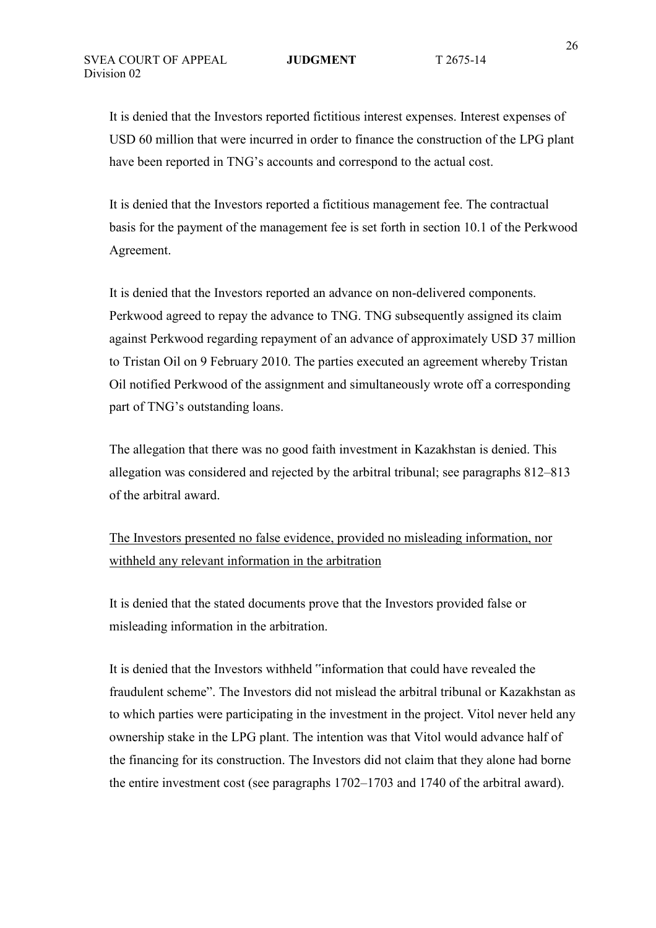It is denied that the Investors reported fictitious interest expenses. Interest expenses of USD 60 million that were incurred in order to finance the construction of the LPG plant have been reported in TNG's accounts and correspond to the actual cost.

It is denied that the Investors reported a fictitious management fee. The contractual basis for the payment of the management fee is set forth in section 10.1 of the Perkwood Agreement.

It is denied that the Investors reported an advance on non-delivered components. Perkwood agreed to repay the advance to TNG. TNG subsequently assigned its claim against Perkwood regarding repayment of an advance of approximately USD 37 million to Tristan Oil on 9 February 2010. The parties executed an agreement whereby Tristan Oil notified Perkwood of the assignment and simultaneously wrote off a corresponding part of TNG's outstanding loans.

The allegation that there was no good faith investment in Kazakhstan is denied. This allegation was considered and rejected by the arbitral tribunal; see paragraphs 812–813 of the arbitral award.

The Investors presented no false evidence, provided no misleading information, nor withheld any relevant information in the arbitration

It is denied that the stated documents prove that the Investors provided false or misleading information in the arbitration.

It is denied that the Investors withheld "information that could have revealed the fraudulent scheme". The Investors did not mislead the arbitral tribunal or Kazakhstan as to which parties were participating in the investment in the project. Vitol never held any ownership stake in the LPG plant. The intention was that Vitol would advance half of the financing for its construction. The Investors did not claim that they alone had borne the entire investment cost (see paragraphs 1702–1703 and 1740 of the arbitral award).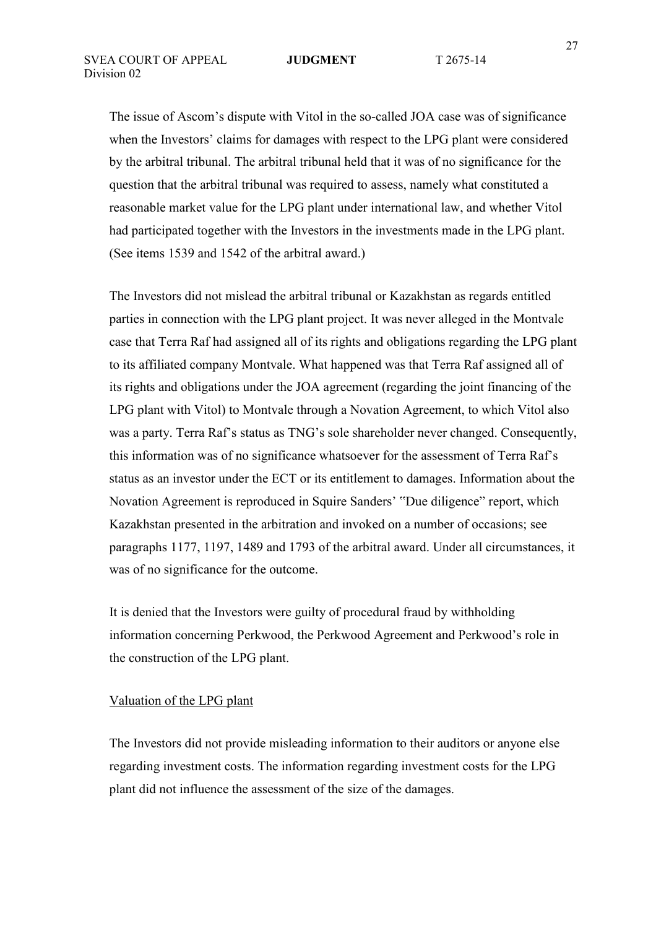The issue of Ascom's dispute with Vitol in the so-called JOA case was of significance when the Investors' claims for damages with respect to the LPG plant were considered by the arbitral tribunal. The arbitral tribunal held that it was of no significance for the question that the arbitral tribunal was required to assess, namely what constituted a reasonable market value for the LPG plant under international law, and whether Vitol had participated together with the Investors in the investments made in the LPG plant. (See items 1539 and 1542 of the arbitral award.)

The Investors did not mislead the arbitral tribunal or Kazakhstan as regards entitled parties in connection with the LPG plant project. It was never alleged in the Montvale case that Terra Raf had assigned all of its rights and obligations regarding the LPG plant to its affiliated company Montvale. What happened was that Terra Raf assigned all of its rights and obligations under the JOA agreement (regarding the joint financing of the LPG plant with Vitol) to Montvale through a Novation Agreement, to which Vitol also was a party. Terra Raf's status as TNG's sole shareholder never changed. Consequently, this information was of no significance whatsoever for the assessment of Terra Raf's status as an investor under the ECT or its entitlement to damages. Information about the Novation Agreement is reproduced in Squire Sanders' "Due diligence" report, which Kazakhstan presented in the arbitration and invoked on a number of occasions; see paragraphs 1177, 1197, 1489 and 1793 of the arbitral award. Under all circumstances, it was of no significance for the outcome.

It is denied that the Investors were guilty of procedural fraud by withholding information concerning Perkwood, the Perkwood Agreement and Perkwood's role in the construction of the LPG plant.

#### Valuation of the LPG plant

The Investors did not provide misleading information to their auditors or anyone else regarding investment costs. The information regarding investment costs for the LPG plant did not influence the assessment of the size of the damages.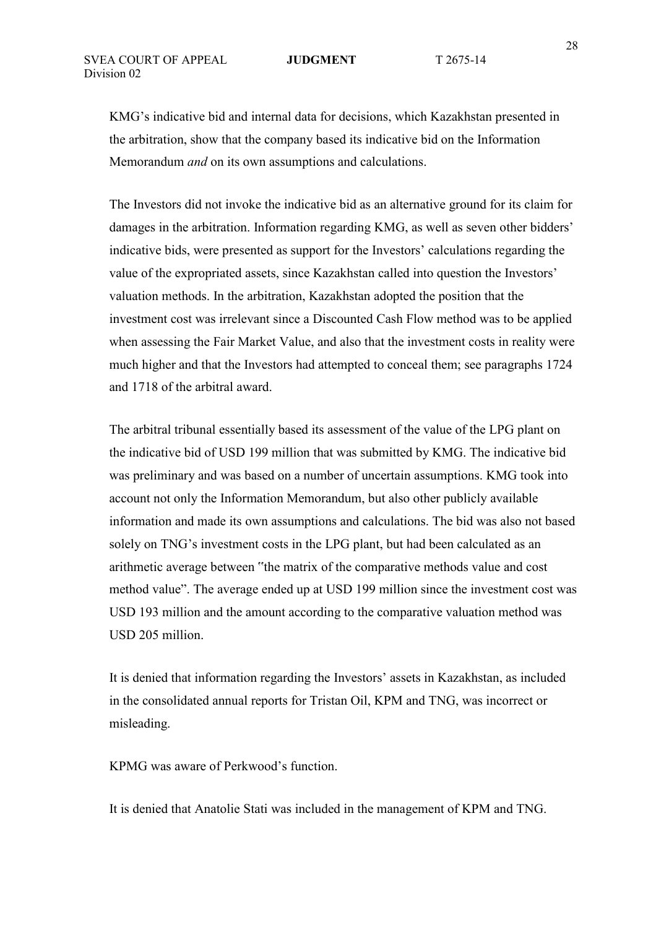KMG's indicative bid and internal data for decisions, which Kazakhstan presented in the arbitration, show that the company based its indicative bid on the Information Memorandum *and* on its own assumptions and calculations.

The Investors did not invoke the indicative bid as an alternative ground for its claim for damages in the arbitration. Information regarding KMG, as well as seven other bidders' indicative bids, were presented as support for the Investors' calculations regarding the value of the expropriated assets, since Kazakhstan called into question the Investors' valuation methods. In the arbitration, Kazakhstan adopted the position that the investment cost was irrelevant since a Discounted Cash Flow method was to be applied when assessing the Fair Market Value, and also that the investment costs in reality were much higher and that the Investors had attempted to conceal them; see paragraphs 1724 and 1718 of the arbitral award.

The arbitral tribunal essentially based its assessment of the value of the LPG plant on the indicative bid of USD 199 million that was submitted by KMG. The indicative bid was preliminary and was based on a number of uncertain assumptions. KMG took into account not only the Information Memorandum, but also other publicly available information and made its own assumptions and calculations. The bid was also not based solely on TNG's investment costs in the LPG plant, but had been calculated as an arithmetic average between "the matrix of the comparative methods value and cost method value". The average ended up at USD 199 million since the investment cost was USD 193 million and the amount according to the comparative valuation method was USD 205 million.

It is denied that information regarding the Investors' assets in Kazakhstan, as included in the consolidated annual reports for Tristan Oil, KPM and TNG, was incorrect or misleading.

KPMG was aware of Perkwood's function.

It is denied that Anatolie Stati was included in the management of KPM and TNG.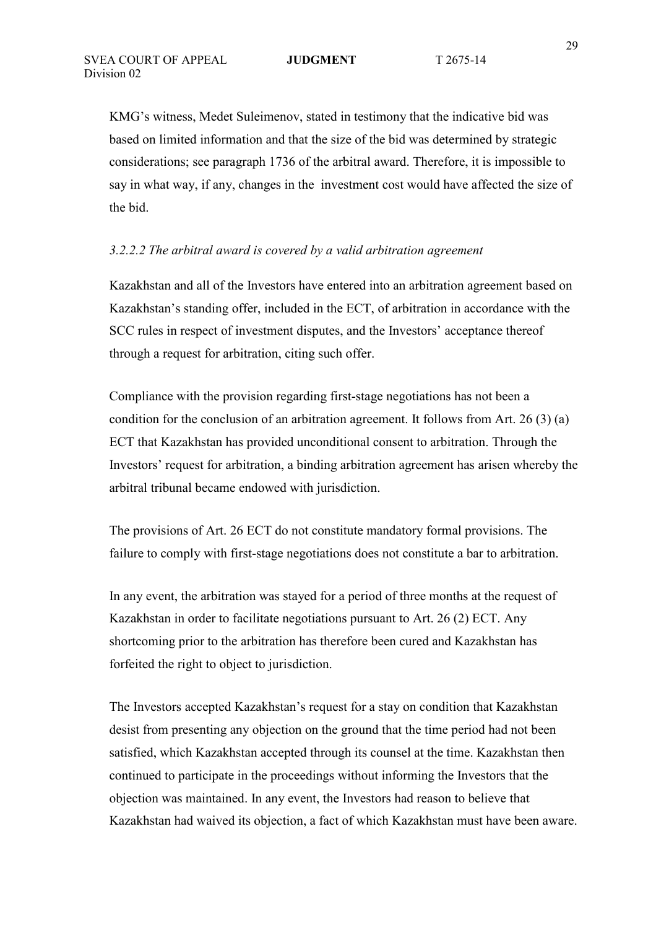KMG's witness, Medet Suleimenov, stated in testimony that the indicative bid was based on limited information and that the size of the bid was determined by strategic considerations; see paragraph 1736 of the arbitral award. Therefore, it is impossible to say in what way, if any, changes in the investment cost would have affected the size of the bid.

### *3.2.2.2 The arbitral award is covered by a valid arbitration agreement*

Kazakhstan and all of the Investors have entered into an arbitration agreement based on Kazakhstan's standing offer, included in the ECT, of arbitration in accordance with the SCC rules in respect of investment disputes, and the Investors' acceptance thereof through a request for arbitration, citing such offer.

Compliance with the provision regarding first-stage negotiations has not been a condition for the conclusion of an arbitration agreement. It follows from Art. 26 (3) (a) ECT that Kazakhstan has provided unconditional consent to arbitration. Through the Investors' request for arbitration, a binding arbitration agreement has arisen whereby the arbitral tribunal became endowed with jurisdiction.

The provisions of Art. 26 ECT do not constitute mandatory formal provisions. The failure to comply with first-stage negotiations does not constitute a bar to arbitration.

In any event, the arbitration was stayed for a period of three months at the request of Kazakhstan in order to facilitate negotiations pursuant to Art. 26 (2) ECT. Any shortcoming prior to the arbitration has therefore been cured and Kazakhstan has forfeited the right to object to jurisdiction.

The Investors accepted Kazakhstan's request for a stay on condition that Kazakhstan desist from presenting any objection on the ground that the time period had not been satisfied, which Kazakhstan accepted through its counsel at the time. Kazakhstan then continued to participate in the proceedings without informing the Investors that the objection was maintained. In any event, the Investors had reason to believe that Kazakhstan had waived its objection, a fact of which Kazakhstan must have been aware.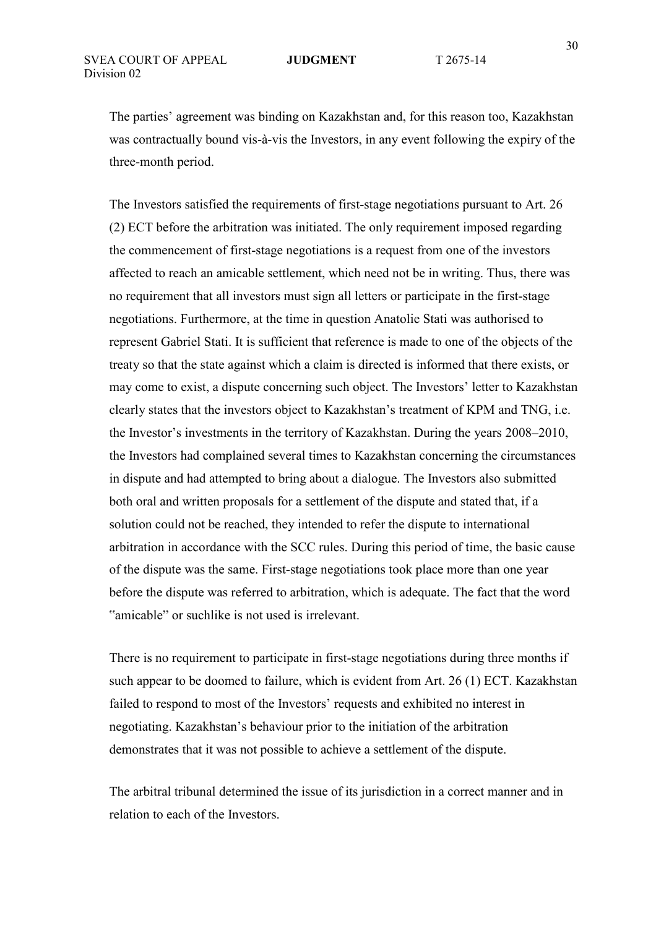The parties' agreement was binding on Kazakhstan and, for this reason too, Kazakhstan was contractually bound vis-à-vis the Investors, in any event following the expiry of the three-month period.

The Investors satisfied the requirements of first-stage negotiations pursuant to Art. 26 (2) ECT before the arbitration was initiated. The only requirement imposed regarding the commencement of first-stage negotiations is a request from one of the investors affected to reach an amicable settlement, which need not be in writing. Thus, there was no requirement that all investors must sign all letters or participate in the first-stage negotiations. Furthermore, at the time in question Anatolie Stati was authorised to represent Gabriel Stati. It is sufficient that reference is made to one of the objects of the treaty so that the state against which a claim is directed is informed that there exists, or may come to exist, a dispute concerning such object. The Investors' letter to Kazakhstan clearly states that the investors object to Kazakhstan's treatment of KPM and TNG, i.e. the Investor's investments in the territory of Kazakhstan. During the years 2008–2010, the Investors had complained several times to Kazakhstan concerning the circumstances in dispute and had attempted to bring about a dialogue. The Investors also submitted both oral and written proposals for a settlement of the dispute and stated that, if a solution could not be reached, they intended to refer the dispute to international arbitration in accordance with the SCC rules. During this period of time, the basic cause of the dispute was the same. First-stage negotiations took place more than one year before the dispute was referred to arbitration, which is adequate. The fact that the word "amicable" or suchlike is not used is irrelevant.

There is no requirement to participate in first-stage negotiations during three months if such appear to be doomed to failure, which is evident from Art. 26 (1) ECT. Kazakhstan failed to respond to most of the Investors' requests and exhibited no interest in negotiating. Kazakhstan's behaviour prior to the initiation of the arbitration demonstrates that it was not possible to achieve a settlement of the dispute.

The arbitral tribunal determined the issue of its jurisdiction in a correct manner and in relation to each of the Investors.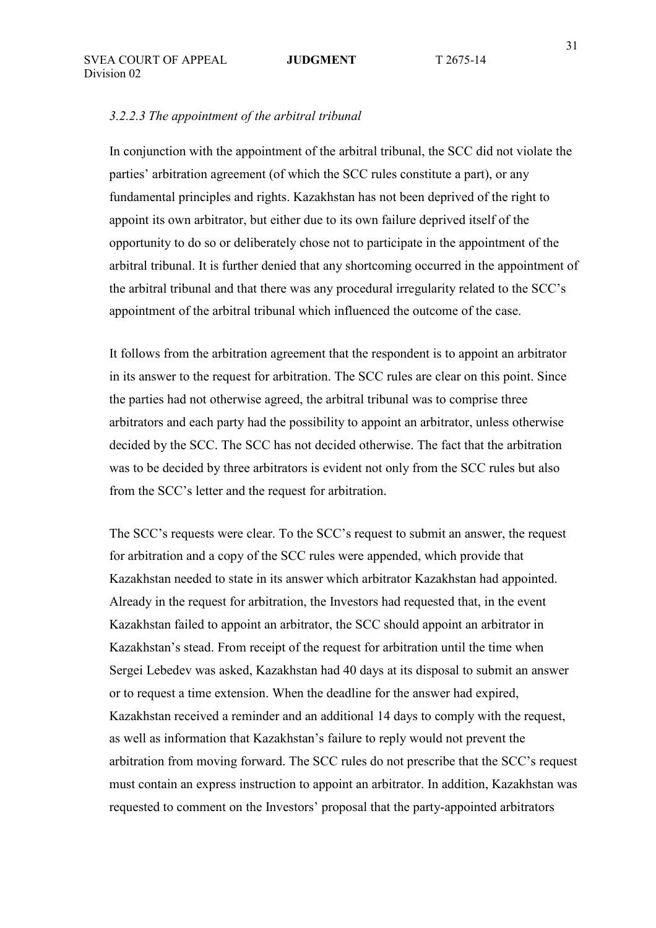#### *3.2.2.3 The appointment of the arbitral tribunal*

In conjunction with the appointment of the arbitral tribunal, the SCC did not violate the parties' arbitration agreement (of which the SCC rules constitute a part), or any fundamental principles and rights. Kazakhstan has not been deprived of the right to appoint its own arbitrator, but either due to its own failure deprived itself of the opportunity to do so or deliberately chose not to participate in the appointment of the arbitral tribunal. It is further denied that any shortcoming occurred in the appointment of the arbitral tribunal and that there was any procedural irregularity related to the SCC's appointment of the arbitral tribunal which influenced the outcome of the case.

It follows from the arbitration agreement that the respondent is to appoint an arbitrator in its answer to the request for arbitration. The SCC rules are clear on this point. Since the parties had not otherwise agreed, the arbitral tribunal was to comprise three arbitrators and each party had the possibility to appoint an arbitrator, unless otherwise decided by the SCC. The SCC has not decided otherwise. The fact that the arbitration was to be decided by three arbitrators is evident not only from the SCC rules but also from the SCC's letter and the request for arbitration.

The SCC's requests were clear. To the SCC's request to submit an answer, the request for arbitration and a copy of the SCC rules were appended, which provide that Kazakhstan needed to state in its answer which arbitrator Kazakhstan had appointed. Already in the request for arbitration, the Investors had requested that, in the event Kazakhstan failed to appoint an arbitrator, the SCC should appoint an arbitrator in Kazakhstan's stead. From receipt of the request for arbitration until the time when Sergei Lebedev was asked, Kazakhstan had 40 days at its disposal to submit an answer or to request a time extension. When the deadline for the answer had expired, Kazakhstan received a reminder and an additional 14 days to comply with the request, as well as information that Kazakhstan's failure to reply would not prevent the arbitration from moving forward. The SCC rules do not prescribe that the SCC's request must contain an express instruction to appoint an arbitrator. In addition, Kazakhstan was requested to comment on the Investors' proposal that the party-appointed arbitrators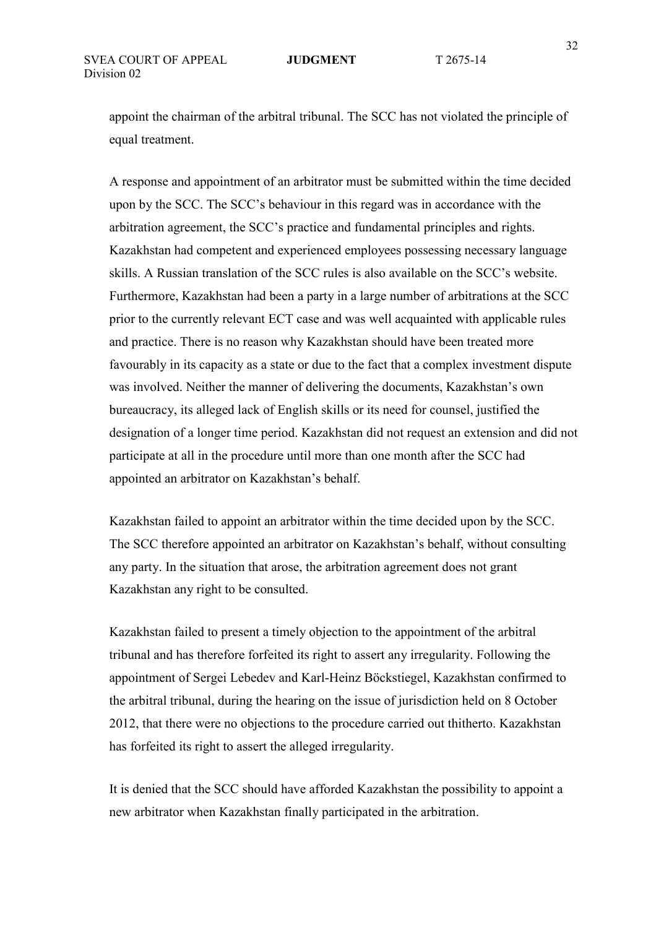appoint the chairman of the arbitral tribunal. The SCC has not violated the principle of equal treatment.

A response and appointment of an arbitrator must be submitted within the time decided upon by the SCC. The SCC's behaviour in this regard was in accordance with the arbitration agreement, the SCC's practice and fundamental principles and rights. Kazakhstan had competent and experienced employees possessing necessary language skills. A Russian translation of the SCC rules is also available on the SCC's website. Furthermore, Kazakhstan had been a party in a large number of arbitrations at the SCC prior to the currently relevant ECT case and was well acquainted with applicable rules and practice. There is no reason why Kazakhstan should have been treated more favourably in its capacity as a state or due to the fact that a complex investment dispute was involved. Neither the manner of delivering the documents, Kazakhstan's own bureaucracy, its alleged lack of English skills or its need for counsel, justified the designation of a longer time period. Kazakhstan did not request an extension and did not participate at all in the procedure until more than one month after the SCC had appointed an arbitrator on Kazakhstan's behalf.

Kazakhstan failed to appoint an arbitrator within the time decided upon by the SCC. The SCC therefore appointed an arbitrator on Kazakhstan's behalf, without consulting any party. In the situation that arose, the arbitration agreement does not grant Kazakhstan any right to be consulted.

Kazakhstan failed to present a timely objection to the appointment of the arbitral tribunal and has therefore forfeited its right to assert any irregularity. Following the appointment of Sergei Lebedev and Karl-Heinz Böckstiegel, Kazakhstan confirmed to the arbitral tribunal, during the hearing on the issue of jurisdiction held on 8 October 2012, that there were no objections to the procedure carried out thitherto. Kazakhstan has forfeited its right to assert the alleged irregularity.

It is denied that the SCC should have afforded Kazakhstan the possibility to appoint a new arbitrator when Kazakhstan finally participated in the arbitration.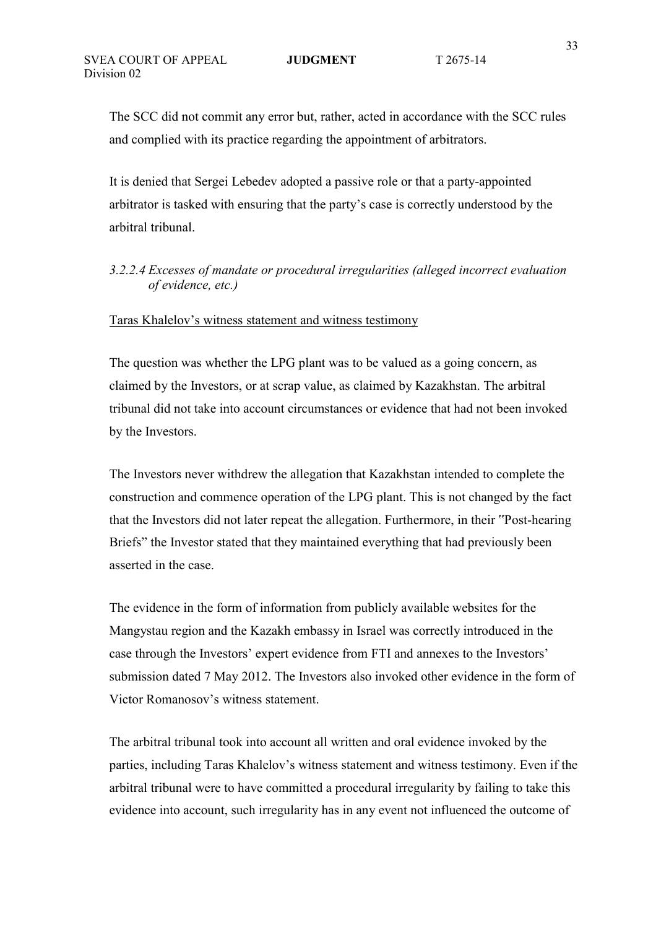The SCC did not commit any error but, rather, acted in accordance with the SCC rules and complied with its practice regarding the appointment of arbitrators.

It is denied that Sergei Lebedev adopted a passive role or that a party-appointed arbitrator is tasked with ensuring that the party's case is correctly understood by the arbitral tribunal.

## *3.2.2.4 Excesses of mandate or procedural irregularities (alleged incorrect evaluation of evidence, etc.)*

### Taras Khalelov's witness statement and witness testimony

The question was whether the LPG plant was to be valued as a going concern, as claimed by the Investors, or at scrap value, as claimed by Kazakhstan. The arbitral tribunal did not take into account circumstances or evidence that had not been invoked by the Investors.

The Investors never withdrew the allegation that Kazakhstan intended to complete the construction and commence operation of the LPG plant. This is not changed by the fact that the Investors did not later repeat the allegation. Furthermore, in their "Post-hearing Briefs" the Investor stated that they maintained everything that had previously been asserted in the case.

The evidence in the form of information from publicly available websites for the Mangystau region and the Kazakh embassy in Israel was correctly introduced in the case through the Investors' expert evidence from FTI and annexes to the Investors' submission dated 7 May 2012. The Investors also invoked other evidence in the form of Victor Romanosov's witness statement.

The arbitral tribunal took into account all written and oral evidence invoked by the parties, including Taras Khalelov's witness statement and witness testimony. Even if the arbitral tribunal were to have committed a procedural irregularity by failing to take this evidence into account, such irregularity has in any event not influenced the outcome of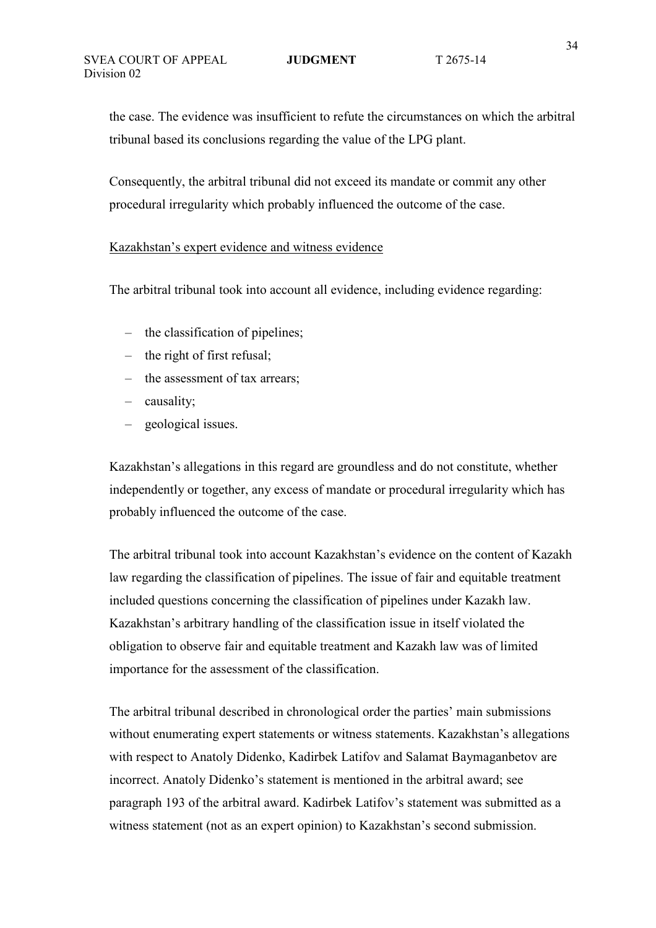the case. The evidence was insufficient to refute the circumstances on which the arbitral tribunal based its conclusions regarding the value of the LPG plant.

Consequently, the arbitral tribunal did not exceed its mandate or commit any other procedural irregularity which probably influenced the outcome of the case.

### Kazakhstan's expert evidence and witness evidence

The arbitral tribunal took into account all evidence, including evidence regarding:

- the classification of pipelines;
- the right of first refusal;
- the assessment of tax arrears;
- causality;
- geological issues.

Kazakhstan's allegations in this regard are groundless and do not constitute, whether independently or together, any excess of mandate or procedural irregularity which has probably influenced the outcome of the case.

The arbitral tribunal took into account Kazakhstan's evidence on the content of Kazakh law regarding the classification of pipelines. The issue of fair and equitable treatment included questions concerning the classification of pipelines under Kazakh law. Kazakhstan's arbitrary handling of the classification issue in itself violated the obligation to observe fair and equitable treatment and Kazakh law was of limited importance for the assessment of the classification.

The arbitral tribunal described in chronological order the parties' main submissions without enumerating expert statements or witness statements. Kazakhstan's allegations with respect to Anatoly Didenko, Kadirbek Latifov and Salamat Baymaganbetov are incorrect. Anatoly Didenko's statement is mentioned in the arbitral award; see paragraph 193 of the arbitral award. Kadirbek Latifov's statement was submitted as a witness statement (not as an expert opinion) to Kazakhstan's second submission.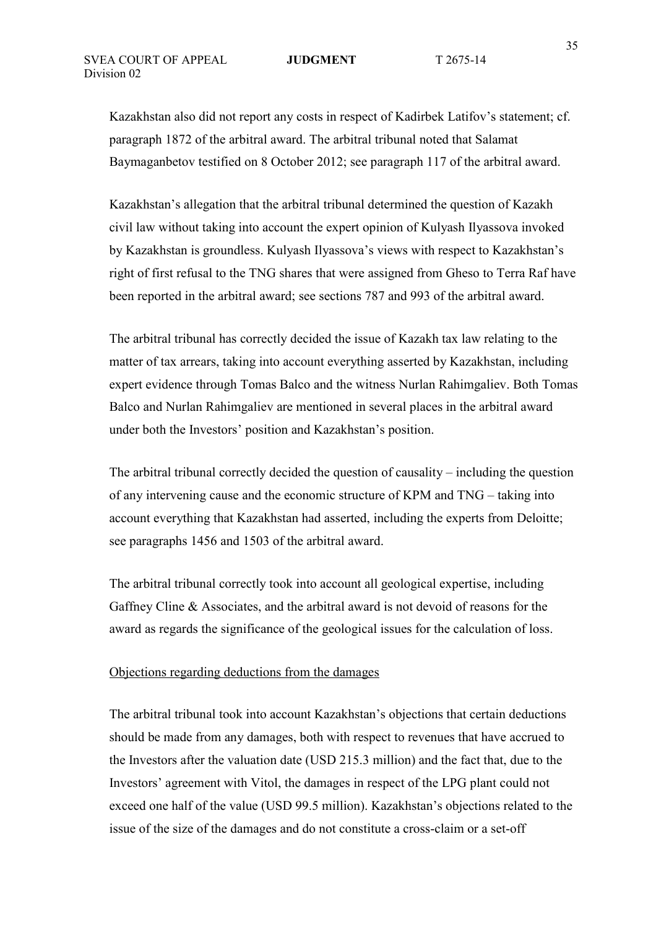Kazakhstan also did not report any costs in respect of Kadirbek Latifov's statement; cf. paragraph 1872 of the arbitral award. The arbitral tribunal noted that Salamat Baymaganbetov testified on 8 October 2012; see paragraph 117 of the arbitral award.

Kazakhstan's allegation that the arbitral tribunal determined the question of Kazakh civil law without taking into account the expert opinion of Kulyash Ilyassova invoked by Kazakhstan is groundless. Kulyash Ilyassova's views with respect to Kazakhstan's right of first refusal to the TNG shares that were assigned from Gheso to Terra Raf have been reported in the arbitral award; see sections 787 and 993 of the arbitral award.

The arbitral tribunal has correctly decided the issue of Kazakh tax law relating to the matter of tax arrears, taking into account everything asserted by Kazakhstan, including expert evidence through Tomas Balco and the witness Nurlan Rahimgaliev. Both Tomas Balco and Nurlan Rahimgaliev are mentioned in several places in the arbitral award under both the Investors' position and Kazakhstan's position.

The arbitral tribunal correctly decided the question of causality – including the question of any intervening cause and the economic structure of KPM and TNG – taking into account everything that Kazakhstan had asserted, including the experts from Deloitte; see paragraphs 1456 and 1503 of the arbitral award.

The arbitral tribunal correctly took into account all geological expertise, including Gaffney Cline & Associates, and the arbitral award is not devoid of reasons for the award as regards the significance of the geological issues for the calculation of loss.

### Objections regarding deductions from the damages

The arbitral tribunal took into account Kazakhstan's objections that certain deductions should be made from any damages, both with respect to revenues that have accrued to the Investors after the valuation date (USD 215.3 million) and the fact that, due to the Investors' agreement with Vitol, the damages in respect of the LPG plant could not exceed one half of the value (USD 99.5 million). Kazakhstan's objections related to the issue of the size of the damages and do not constitute a cross-claim or a set-off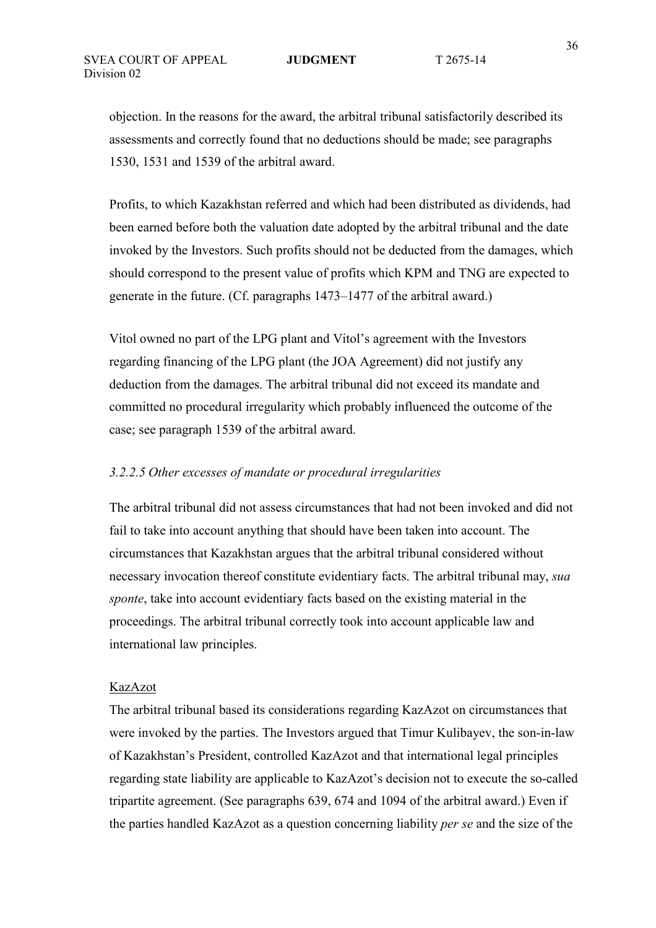objection. In the reasons for the award, the arbitral tribunal satisfactorily described its assessments and correctly found that no deductions should be made; see paragraphs 1530, 1531 and 1539 of the arbitral award.

Profits, to which Kazakhstan referred and which had been distributed as dividends, had been earned before both the valuation date adopted by the arbitral tribunal and the date invoked by the Investors. Such profits should not be deducted from the damages, which should correspond to the present value of profits which KPM and TNG are expected to generate in the future. (Cf. paragraphs 1473–1477 of the arbitral award.)

Vitol owned no part of the LPG plant and Vitol's agreement with the Investors regarding financing of the LPG plant (the JOA Agreement) did not justify any deduction from the damages. The arbitral tribunal did not exceed its mandate and committed no procedural irregularity which probably influenced the outcome of the case; see paragraph 1539 of the arbitral award.

### *3.2.2.5 Other excesses of mandate or procedural irregularities*

The arbitral tribunal did not assess circumstances that had not been invoked and did not fail to take into account anything that should have been taken into account. The circumstances that Kazakhstan argues that the arbitral tribunal considered without necessary invocation thereof constitute evidentiary facts. The arbitral tribunal may, *sua sponte*, take into account evidentiary facts based on the existing material in the proceedings. The arbitral tribunal correctly took into account applicable law and international law principles.

#### KazAzot

The arbitral tribunal based its considerations regarding KazAzot on circumstances that were invoked by the parties. The Investors argued that Timur Kulibayev, the son-in-law of Kazakhstan's President, controlled KazAzot and that international legal principles regarding state liability are applicable to KazAzot's decision not to execute the so-called tripartite agreement. (See paragraphs 639, 674 and 1094 of the arbitral award.) Even if the parties handled KazAzot as a question concerning liability *per se* and the size of the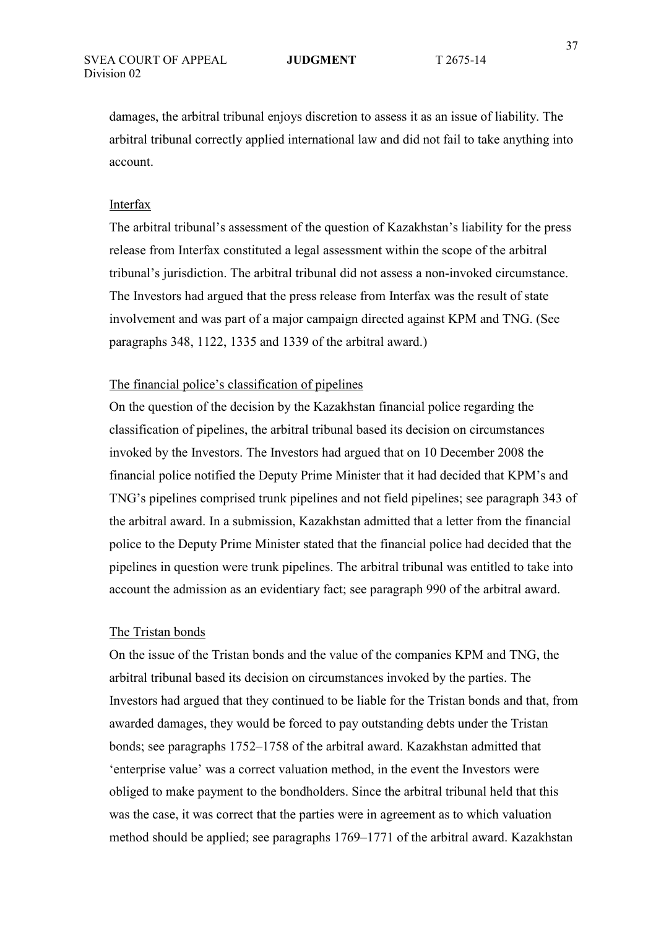damages, the arbitral tribunal enjoys discretion to assess it as an issue of liability. The arbitral tribunal correctly applied international law and did not fail to take anything into account.

### Interfax

The arbitral tribunal's assessment of the question of Kazakhstan's liability for the press release from Interfax constituted a legal assessment within the scope of the arbitral tribunal's jurisdiction. The arbitral tribunal did not assess a non-invoked circumstance. The Investors had argued that the press release from Interfax was the result of state involvement and was part of a major campaign directed against KPM and TNG. (See paragraphs 348, 1122, 1335 and 1339 of the arbitral award.)

## The financial police's classification of pipelines

On the question of the decision by the Kazakhstan financial police regarding the classification of pipelines, the arbitral tribunal based its decision on circumstances invoked by the Investors. The Investors had argued that on 10 December 2008 the financial police notified the Deputy Prime Minister that it had decided that KPM's and TNG's pipelines comprised trunk pipelines and not field pipelines; see paragraph 343 of the arbitral award. In a submission, Kazakhstan admitted that a letter from the financial police to the Deputy Prime Minister stated that the financial police had decided that the pipelines in question were trunk pipelines. The arbitral tribunal was entitled to take into account the admission as an evidentiary fact; see paragraph 990 of the arbitral award.

### The Tristan bonds

On the issue of the Tristan bonds and the value of the companies KPM and TNG, the arbitral tribunal based its decision on circumstances invoked by the parties. The Investors had argued that they continued to be liable for the Tristan bonds and that, from awarded damages, they would be forced to pay outstanding debts under the Tristan bonds; see paragraphs 1752–1758 of the arbitral award. Kazakhstan admitted that 'enterprise value' was a correct valuation method, in the event the Investors were obliged to make payment to the bondholders. Since the arbitral tribunal held that this was the case, it was correct that the parties were in agreement as to which valuation method should be applied; see paragraphs 1769–1771 of the arbitral award. Kazakhstan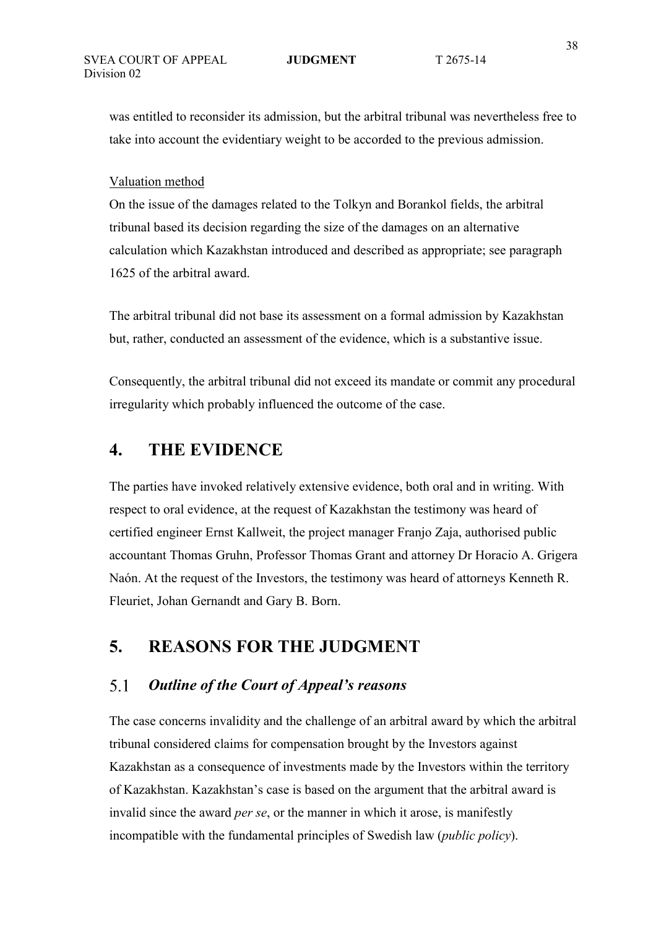was entitled to reconsider its admission, but the arbitral tribunal was nevertheless free to take into account the evidentiary weight to be accorded to the previous admission.

## Valuation method

On the issue of the damages related to the Tolkyn and Borankol fields, the arbitral tribunal based its decision regarding the size of the damages on an alternative calculation which Kazakhstan introduced and described as appropriate; see paragraph 1625 of the arbitral award.

The arbitral tribunal did not base its assessment on a formal admission by Kazakhstan but, rather, conducted an assessment of the evidence, which is a substantive issue.

Consequently, the arbitral tribunal did not exceed its mandate or commit any procedural irregularity which probably influenced the outcome of the case.

# **4. THE EVIDENCE**

The parties have invoked relatively extensive evidence, both oral and in writing. With respect to oral evidence, at the request of Kazakhstan the testimony was heard of certified engineer Ernst Kallweit, the project manager Franjo Zaja, authorised public accountant Thomas Gruhn, Professor Thomas Grant and attorney Dr Horacio A. Grigera Naón. At the request of the Investors, the testimony was heard of attorneys Kenneth R. Fleuriet, Johan Gernandt and Gary B. Born.

# **5. REASONS FOR THE JUDGMENT**

### $5.1$ *Outline of the Court of Appeal's reasons*

The case concerns invalidity and the challenge of an arbitral award by which the arbitral tribunal considered claims for compensation brought by the Investors against Kazakhstan as a consequence of investments made by the Investors within the territory of Kazakhstan. Kazakhstan's case is based on the argument that the arbitral award is invalid since the award *per se*, or the manner in which it arose, is manifestly incompatible with the fundamental principles of Swedish law (*public policy*).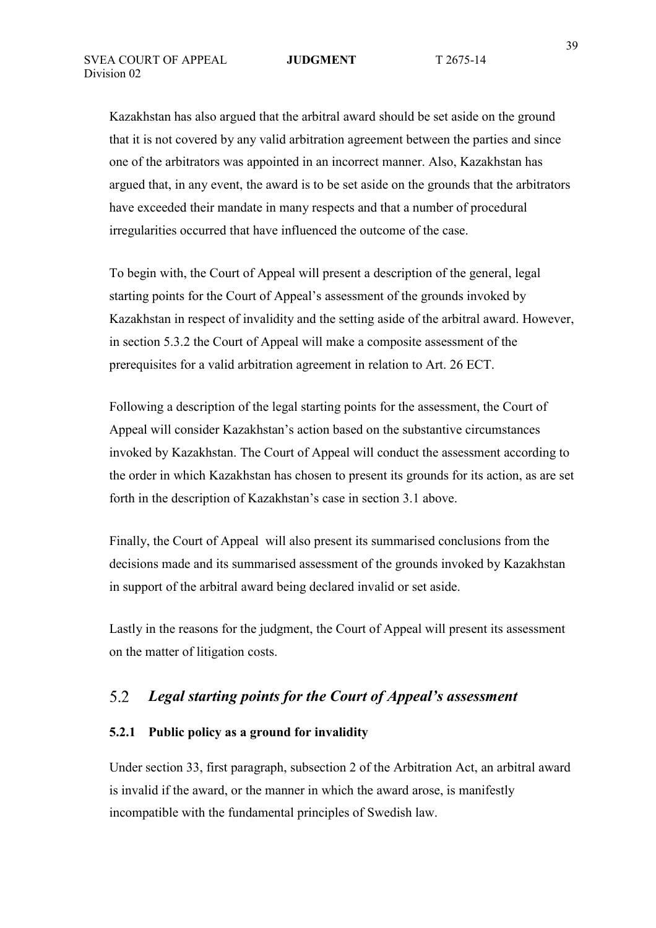Kazakhstan has also argued that the arbitral award should be set aside on the ground that it is not covered by any valid arbitration agreement between the parties and since one of the arbitrators was appointed in an incorrect manner. Also, Kazakhstan has argued that, in any event, the award is to be set aside on the grounds that the arbitrators have exceeded their mandate in many respects and that a number of procedural irregularities occurred that have influenced the outcome of the case.

To begin with, the Court of Appeal will present a description of the general, legal starting points for the Court of Appeal's assessment of the grounds invoked by Kazakhstan in respect of invalidity and the setting aside of the arbitral award. However, in section 5.3.2 the Court of Appeal will make a composite assessment of the prerequisites for a valid arbitration agreement in relation to Art. 26 ECT.

Following a description of the legal starting points for the assessment, the Court of Appeal will consider Kazakhstan's action based on the substantive circumstances invoked by Kazakhstan. The Court of Appeal will conduct the assessment according to the order in which Kazakhstan has chosen to present its grounds for its action, as are set forth in the description of Kazakhstan's case in section 3.1 above.

Finally, the Court of Appeal will also present its summarised conclusions from the decisions made and its summarised assessment of the grounds invoked by Kazakhstan in support of the arbitral award being declared invalid or set aside.

Lastly in the reasons for the judgment, the Court of Appeal will present its assessment on the matter of litigation costs.

### 5.2 *Legal starting points for the Court of Appeal's assessment*

## **5.2.1 Public policy as a ground for invalidity**

Under section 33, first paragraph, subsection 2 of the Arbitration Act, an arbitral award is invalid if the award, or the manner in which the award arose, is manifestly incompatible with the fundamental principles of Swedish law.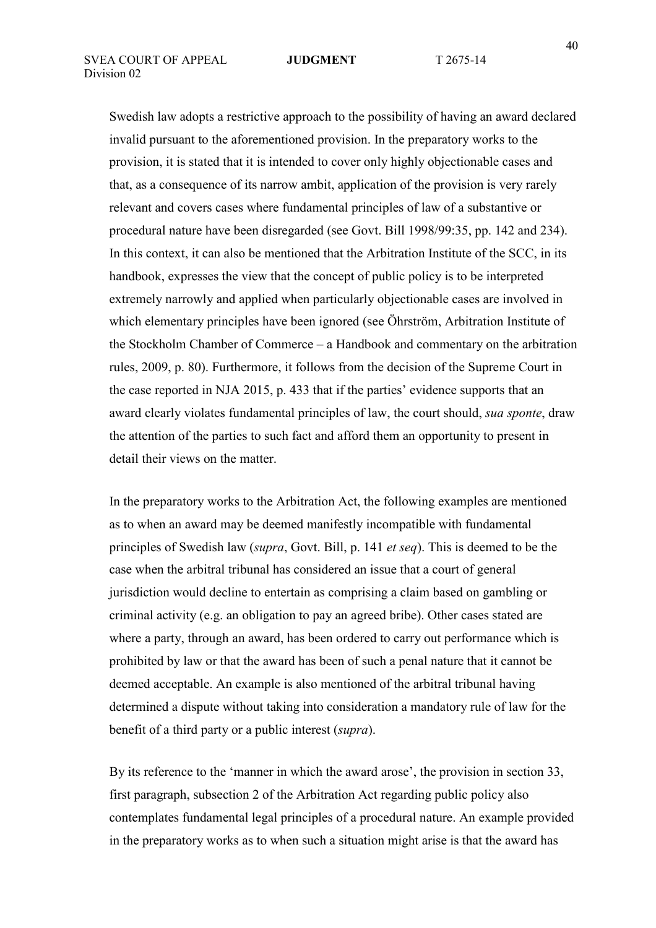Swedish law adopts a restrictive approach to the possibility of having an award declared invalid pursuant to the aforementioned provision. In the preparatory works to the provision, it is stated that it is intended to cover only highly objectionable cases and that, as a consequence of its narrow ambit, application of the provision is very rarely relevant and covers cases where fundamental principles of law of a substantive or procedural nature have been disregarded (see Govt. Bill 1998/99:35, pp. 142 and 234). In this context, it can also be mentioned that the Arbitration Institute of the SCC, in its handbook, expresses the view that the concept of public policy is to be interpreted extremely narrowly and applied when particularly objectionable cases are involved in which elementary principles have been ignored (see Öhrström, Arbitration Institute of the Stockholm Chamber of Commerce – a Handbook and commentary on the arbitration rules, 2009, p. 80). Furthermore, it follows from the decision of the Supreme Court in the case reported in NJA 2015, p. 433 that if the parties' evidence supports that an award clearly violates fundamental principles of law, the court should, *sua sponte*, draw the attention of the parties to such fact and afford them an opportunity to present in detail their views on the matter.

In the preparatory works to the Arbitration Act, the following examples are mentioned as to when an award may be deemed manifestly incompatible with fundamental principles of Swedish law (*supra*, Govt. Bill, p. 141 *et seq*). This is deemed to be the case when the arbitral tribunal has considered an issue that a court of general jurisdiction would decline to entertain as comprising a claim based on gambling or criminal activity (e.g. an obligation to pay an agreed bribe). Other cases stated are where a party, through an award, has been ordered to carry out performance which is prohibited by law or that the award has been of such a penal nature that it cannot be deemed acceptable. An example is also mentioned of the arbitral tribunal having determined a dispute without taking into consideration a mandatory rule of law for the benefit of a third party or a public interest (*supra*).

By its reference to the 'manner in which the award arose', the provision in section 33, first paragraph, subsection 2 of the Arbitration Act regarding public policy also contemplates fundamental legal principles of a procedural nature. An example provided in the preparatory works as to when such a situation might arise is that the award has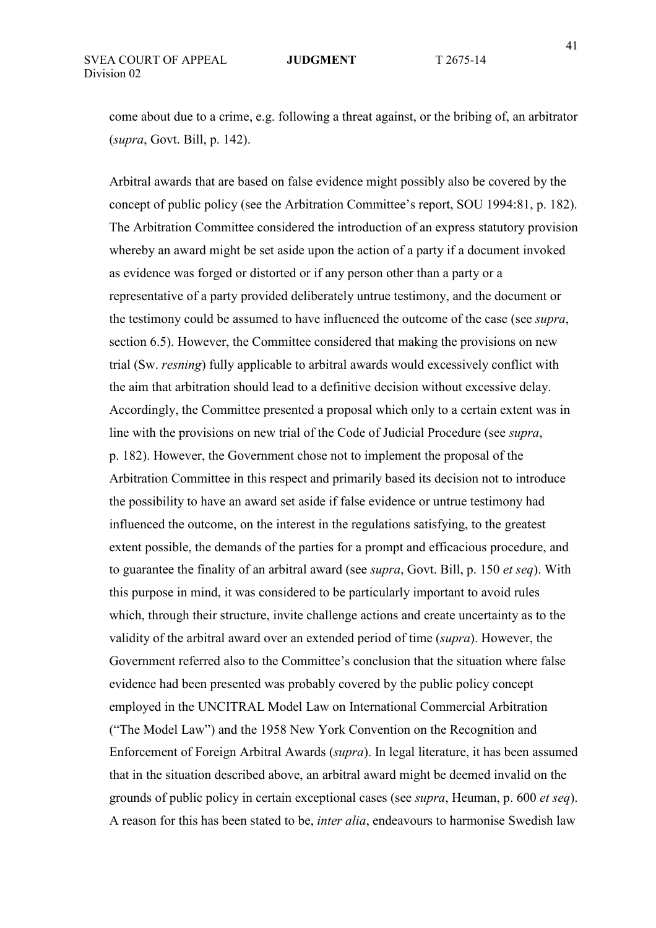come about due to a crime, e.g. following a threat against, or the bribing of, an arbitrator (*supra*, Govt. Bill, p. 142).

Arbitral awards that are based on false evidence might possibly also be covered by the concept of public policy (see the Arbitration Committee's report, SOU 1994:81, p. 182). The Arbitration Committee considered the introduction of an express statutory provision whereby an award might be set aside upon the action of a party if a document invoked as evidence was forged or distorted or if any person other than a party or a representative of a party provided deliberately untrue testimony, and the document or the testimony could be assumed to have influenced the outcome of the case (see *supra*, section 6.5). However, the Committee considered that making the provisions on new trial (Sw. *resning*) fully applicable to arbitral awards would excessively conflict with the aim that arbitration should lead to a definitive decision without excessive delay. Accordingly, the Committee presented a proposal which only to a certain extent was in line with the provisions on new trial of the Code of Judicial Procedure (see *supra*, p. 182). However, the Government chose not to implement the proposal of the Arbitration Committee in this respect and primarily based its decision not to introduce the possibility to have an award set aside if false evidence or untrue testimony had influenced the outcome, on the interest in the regulations satisfying, to the greatest extent possible, the demands of the parties for a prompt and efficacious procedure, and to guarantee the finality of an arbitral award (see *supra*, Govt. Bill, p. 150 *et seq*). With this purpose in mind, it was considered to be particularly important to avoid rules which, through their structure, invite challenge actions and create uncertainty as to the validity of the arbitral award over an extended period of time (*supra*). However, the Government referred also to the Committee's conclusion that the situation where false evidence had been presented was probably covered by the public policy concept employed in the UNCITRAL Model Law on International Commercial Arbitration ("The Model Law") and the 1958 New York Convention on the Recognition and Enforcement of Foreign Arbitral Awards (*supra*). In legal literature, it has been assumed that in the situation described above, an arbitral award might be deemed invalid on the grounds of public policy in certain exceptional cases (see *supra*, Heuman, p. 600 *et seq*). A reason for this has been stated to be, *inter alia*, endeavours to harmonise Swedish law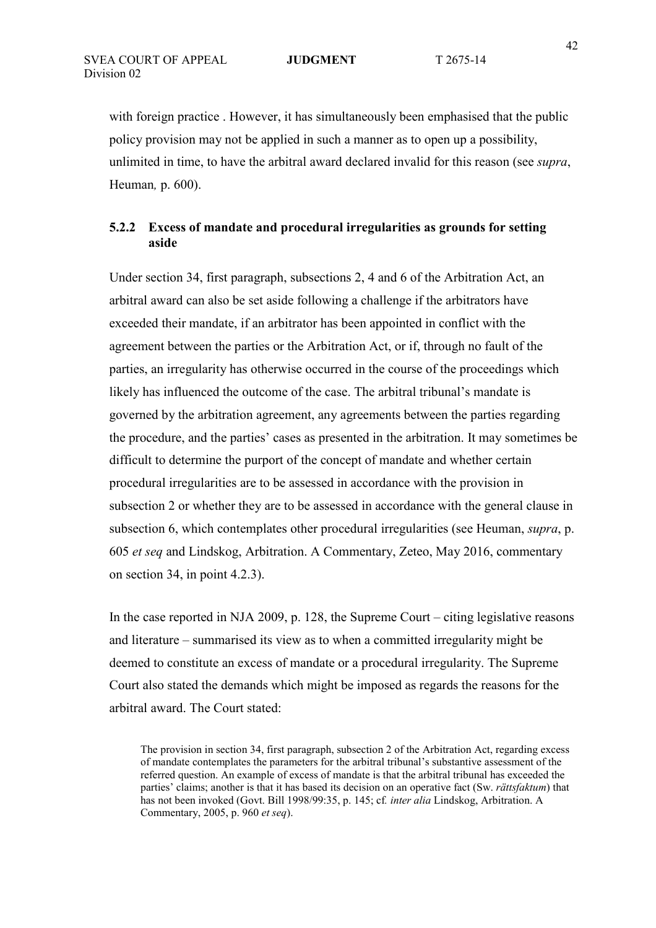with foreign practice . However, it has simultaneously been emphasised that the public policy provision may not be applied in such a manner as to open up a possibility, unlimited in time, to have the arbitral award declared invalid for this reason (see *supra*, Heuman*,* p. 600).

# **5.2.2 Excess of mandate and procedural irregularities as grounds for setting aside**

Under section 34, first paragraph, subsections 2, 4 and 6 of the Arbitration Act, an arbitral award can also be set aside following a challenge if the arbitrators have exceeded their mandate, if an arbitrator has been appointed in conflict with the agreement between the parties or the Arbitration Act, or if, through no fault of the parties, an irregularity has otherwise occurred in the course of the proceedings which likely has influenced the outcome of the case. The arbitral tribunal's mandate is governed by the arbitration agreement, any agreements between the parties regarding the procedure, and the parties' cases as presented in the arbitration. It may sometimes be difficult to determine the purport of the concept of mandate and whether certain procedural irregularities are to be assessed in accordance with the provision in subsection 2 or whether they are to be assessed in accordance with the general clause in subsection 6, which contemplates other procedural irregularities (see Heuman, *supra*, p. 605 *et seq* and Lindskog, Arbitration. A Commentary, Zeteo, May 2016, commentary on section 34, in point 4.2.3).

In the case reported in NJA 2009, p. 128, the Supreme Court – citing legislative reasons and literature – summarised its view as to when a committed irregularity might be deemed to constitute an excess of mandate or a procedural irregularity. The Supreme Court also stated the demands which might be imposed as regards the reasons for the arbitral award. The Court stated:

The provision in section 34, first paragraph, subsection 2 of the Arbitration Act, regarding excess of mandate contemplates the parameters for the arbitral tribunal's substantive assessment of the referred question. An example of excess of mandate is that the arbitral tribunal has exceeded the parties' claims; another is that it has based its decision on an operative fact (Sw. *rättsfaktum*) that has not been invoked (Govt. Bill 1998/99:35, p. 145; cf*. inter alia* Lindskog, Arbitration. A Commentary, 2005, p. 960 *et seq*).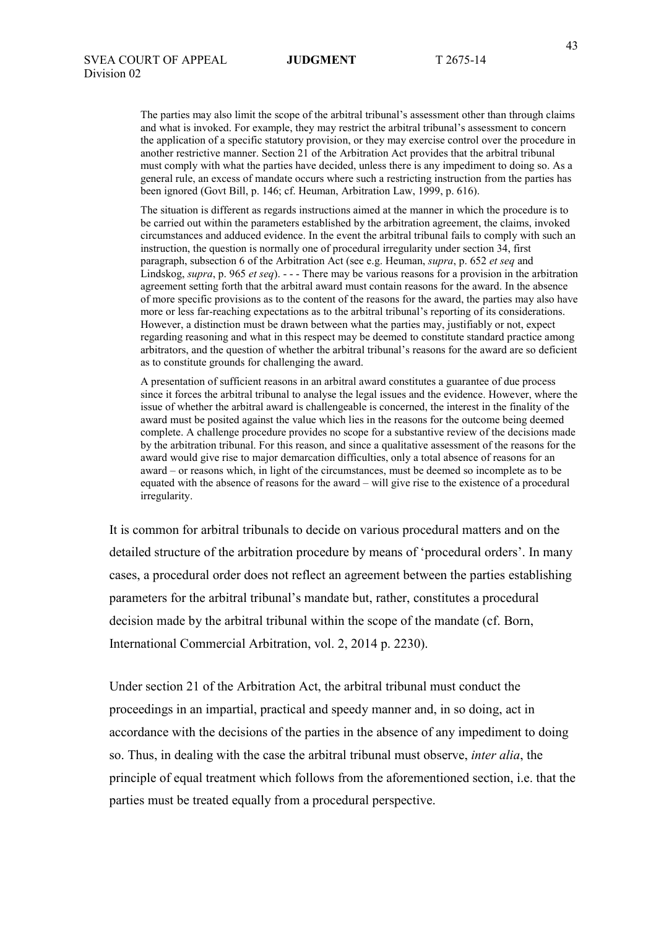The parties may also limit the scope of the arbitral tribunal's assessment other than through claims and what is invoked. For example, they may restrict the arbitral tribunal's assessment to concern the application of a specific statutory provision, or they may exercise control over the procedure in another restrictive manner. Section 21 of the Arbitration Act provides that the arbitral tribunal must comply with what the parties have decided, unless there is any impediment to doing so. As a general rule, an excess of mandate occurs where such a restricting instruction from the parties has been ignored (Govt Bill, p. 146; cf. Heuman, Arbitration Law, 1999, p. 616).

The situation is different as regards instructions aimed at the manner in which the procedure is to be carried out within the parameters established by the arbitration agreement, the claims, invoked circumstances and adduced evidence. In the event the arbitral tribunal fails to comply with such an instruction, the question is normally one of procedural irregularity under section 34, first paragraph, subsection 6 of the Arbitration Act (see e.g. Heuman, *supra*, p. 652 *et seq* and Lindskog, *supra*, p. 965 *et seq*). - - - There may be various reasons for a provision in the arbitration agreement setting forth that the arbitral award must contain reasons for the award. In the absence of more specific provisions as to the content of the reasons for the award, the parties may also have more or less far-reaching expectations as to the arbitral tribunal's reporting of its considerations. However, a distinction must be drawn between what the parties may, justifiably or not, expect regarding reasoning and what in this respect may be deemed to constitute standard practice among arbitrators, and the question of whether the arbitral tribunal's reasons for the award are so deficient as to constitute grounds for challenging the award.

A presentation of sufficient reasons in an arbitral award constitutes a guarantee of due process since it forces the arbitral tribunal to analyse the legal issues and the evidence. However, where the issue of whether the arbitral award is challengeable is concerned, the interest in the finality of the award must be posited against the value which lies in the reasons for the outcome being deemed complete. A challenge procedure provides no scope for a substantive review of the decisions made by the arbitration tribunal. For this reason, and since a qualitative assessment of the reasons for the award would give rise to major demarcation difficulties, only a total absence of reasons for an award – or reasons which, in light of the circumstances, must be deemed so incomplete as to be equated with the absence of reasons for the award – will give rise to the existence of a procedural irregularity.

It is common for arbitral tribunals to decide on various procedural matters and on the detailed structure of the arbitration procedure by means of 'procedural orders'. In many cases, a procedural order does not reflect an agreement between the parties establishing parameters for the arbitral tribunal's mandate but, rather, constitutes a procedural decision made by the arbitral tribunal within the scope of the mandate (cf. Born, International Commercial Arbitration, vol. 2, 2014 p. 2230).

Under section 21 of the Arbitration Act, the arbitral tribunal must conduct the proceedings in an impartial, practical and speedy manner and, in so doing, act in accordance with the decisions of the parties in the absence of any impediment to doing so. Thus, in dealing with the case the arbitral tribunal must observe, *inter alia*, the principle of equal treatment which follows from the aforementioned section, i.e. that the parties must be treated equally from a procedural perspective.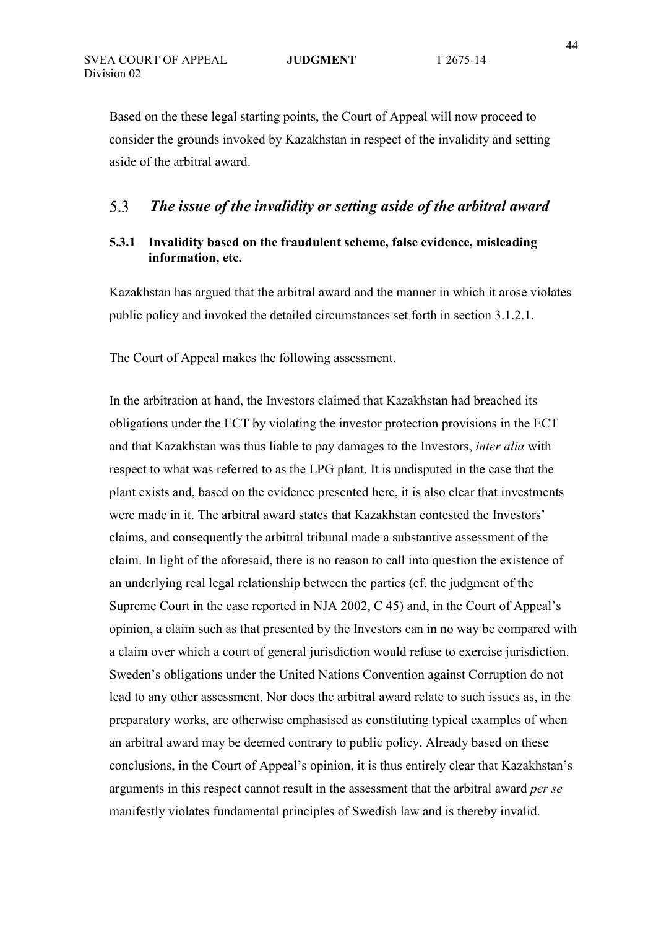Based on the these legal starting points, the Court of Appeal will now proceed to consider the grounds invoked by Kazakhstan in respect of the invalidity and setting aside of the arbitral award.

### 5.3  *The issue of the invalidity or setting aside of the arbitral award*

# **5.3.1 Invalidity based on the fraudulent scheme, false evidence, misleading information, etc.**

Kazakhstan has argued that the arbitral award and the manner in which it arose violates public policy and invoked the detailed circumstances set forth in section 3.1.2.1.

The Court of Appeal makes the following assessment.

In the arbitration at hand, the Investors claimed that Kazakhstan had breached its obligations under the ECT by violating the investor protection provisions in the ECT and that Kazakhstan was thus liable to pay damages to the Investors, *inter alia* with respect to what was referred to as the LPG plant. It is undisputed in the case that the plant exists and, based on the evidence presented here, it is also clear that investments were made in it. The arbitral award states that Kazakhstan contested the Investors' claims, and consequently the arbitral tribunal made a substantive assessment of the claim. In light of the aforesaid, there is no reason to call into question the existence of an underlying real legal relationship between the parties (cf. the judgment of the Supreme Court in the case reported in NJA 2002, C 45) and, in the Court of Appeal's opinion, a claim such as that presented by the Investors can in no way be compared with a claim over which a court of general jurisdiction would refuse to exercise jurisdiction. Sweden's obligations under the United Nations Convention against Corruption do not lead to any other assessment. Nor does the arbitral award relate to such issues as, in the preparatory works, are otherwise emphasised as constituting typical examples of when an arbitral award may be deemed contrary to public policy. Already based on these conclusions, in the Court of Appeal's opinion, it is thus entirely clear that Kazakhstan's arguments in this respect cannot result in the assessment that the arbitral award *per se* manifestly violates fundamental principles of Swedish law and is thereby invalid.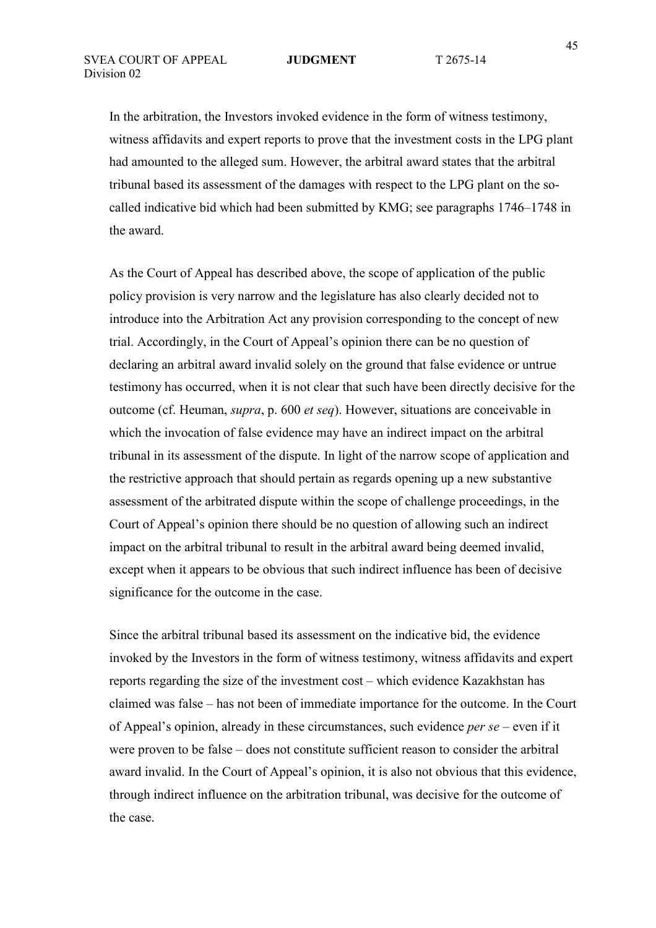In the arbitration, the Investors invoked evidence in the form of witness testimony, witness affidavits and expert reports to prove that the investment costs in the LPG plant had amounted to the alleged sum. However, the arbitral award states that the arbitral tribunal based its assessment of the damages with respect to the LPG plant on the socalled indicative bid which had been submitted by KMG; see paragraphs 1746–1748 in the award.

As the Court of Appeal has described above, the scope of application of the public policy provision is very narrow and the legislature has also clearly decided not to introduce into the Arbitration Act any provision corresponding to the concept of new trial. Accordingly, in the Court of Appeal's opinion there can be no question of declaring an arbitral award invalid solely on the ground that false evidence or untrue testimony has occurred, when it is not clear that such have been directly decisive for the outcome (cf. Heuman, *supra*, p. 600 *et seq*). However, situations are conceivable in which the invocation of false evidence may have an indirect impact on the arbitral tribunal in its assessment of the dispute. In light of the narrow scope of application and the restrictive approach that should pertain as regards opening up a new substantive assessment of the arbitrated dispute within the scope of challenge proceedings, in the Court of Appeal's opinion there should be no question of allowing such an indirect impact on the arbitral tribunal to result in the arbitral award being deemed invalid, except when it appears to be obvious that such indirect influence has been of decisive significance for the outcome in the case.

Since the arbitral tribunal based its assessment on the indicative bid, the evidence invoked by the Investors in the form of witness testimony, witness affidavits and expert reports regarding the size of the investment cost – which evidence Kazakhstan has claimed was false – has not been of immediate importance for the outcome. In the Court of Appeal's opinion, already in these circumstances, such evidence *per se* – even if it were proven to be false – does not constitute sufficient reason to consider the arbitral award invalid. In the Court of Appeal's opinion, it is also not obvious that this evidence, through indirect influence on the arbitration tribunal, was decisive for the outcome of the case.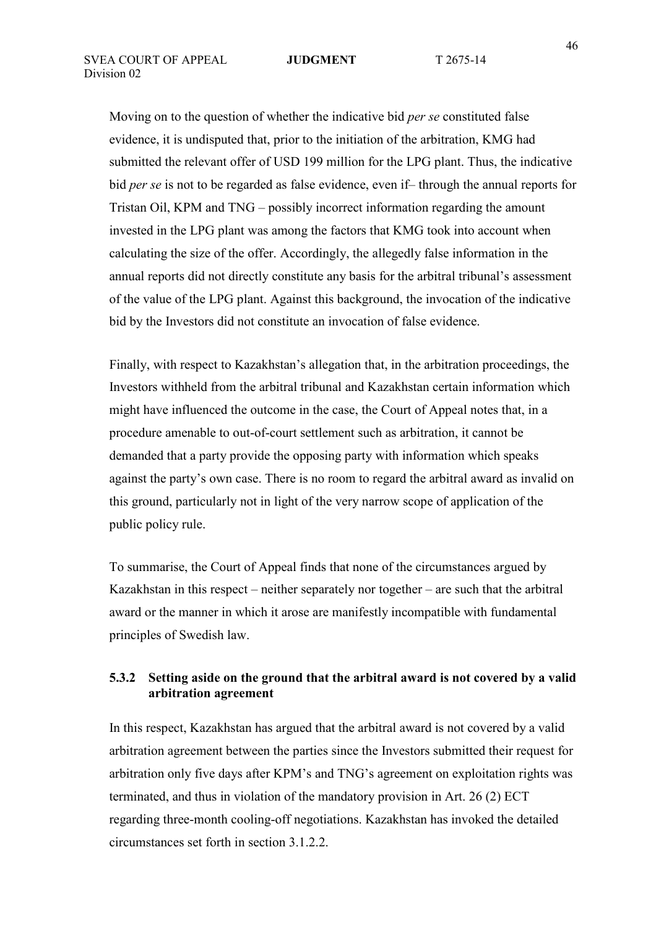Moving on to the question of whether the indicative bid *per se* constituted false evidence, it is undisputed that, prior to the initiation of the arbitration, KMG had submitted the relevant offer of USD 199 million for the LPG plant. Thus, the indicative bid *per se* is not to be regarded as false evidence, even if– through the annual reports for Tristan Oil, KPM and TNG – possibly incorrect information regarding the amount invested in the LPG plant was among the factors that KMG took into account when calculating the size of the offer. Accordingly, the allegedly false information in the annual reports did not directly constitute any basis for the arbitral tribunal's assessment of the value of the LPG plant. Against this background, the invocation of the indicative bid by the Investors did not constitute an invocation of false evidence.

Finally, with respect to Kazakhstan's allegation that, in the arbitration proceedings, the Investors withheld from the arbitral tribunal and Kazakhstan certain information which might have influenced the outcome in the case, the Court of Appeal notes that, in a procedure amenable to out-of-court settlement such as arbitration, it cannot be demanded that a party provide the opposing party with information which speaks against the party's own case. There is no room to regard the arbitral award as invalid on this ground, particularly not in light of the very narrow scope of application of the public policy rule.

To summarise, the Court of Appeal finds that none of the circumstances argued by Kazakhstan in this respect – neither separately nor together – are such that the arbitral award or the manner in which it arose are manifestly incompatible with fundamental principles of Swedish law.

## **5.3.2 Setting aside on the ground that the arbitral award is not covered by a valid arbitration agreement**

In this respect, Kazakhstan has argued that the arbitral award is not covered by a valid arbitration agreement between the parties since the Investors submitted their request for arbitration only five days after KPM's and TNG's agreement on exploitation rights was terminated, and thus in violation of the mandatory provision in Art. 26 (2) ECT regarding three-month cooling-off negotiations. Kazakhstan has invoked the detailed circumstances set forth in section 3.1.2.2.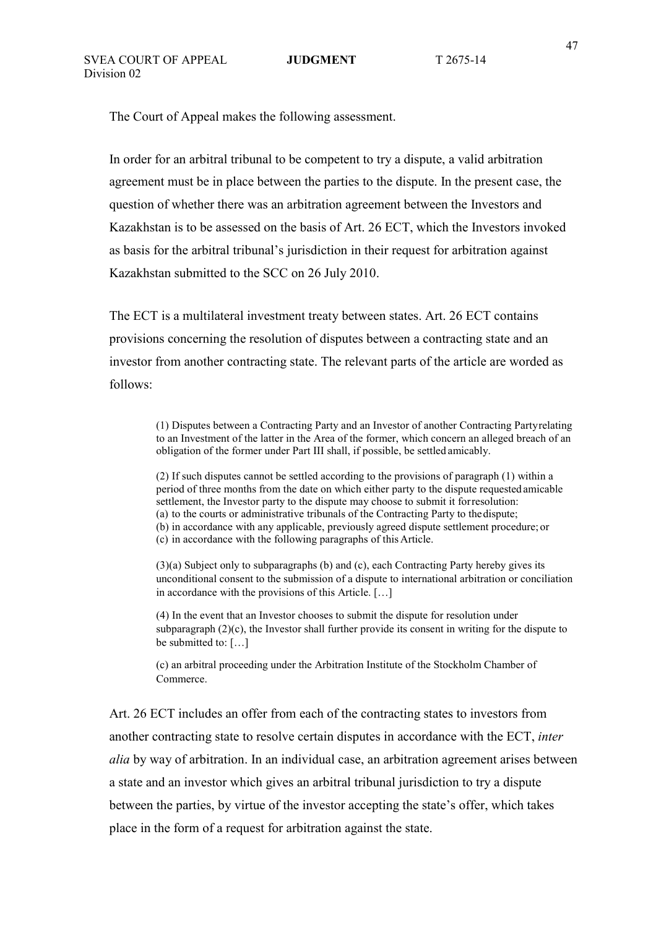The Court of Appeal makes the following assessment.

In order for an arbitral tribunal to be competent to try a dispute, a valid arbitration agreement must be in place between the parties to the dispute. In the present case, the question of whether there was an arbitration agreement between the Investors and Kazakhstan is to be assessed on the basis of Art. 26 ECT, which the Investors invoked as basis for the arbitral tribunal's jurisdiction in their request for arbitration against Kazakhstan submitted to the SCC on 26 July 2010.

The ECT is a multilateral investment treaty between states. Art. 26 ECT contains provisions concerning the resolution of disputes between a contracting state and an investor from another contracting state. The relevant parts of the article are worded as follows:

> (1) Disputes between a Contracting Party and an Investor of another Contracting Party relating to an Investment of the latter in the Area of the former, which concern an alleged breach of an obligation of the former under Part III shall, if possible, be settled amicably.

(2) If such disputes cannot be settled according to the provisions of paragraph (1) within a period of three months from the date on which either party to the dispute requested amicable settlement, the Investor party to the dispute may choose to submit it for resolution: (a) to the courts or administrative tribunals of the Contracting Party to the dispute; (b) in accordance with any applicable, previously agreed dispute settlement procedure; or (c) in accordance with the following paragraphs of this Article.

(3)(a) Subject only to subparagraphs (b) and (c), each Contracting Party hereby gives its unconditional consent to the submission of a dispute to international arbitration or conciliation in accordance with the provisions of this Article. […]

(4) In the event that an Investor chooses to submit the dispute for resolution under subparagraph (2)(c), the Investor shall further provide its consent in writing for the dispute to be submitted to: […]

(c) an arbitral proceeding under the Arbitration Institute of the Stockholm Chamber of Commerce.

Art. 26 ECT includes an offer from each of the contracting states to investors from another contracting state to resolve certain disputes in accordance with the ECT, *inter alia* by way of arbitration. In an individual case, an arbitration agreement arises between a state and an investor which gives an arbitral tribunal jurisdiction to try a dispute between the parties, by virtue of the investor accepting the state's offer, which takes place in the form of a request for arbitration against the state.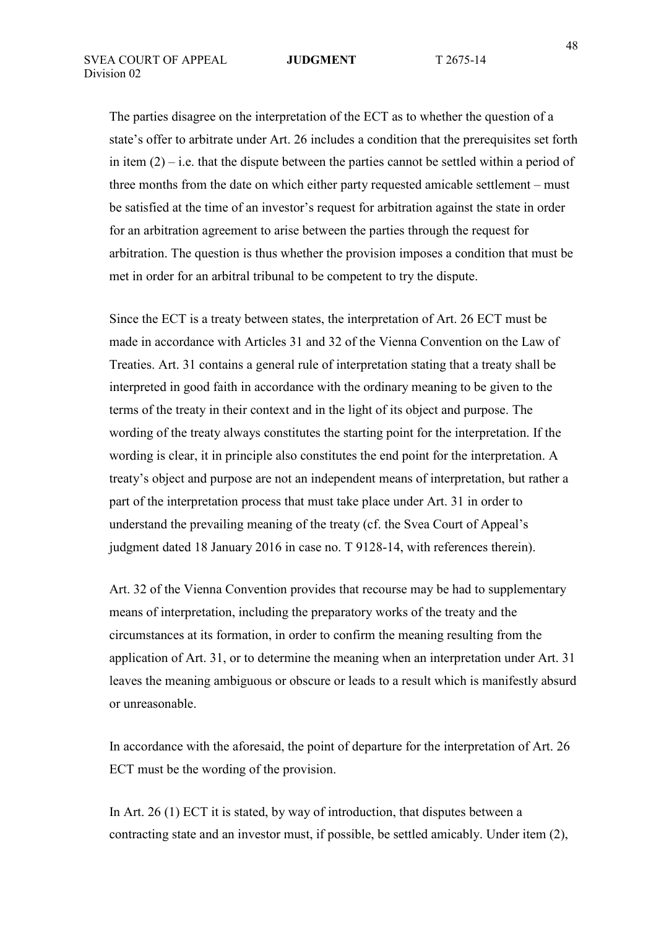The parties disagree on the interpretation of the ECT as to whether the question of a state's offer to arbitrate under Art. 26 includes a condition that the prerequisites set forth in item  $(2)$  – i.e. that the dispute between the parties cannot be settled within a period of three months from the date on which either party requested amicable settlement – must be satisfied at the time of an investor's request for arbitration against the state in order for an arbitration agreement to arise between the parties through the request for arbitration. The question is thus whether the provision imposes a condition that must be met in order for an arbitral tribunal to be competent to try the dispute.

Since the ECT is a treaty between states, the interpretation of Art. 26 ECT must be made in accordance with Articles 31 and 32 of the Vienna Convention on the Law of Treaties. Art. 31 contains a general rule of interpretation stating that a treaty shall be interpreted in good faith in accordance with the ordinary meaning to be given to the terms of the treaty in their context and in the light of its object and purpose. The wording of the treaty always constitutes the starting point for the interpretation. If the wording is clear, it in principle also constitutes the end point for the interpretation. A treaty's object and purpose are not an independent means of interpretation, but rather a part of the interpretation process that must take place under Art. 31 in order to understand the prevailing meaning of the treaty (cf. the Svea Court of Appeal's judgment dated 18 January 2016 in case no. T 9128-14, with references therein).

Art. 32 of the Vienna Convention provides that recourse may be had to supplementary means of interpretation, including the preparatory works of the treaty and the circumstances at its formation, in order to confirm the meaning resulting from the application of Art. 31, or to determine the meaning when an interpretation under Art. 31 leaves the meaning ambiguous or obscure or leads to a result which is manifestly absurd or unreasonable.

In accordance with the aforesaid, the point of departure for the interpretation of Art. 26 ECT must be the wording of the provision.

In Art. 26 (1) ECT it is stated, by way of introduction, that disputes between a contracting state and an investor must, if possible, be settled amicably. Under item (2),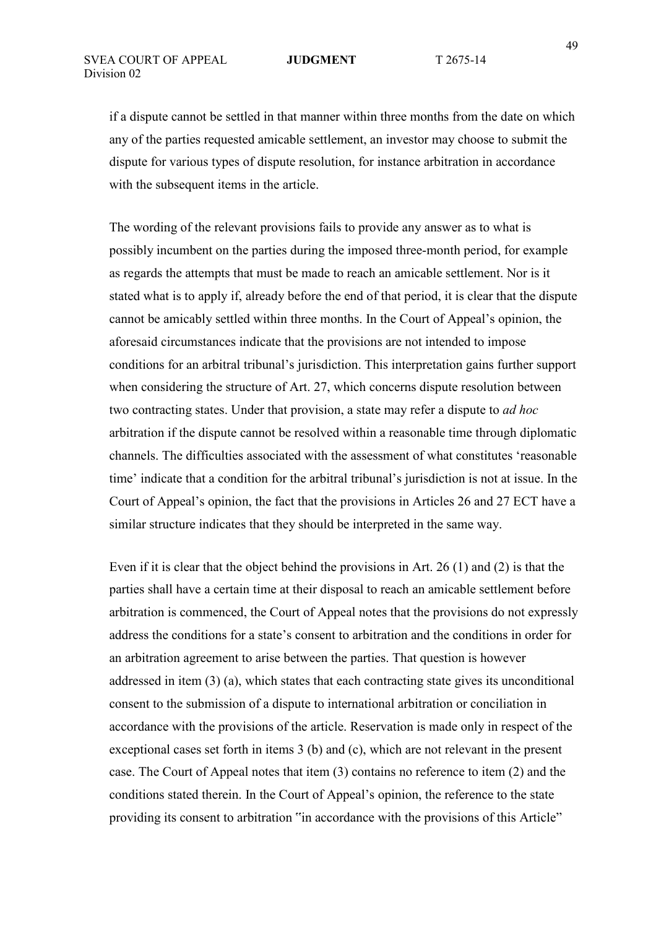if a dispute cannot be settled in that manner within three months from the date on which any of the parties requested amicable settlement, an investor may choose to submit the dispute for various types of dispute resolution, for instance arbitration in accordance with the subsequent items in the article.

The wording of the relevant provisions fails to provide any answer as to what is possibly incumbent on the parties during the imposed three-month period, for example as regards the attempts that must be made to reach an amicable settlement. Nor is it stated what is to apply if, already before the end of that period, it is clear that the dispute cannot be amicably settled within three months. In the Court of Appeal's opinion, the aforesaid circumstances indicate that the provisions are not intended to impose conditions for an arbitral tribunal's jurisdiction. This interpretation gains further support when considering the structure of Art. 27, which concerns dispute resolution between two contracting states. Under that provision, a state may refer a dispute to *ad hoc* arbitration if the dispute cannot be resolved within a reasonable time through diplomatic channels. The difficulties associated with the assessment of what constitutes 'reasonable time' indicate that a condition for the arbitral tribunal's jurisdiction is not at issue. In the Court of Appeal's opinion, the fact that the provisions in Articles 26 and 27 ECT have a similar structure indicates that they should be interpreted in the same way.

Even if it is clear that the object behind the provisions in Art. 26 (1) and (2) is that the parties shall have a certain time at their disposal to reach an amicable settlement before arbitration is commenced, the Court of Appeal notes that the provisions do not expressly address the conditions for a state's consent to arbitration and the conditions in order for an arbitration agreement to arise between the parties. That question is however addressed in item (3) (a), which states that each contracting state gives its unconditional consent to the submission of a dispute to international arbitration or conciliation in accordance with the provisions of the article. Reservation is made only in respect of the exceptional cases set forth in items 3 (b) and (c), which are not relevant in the present case. The Court of Appeal notes that item (3) contains no reference to item (2) and the conditions stated therein. In the Court of Appeal's opinion, the reference to the state providing its consent to arbitration "in accordance with the provisions of this Article"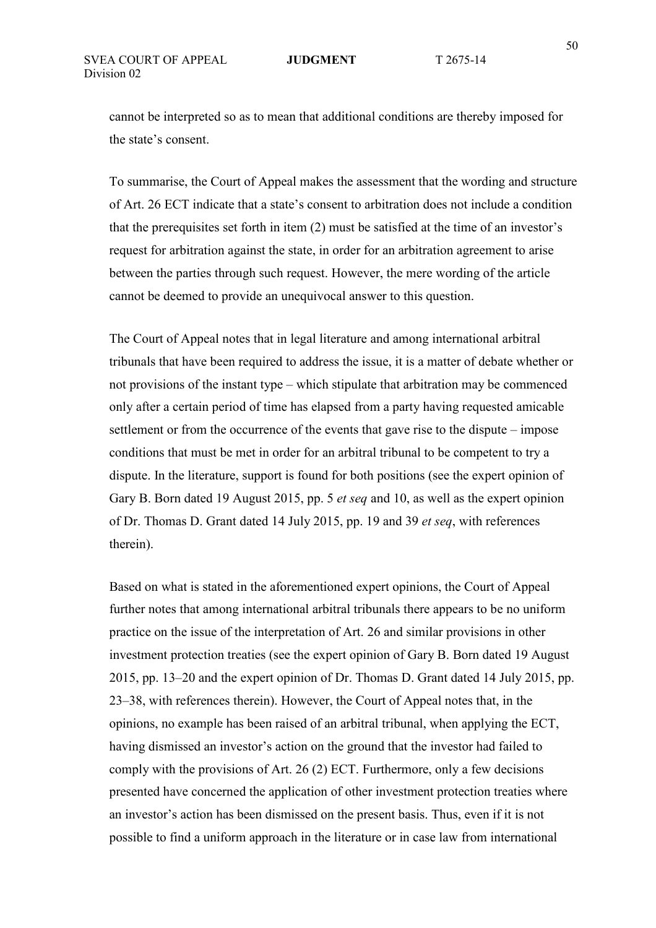cannot be interpreted so as to mean that additional conditions are thereby imposed for the state's consent.

To summarise, the Court of Appeal makes the assessment that the wording and structure of Art. 26 ECT indicate that a state's consent to arbitration does not include a condition that the prerequisites set forth in item (2) must be satisfied at the time of an investor's request for arbitration against the state, in order for an arbitration agreement to arise between the parties through such request. However, the mere wording of the article cannot be deemed to provide an unequivocal answer to this question.

The Court of Appeal notes that in legal literature and among international arbitral tribunals that have been required to address the issue, it is a matter of debate whether or not provisions of the instant type – which stipulate that arbitration may be commenced only after a certain period of time has elapsed from a party having requested amicable settlement or from the occurrence of the events that gave rise to the dispute – impose conditions that must be met in order for an arbitral tribunal to be competent to try a dispute. In the literature, support is found for both positions (see the expert opinion of Gary B. Born dated 19 August 2015, pp. 5 *et seq* and 10, as well as the expert opinion of Dr. Thomas D. Grant dated 14 July 2015, pp. 19 and 39 *et seq*, with references therein).

Based on what is stated in the aforementioned expert opinions, the Court of Appeal further notes that among international arbitral tribunals there appears to be no uniform practice on the issue of the interpretation of Art. 26 and similar provisions in other investment protection treaties (see the expert opinion of Gary B. Born dated 19 August 2015, pp. 13–20 and the expert opinion of Dr. Thomas D. Grant dated 14 July 2015, pp. 23–38, with references therein). However, the Court of Appeal notes that, in the opinions, no example has been raised of an arbitral tribunal, when applying the ECT, having dismissed an investor's action on the ground that the investor had failed to comply with the provisions of Art. 26 (2) ECT. Furthermore, only a few decisions presented have concerned the application of other investment protection treaties where an investor's action has been dismissed on the present basis. Thus, even if it is not possible to find a uniform approach in the literature or in case law from international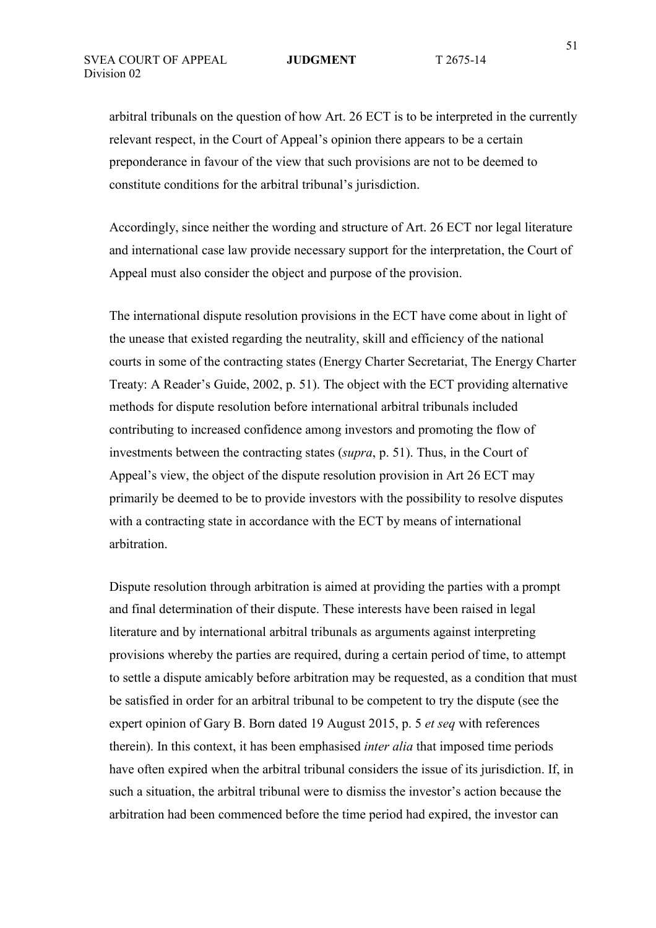arbitral tribunals on the question of how Art. 26 ECT is to be interpreted in the currently relevant respect, in the Court of Appeal's opinion there appears to be a certain preponderance in favour of the view that such provisions are not to be deemed to constitute conditions for the arbitral tribunal's jurisdiction.

Accordingly, since neither the wording and structure of Art. 26 ECT nor legal literature and international case law provide necessary support for the interpretation, the Court of Appeal must also consider the object and purpose of the provision.

The international dispute resolution provisions in the ECT have come about in light of the unease that existed regarding the neutrality, skill and efficiency of the national courts in some of the contracting states (Energy Charter Secretariat, The Energy Charter Treaty: A Reader's Guide, 2002, p. 51). The object with the ECT providing alternative methods for dispute resolution before international arbitral tribunals included contributing to increased confidence among investors and promoting the flow of investments between the contracting states (*supra*, p. 51). Thus, in the Court of Appeal's view, the object of the dispute resolution provision in Art 26 ECT may primarily be deemed to be to provide investors with the possibility to resolve disputes with a contracting state in accordance with the ECT by means of international arbitration.

Dispute resolution through arbitration is aimed at providing the parties with a prompt and final determination of their dispute. These interests have been raised in legal literature and by international arbitral tribunals as arguments against interpreting provisions whereby the parties are required, during a certain period of time, to attempt to settle a dispute amicably before arbitration may be requested, as a condition that must be satisfied in order for an arbitral tribunal to be competent to try the dispute (see the expert opinion of Gary B. Born dated 19 August 2015, p. 5 *et seq* with references therein). In this context, it has been emphasised *inter alia* that imposed time periods have often expired when the arbitral tribunal considers the issue of its jurisdiction. If, in such a situation, the arbitral tribunal were to dismiss the investor's action because the arbitration had been commenced before the time period had expired, the investor can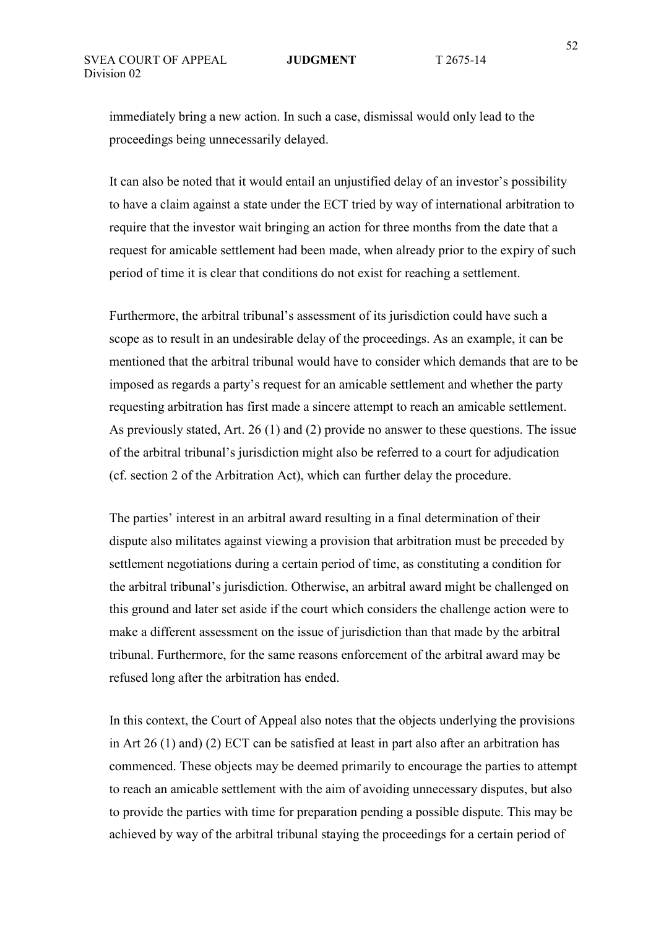immediately bring a new action. In such a case, dismissal would only lead to the proceedings being unnecessarily delayed.

It can also be noted that it would entail an unjustified delay of an investor's possibility to have a claim against a state under the ECT tried by way of international arbitration to require that the investor wait bringing an action for three months from the date that a request for amicable settlement had been made, when already prior to the expiry of such period of time it is clear that conditions do not exist for reaching a settlement.

Furthermore, the arbitral tribunal's assessment of its jurisdiction could have such a scope as to result in an undesirable delay of the proceedings. As an example, it can be mentioned that the arbitral tribunal would have to consider which demands that are to be imposed as regards a party's request for an amicable settlement and whether the party requesting arbitration has first made a sincere attempt to reach an amicable settlement. As previously stated, Art. 26 (1) and (2) provide no answer to these questions. The issue of the arbitral tribunal's jurisdiction might also be referred to a court for adjudication (cf. section 2 of the Arbitration Act), which can further delay the procedure.

The parties' interest in an arbitral award resulting in a final determination of their dispute also militates against viewing a provision that arbitration must be preceded by settlement negotiations during a certain period of time, as constituting a condition for the arbitral tribunal's jurisdiction. Otherwise, an arbitral award might be challenged on this ground and later set aside if the court which considers the challenge action were to make a different assessment on the issue of jurisdiction than that made by the arbitral tribunal. Furthermore, for the same reasons enforcement of the arbitral award may be refused long after the arbitration has ended.

In this context, the Court of Appeal also notes that the objects underlying the provisions in Art 26 (1) and) (2) ECT can be satisfied at least in part also after an arbitration has commenced. These objects may be deemed primarily to encourage the parties to attempt to reach an amicable settlement with the aim of avoiding unnecessary disputes, but also to provide the parties with time for preparation pending a possible dispute. This may be achieved by way of the arbitral tribunal staying the proceedings for a certain period of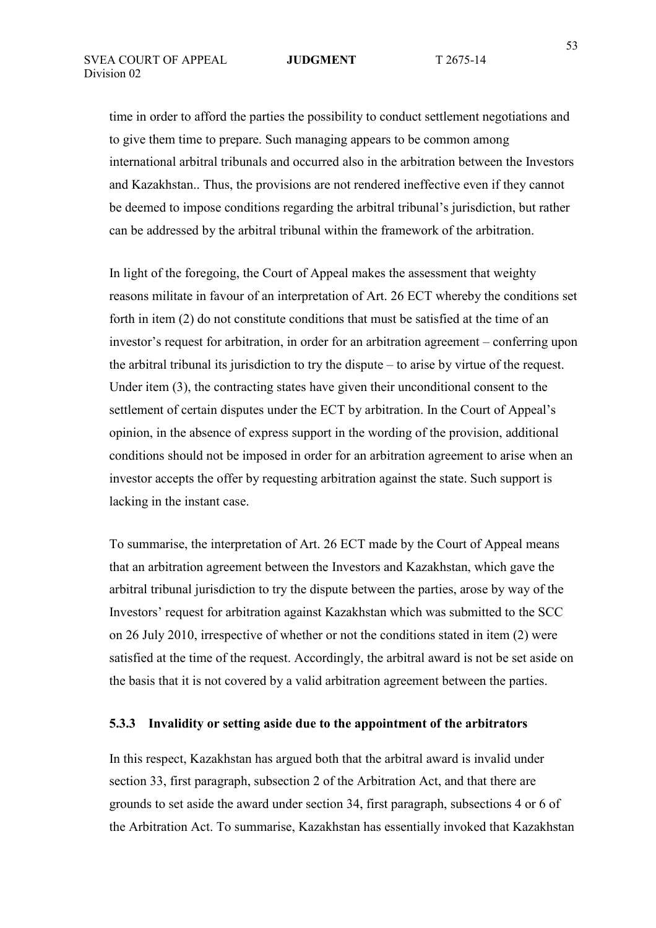time in order to afford the parties the possibility to conduct settlement negotiations and to give them time to prepare. Such managing appears to be common among international arbitral tribunals and occurred also in the arbitration between the Investors and Kazakhstan.. Thus, the provisions are not rendered ineffective even if they cannot be deemed to impose conditions regarding the arbitral tribunal's jurisdiction, but rather can be addressed by the arbitral tribunal within the framework of the arbitration.

In light of the foregoing, the Court of Appeal makes the assessment that weighty reasons militate in favour of an interpretation of Art. 26 ECT whereby the conditions set forth in item (2) do not constitute conditions that must be satisfied at the time of an investor's request for arbitration, in order for an arbitration agreement – conferring upon the arbitral tribunal its jurisdiction to try the dispute – to arise by virtue of the request. Under item (3), the contracting states have given their unconditional consent to the settlement of certain disputes under the ECT by arbitration. In the Court of Appeal's opinion, in the absence of express support in the wording of the provision, additional conditions should not be imposed in order for an arbitration agreement to arise when an investor accepts the offer by requesting arbitration against the state. Such support is lacking in the instant case.

To summarise, the interpretation of Art. 26 ECT made by the Court of Appeal means that an arbitration agreement between the Investors and Kazakhstan, which gave the arbitral tribunal jurisdiction to try the dispute between the parties, arose by way of the Investors' request for arbitration against Kazakhstan which was submitted to the SCC on 26 July 2010, irrespective of whether or not the conditions stated in item (2) were satisfied at the time of the request. Accordingly, the arbitral award is not be set aside on the basis that it is not covered by a valid arbitration agreement between the parties.

## **5.3.3 Invalidity or setting aside due to the appointment of the arbitrators**

In this respect, Kazakhstan has argued both that the arbitral award is invalid under section 33, first paragraph, subsection 2 of the Arbitration Act, and that there are grounds to set aside the award under section 34, first paragraph, subsections 4 or 6 of the Arbitration Act. To summarise, Kazakhstan has essentially invoked that Kazakhstan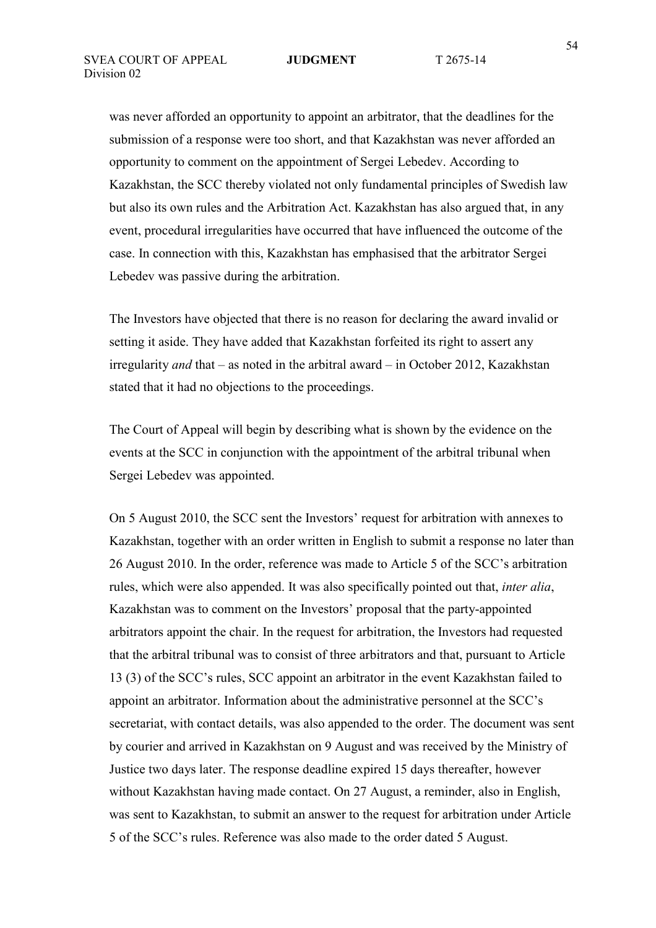was never afforded an opportunity to appoint an arbitrator, that the deadlines for the submission of a response were too short, and that Kazakhstan was never afforded an opportunity to comment on the appointment of Sergei Lebedev. According to Kazakhstan, the SCC thereby violated not only fundamental principles of Swedish law but also its own rules and the Arbitration Act. Kazakhstan has also argued that, in any event, procedural irregularities have occurred that have influenced the outcome of the case. In connection with this, Kazakhstan has emphasised that the arbitrator Sergei Lebedev was passive during the arbitration.

The Investors have objected that there is no reason for declaring the award invalid or setting it aside. They have added that Kazakhstan forfeited its right to assert any irregularity *and* that – as noted in the arbitral award – in October 2012, Kazakhstan stated that it had no objections to the proceedings.

The Court of Appeal will begin by describing what is shown by the evidence on the events at the SCC in conjunction with the appointment of the arbitral tribunal when Sergei Lebedev was appointed.

On 5 August 2010, the SCC sent the Investors' request for arbitration with annexes to Kazakhstan, together with an order written in English to submit a response no later than 26 August 2010. In the order, reference was made to Article 5 of the SCC's arbitration rules, which were also appended. It was also specifically pointed out that, *inter alia*, Kazakhstan was to comment on the Investors' proposal that the party-appointed arbitrators appoint the chair. In the request for arbitration, the Investors had requested that the arbitral tribunal was to consist of three arbitrators and that, pursuant to Article 13 (3) of the SCC's rules, SCC appoint an arbitrator in the event Kazakhstan failed to appoint an arbitrator. Information about the administrative personnel at the SCC's secretariat, with contact details, was also appended to the order. The document was sent by courier and arrived in Kazakhstan on 9 August and was received by the Ministry of Justice two days later. The response deadline expired 15 days thereafter, however without Kazakhstan having made contact. On 27 August, a reminder, also in English, was sent to Kazakhstan, to submit an answer to the request for arbitration under Article 5 of the SCC's rules. Reference was also made to the order dated 5 August.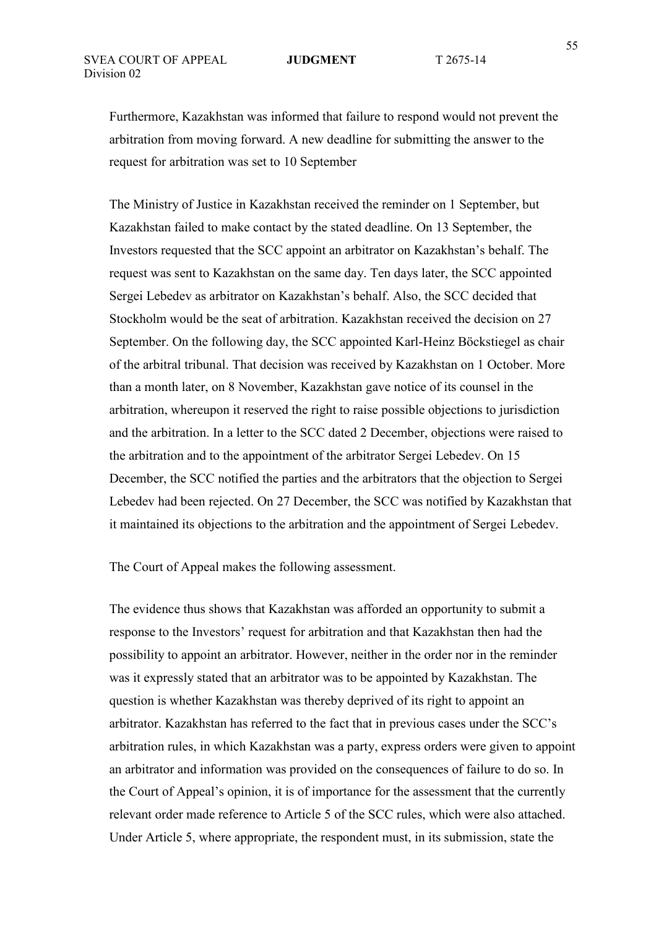Furthermore, Kazakhstan was informed that failure to respond would not prevent the arbitration from moving forward. A new deadline for submitting the answer to the request for arbitration was set to 10 September

The Ministry of Justice in Kazakhstan received the reminder on 1 September, but Kazakhstan failed to make contact by the stated deadline. On 13 September, the Investors requested that the SCC appoint an arbitrator on Kazakhstan's behalf. The request was sent to Kazakhstan on the same day. Ten days later, the SCC appointed Sergei Lebedev as arbitrator on Kazakhstan's behalf. Also, the SCC decided that Stockholm would be the seat of arbitration. Kazakhstan received the decision on 27 September. On the following day, the SCC appointed Karl-Heinz Böckstiegel as chair of the arbitral tribunal. That decision was received by Kazakhstan on 1 October. More than a month later, on 8 November, Kazakhstan gave notice of its counsel in the arbitration, whereupon it reserved the right to raise possible objections to jurisdiction and the arbitration. In a letter to the SCC dated 2 December, objections were raised to the arbitration and to the appointment of the arbitrator Sergei Lebedev. On 15 December, the SCC notified the parties and the arbitrators that the objection to Sergei Lebedev had been rejected. On 27 December, the SCC was notified by Kazakhstan that it maintained its objections to the arbitration and the appointment of Sergei Lebedev.

The Court of Appeal makes the following assessment.

The evidence thus shows that Kazakhstan was afforded an opportunity to submit a response to the Investors' request for arbitration and that Kazakhstan then had the possibility to appoint an arbitrator. However, neither in the order nor in the reminder was it expressly stated that an arbitrator was to be appointed by Kazakhstan. The question is whether Kazakhstan was thereby deprived of its right to appoint an arbitrator. Kazakhstan has referred to the fact that in previous cases under the SCC's arbitration rules, in which Kazakhstan was a party, express orders were given to appoint an arbitrator and information was provided on the consequences of failure to do so. In the Court of Appeal's opinion, it is of importance for the assessment that the currently relevant order made reference to Article 5 of the SCC rules, which were also attached. Under Article 5, where appropriate, the respondent must, in its submission, state the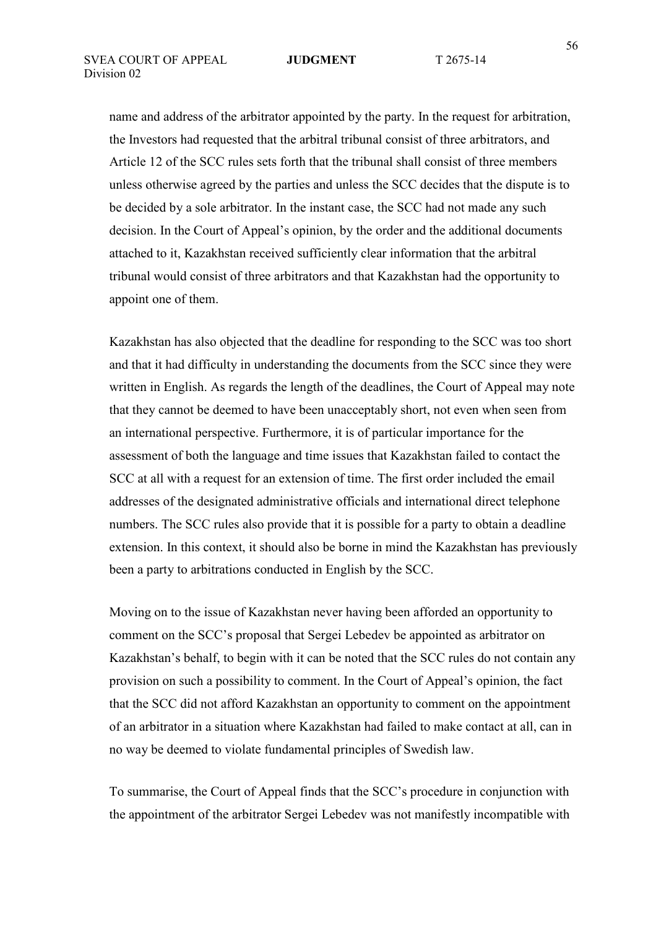name and address of the arbitrator appointed by the party. In the request for arbitration, the Investors had requested that the arbitral tribunal consist of three arbitrators, and Article 12 of the SCC rules sets forth that the tribunal shall consist of three members unless otherwise agreed by the parties and unless the SCC decides that the dispute is to be decided by a sole arbitrator. In the instant case, the SCC had not made any such decision. In the Court of Appeal's opinion, by the order and the additional documents attached to it, Kazakhstan received sufficiently clear information that the arbitral tribunal would consist of three arbitrators and that Kazakhstan had the opportunity to appoint one of them.

Kazakhstan has also objected that the deadline for responding to the SCC was too short and that it had difficulty in understanding the documents from the SCC since they were written in English. As regards the length of the deadlines, the Court of Appeal may note that they cannot be deemed to have been unacceptably short, not even when seen from an international perspective. Furthermore, it is of particular importance for the assessment of both the language and time issues that Kazakhstan failed to contact the SCC at all with a request for an extension of time. The first order included the email addresses of the designated administrative officials and international direct telephone numbers. The SCC rules also provide that it is possible for a party to obtain a deadline extension. In this context, it should also be borne in mind the Kazakhstan has previously been a party to arbitrations conducted in English by the SCC.

Moving on to the issue of Kazakhstan never having been afforded an opportunity to comment on the SCC's proposal that Sergei Lebedev be appointed as arbitrator on Kazakhstan's behalf, to begin with it can be noted that the SCC rules do not contain any provision on such a possibility to comment. In the Court of Appeal's opinion, the fact that the SCC did not afford Kazakhstan an opportunity to comment on the appointment of an arbitrator in a situation where Kazakhstan had failed to make contact at all, can in no way be deemed to violate fundamental principles of Swedish law.

To summarise, the Court of Appeal finds that the SCC's procedure in conjunction with the appointment of the arbitrator Sergei Lebedev was not manifestly incompatible with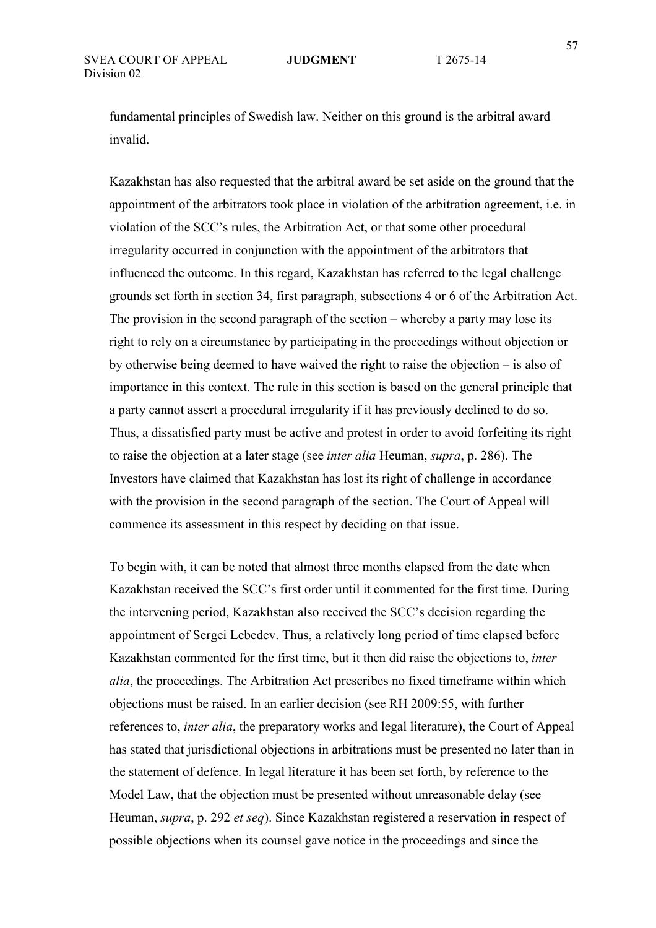fundamental principles of Swedish law. Neither on this ground is the arbitral award invalid.

Kazakhstan has also requested that the arbitral award be set aside on the ground that the appointment of the arbitrators took place in violation of the arbitration agreement, i.e. in violation of the SCC's rules, the Arbitration Act, or that some other procedural irregularity occurred in conjunction with the appointment of the arbitrators that influenced the outcome. In this regard, Kazakhstan has referred to the legal challenge grounds set forth in section 34, first paragraph, subsections 4 or 6 of the Arbitration Act. The provision in the second paragraph of the section – whereby a party may lose its right to rely on a circumstance by participating in the proceedings without objection or by otherwise being deemed to have waived the right to raise the objection – is also of importance in this context. The rule in this section is based on the general principle that a party cannot assert a procedural irregularity if it has previously declined to do so. Thus, a dissatisfied party must be active and protest in order to avoid forfeiting its right to raise the objection at a later stage (see *inter alia* Heuman, *supra*, p. 286). The Investors have claimed that Kazakhstan has lost its right of challenge in accordance with the provision in the second paragraph of the section. The Court of Appeal will commence its assessment in this respect by deciding on that issue.

To begin with, it can be noted that almost three months elapsed from the date when Kazakhstan received the SCC's first order until it commented for the first time. During the intervening period, Kazakhstan also received the SCC's decision regarding the appointment of Sergei Lebedev. Thus, a relatively long period of time elapsed before Kazakhstan commented for the first time, but it then did raise the objections to, *inter alia*, the proceedings. The Arbitration Act prescribes no fixed timeframe within which objections must be raised. In an earlier decision (see RH 2009:55, with further references to, *inter alia*, the preparatory works and legal literature), the Court of Appeal has stated that jurisdictional objections in arbitrations must be presented no later than in the statement of defence. In legal literature it has been set forth, by reference to the Model Law, that the objection must be presented without unreasonable delay (see Heuman, *supra*, p. 292 *et seq*). Since Kazakhstan registered a reservation in respect of possible objections when its counsel gave notice in the proceedings and since the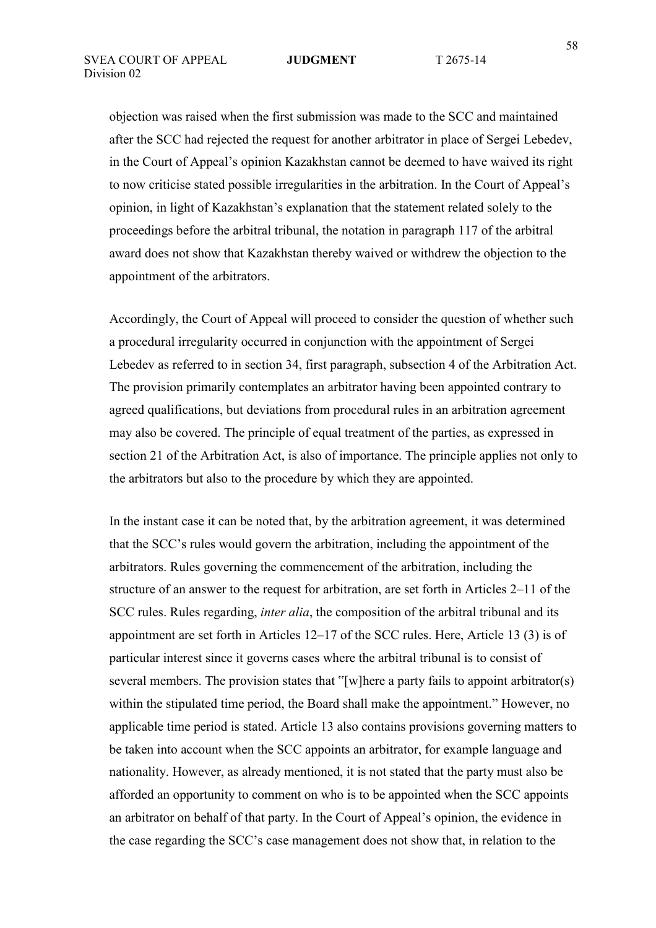objection was raised when the first submission was made to the SCC and maintained after the SCC had rejected the request for another arbitrator in place of Sergei Lebedev, in the Court of Appeal's opinion Kazakhstan cannot be deemed to have waived its right to now criticise stated possible irregularities in the arbitration. In the Court of Appeal's opinion, in light of Kazakhstan's explanation that the statement related solely to the proceedings before the arbitral tribunal, the notation in paragraph 117 of the arbitral award does not show that Kazakhstan thereby waived or withdrew the objection to the appointment of the arbitrators.

Accordingly, the Court of Appeal will proceed to consider the question of whether such a procedural irregularity occurred in conjunction with the appointment of Sergei Lebedev as referred to in section 34, first paragraph, subsection 4 of the Arbitration Act. The provision primarily contemplates an arbitrator having been appointed contrary to agreed qualifications, but deviations from procedural rules in an arbitration agreement may also be covered. The principle of equal treatment of the parties, as expressed in section 21 of the Arbitration Act, is also of importance. The principle applies not only to the arbitrators but also to the procedure by which they are appointed.

In the instant case it can be noted that, by the arbitration agreement, it was determined that the SCC's rules would govern the arbitration, including the appointment of the arbitrators. Rules governing the commencement of the arbitration, including the structure of an answer to the request for arbitration, are set forth in Articles 2–11 of the SCC rules. Rules regarding, *inter alia*, the composition of the arbitral tribunal and its appointment are set forth in Articles 12–17 of the SCC rules. Here, Article 13 (3) is of particular interest since it governs cases where the arbitral tribunal is to consist of several members. The provision states that "[w]here a party fails to appoint arbitrator(s) within the stipulated time period, the Board shall make the appointment." However, no applicable time period is stated. Article 13 also contains provisions governing matters to be taken into account when the SCC appoints an arbitrator, for example language and nationality. However, as already mentioned, it is not stated that the party must also be afforded an opportunity to comment on who is to be appointed when the SCC appoints an arbitrator on behalf of that party. In the Court of Appeal's opinion, the evidence in the case regarding the SCC's case management does not show that, in relation to the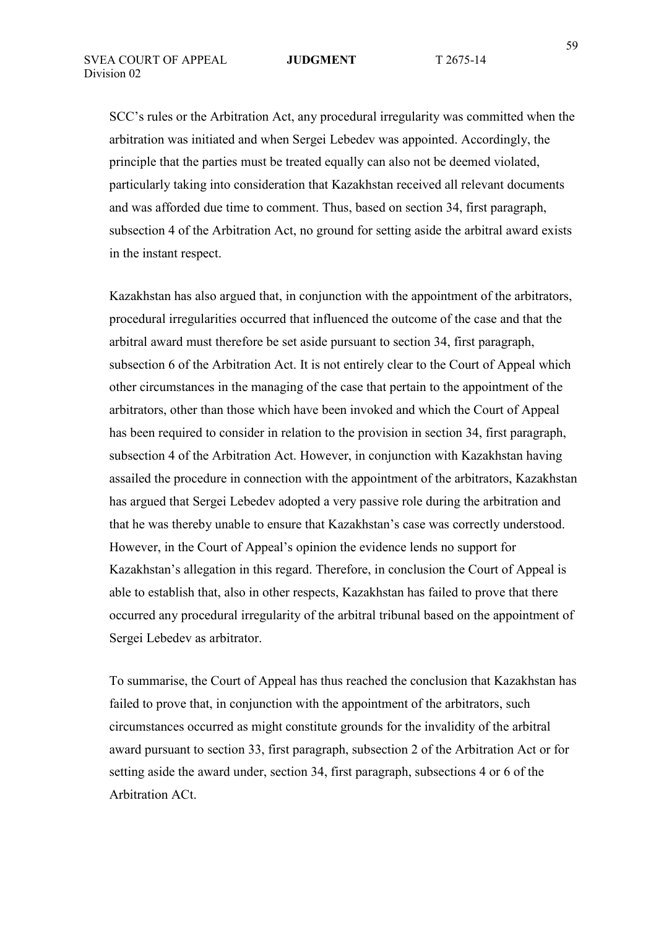SCC's rules or the Arbitration Act, any procedural irregularity was committed when the arbitration was initiated and when Sergei Lebedev was appointed. Accordingly, the principle that the parties must be treated equally can also not be deemed violated, particularly taking into consideration that Kazakhstan received all relevant documents and was afforded due time to comment. Thus, based on section 34, first paragraph, subsection 4 of the Arbitration Act, no ground for setting aside the arbitral award exists in the instant respect.

Kazakhstan has also argued that, in conjunction with the appointment of the arbitrators, procedural irregularities occurred that influenced the outcome of the case and that the arbitral award must therefore be set aside pursuant to section 34, first paragraph, subsection 6 of the Arbitration Act. It is not entirely clear to the Court of Appeal which other circumstances in the managing of the case that pertain to the appointment of the arbitrators, other than those which have been invoked and which the Court of Appeal has been required to consider in relation to the provision in section 34, first paragraph, subsection 4 of the Arbitration Act. However, in conjunction with Kazakhstan having assailed the procedure in connection with the appointment of the arbitrators, Kazakhstan has argued that Sergei Lebedev adopted a very passive role during the arbitration and that he was thereby unable to ensure that Kazakhstan's case was correctly understood. However, in the Court of Appeal's opinion the evidence lends no support for Kazakhstan's allegation in this regard. Therefore, in conclusion the Court of Appeal is able to establish that, also in other respects, Kazakhstan has failed to prove that there occurred any procedural irregularity of the arbitral tribunal based on the appointment of Sergei Lebedev as arbitrator.

To summarise, the Court of Appeal has thus reached the conclusion that Kazakhstan has failed to prove that, in conjunction with the appointment of the arbitrators, such circumstances occurred as might constitute grounds for the invalidity of the arbitral award pursuant to section 33, first paragraph, subsection 2 of the Arbitration Act or for setting aside the award under, section 34, first paragraph, subsections 4 or 6 of the Arbitration ACt.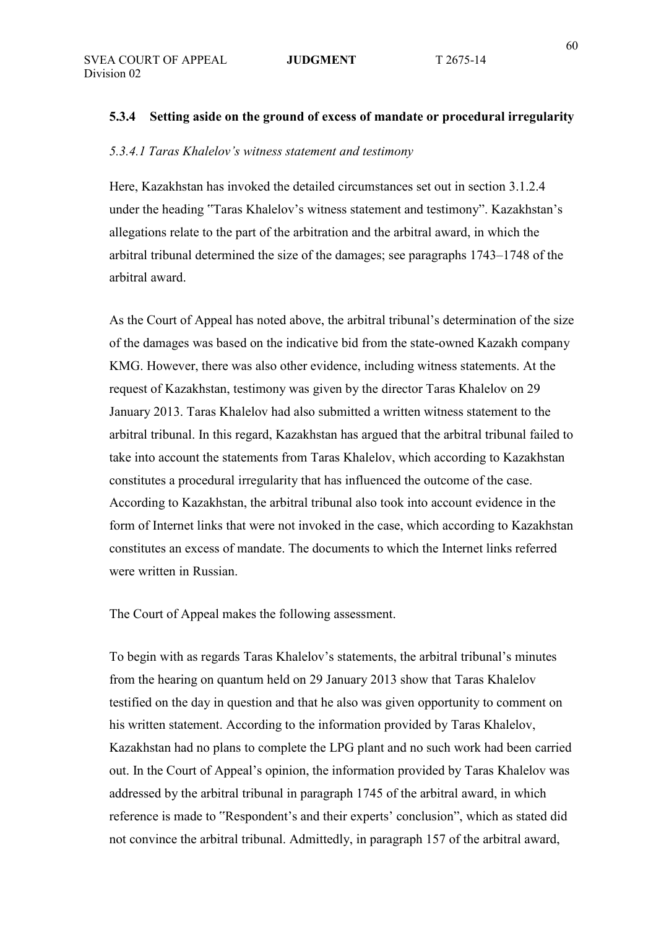### **5.3.4 Setting aside on the ground of excess of mandate or procedural irregularity**

### *5.3.4.1 Taras Khalelov's witness statement and testimony*

Here, Kazakhstan has invoked the detailed circumstances set out in section 3.1.2.4 under the heading "Taras Khalelov's witness statement and testimony". Kazakhstan's allegations relate to the part of the arbitration and the arbitral award, in which the arbitral tribunal determined the size of the damages; see paragraphs 1743–1748 of the arbitral award.

As the Court of Appeal has noted above, the arbitral tribunal's determination of the size of the damages was based on the indicative bid from the state-owned Kazakh company KMG. However, there was also other evidence, including witness statements. At the request of Kazakhstan, testimony was given by the director Taras Khalelov on 29 January 2013. Taras Khalelov had also submitted a written witness statement to the arbitral tribunal. In this regard, Kazakhstan has argued that the arbitral tribunal failed to take into account the statements from Taras Khalelov, which according to Kazakhstan constitutes a procedural irregularity that has influenced the outcome of the case. According to Kazakhstan, the arbitral tribunal also took into account evidence in the form of Internet links that were not invoked in the case, which according to Kazakhstan constitutes an excess of mandate. The documents to which the Internet links referred were written in Russian.

The Court of Appeal makes the following assessment.

To begin with as regards Taras Khalelov's statements, the arbitral tribunal's minutes from the hearing on quantum held on 29 January 2013 show that Taras Khalelov testified on the day in question and that he also was given opportunity to comment on his written statement. According to the information provided by Taras Khalelov, Kazakhstan had no plans to complete the LPG plant and no such work had been carried out. In the Court of Appeal's opinion, the information provided by Taras Khalelov was addressed by the arbitral tribunal in paragraph 1745 of the arbitral award, in which reference is made to "Respondent's and their experts' conclusion", which as stated did not convince the arbitral tribunal. Admittedly, in paragraph 157 of the arbitral award,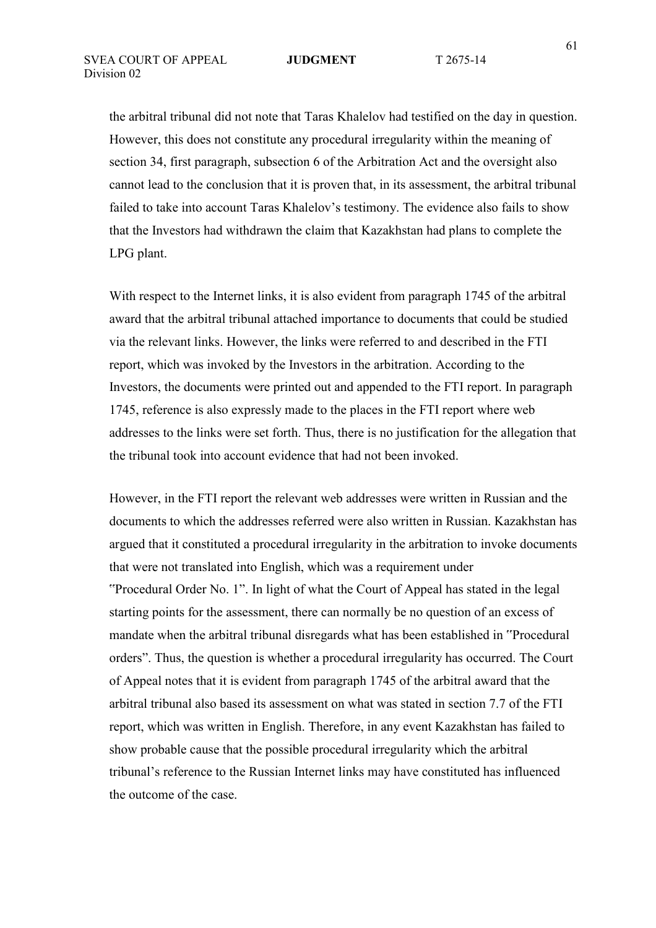the arbitral tribunal did not note that Taras Khalelov had testified on the day in question. However, this does not constitute any procedural irregularity within the meaning of section 34, first paragraph, subsection 6 of the Arbitration Act and the oversight also cannot lead to the conclusion that it is proven that, in its assessment, the arbitral tribunal failed to take into account Taras Khalelov's testimony. The evidence also fails to show that the Investors had withdrawn the claim that Kazakhstan had plans to complete the LPG plant.

With respect to the Internet links, it is also evident from paragraph 1745 of the arbitral award that the arbitral tribunal attached importance to documents that could be studied via the relevant links. However, the links were referred to and described in the FTI report, which was invoked by the Investors in the arbitration. According to the Investors, the documents were printed out and appended to the FTI report. In paragraph 1745, reference is also expressly made to the places in the FTI report where web addresses to the links were set forth. Thus, there is no justification for the allegation that the tribunal took into account evidence that had not been invoked.

However, in the FTI report the relevant web addresses were written in Russian and the documents to which the addresses referred were also written in Russian. Kazakhstan has argued that it constituted a procedural irregularity in the arbitration to invoke documents that were not translated into English, which was a requirement under "Procedural Order No. 1". In light of what the Court of Appeal has stated in the legal starting points for the assessment, there can normally be no question of an excess of mandate when the arbitral tribunal disregards what has been established in "Procedural orders". Thus, the question is whether a procedural irregularity has occurred. The Court of Appeal notes that it is evident from paragraph 1745 of the arbitral award that the arbitral tribunal also based its assessment on what was stated in section 7.7 of the FTI report, which was written in English. Therefore, in any event Kazakhstan has failed to show probable cause that the possible procedural irregularity which the arbitral tribunal's reference to the Russian Internet links may have constituted has influenced the outcome of the case.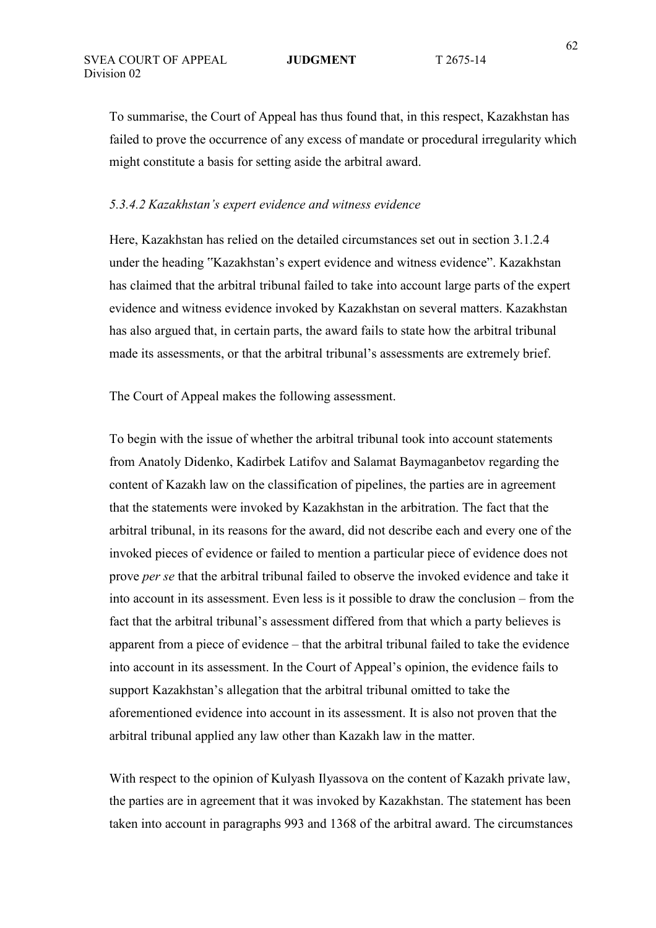To summarise, the Court of Appeal has thus found that, in this respect, Kazakhstan has failed to prove the occurrence of any excess of mandate or procedural irregularity which might constitute a basis for setting aside the arbitral award.

## *5.3.4.2 Kazakhstan's expert evidence and witness evidence*

Here, Kazakhstan has relied on the detailed circumstances set out in section 3.1.2.4 under the heading "Kazakhstan's expert evidence and witness evidence". Kazakhstan has claimed that the arbitral tribunal failed to take into account large parts of the expert evidence and witness evidence invoked by Kazakhstan on several matters. Kazakhstan has also argued that, in certain parts, the award fails to state how the arbitral tribunal made its assessments, or that the arbitral tribunal's assessments are extremely brief.

The Court of Appeal makes the following assessment.

To begin with the issue of whether the arbitral tribunal took into account statements from Anatoly Didenko, Kadirbek Latifov and Salamat Baymaganbetov regarding the content of Kazakh law on the classification of pipelines, the parties are in agreement that the statements were invoked by Kazakhstan in the arbitration. The fact that the arbitral tribunal, in its reasons for the award, did not describe each and every one of the invoked pieces of evidence or failed to mention a particular piece of evidence does not prove *per se* that the arbitral tribunal failed to observe the invoked evidence and take it into account in its assessment. Even less is it possible to draw the conclusion – from the fact that the arbitral tribunal's assessment differed from that which a party believes is apparent from a piece of evidence – that the arbitral tribunal failed to take the evidence into account in its assessment. In the Court of Appeal's opinion, the evidence fails to support Kazakhstan's allegation that the arbitral tribunal omitted to take the aforementioned evidence into account in its assessment. It is also not proven that the arbitral tribunal applied any law other than Kazakh law in the matter.

With respect to the opinion of Kulyash Ilyassova on the content of Kazakh private law, the parties are in agreement that it was invoked by Kazakhstan. The statement has been taken into account in paragraphs 993 and 1368 of the arbitral award. The circumstances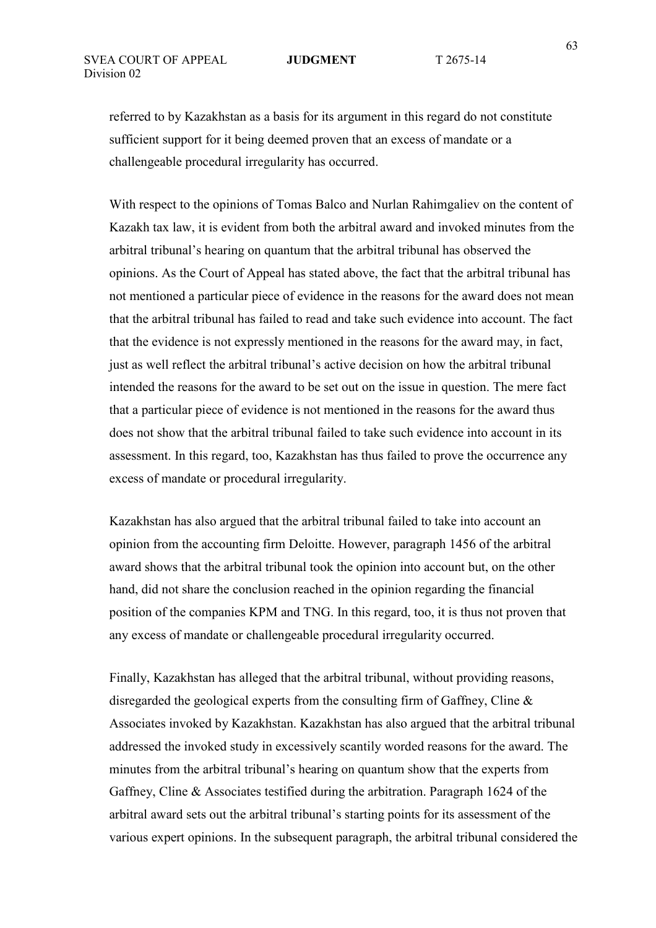referred to by Kazakhstan as a basis for its argument in this regard do not constitute sufficient support for it being deemed proven that an excess of mandate or a challengeable procedural irregularity has occurred.

With respect to the opinions of Tomas Balco and Nurlan Rahimgaliev on the content of Kazakh tax law, it is evident from both the arbitral award and invoked minutes from the arbitral tribunal's hearing on quantum that the arbitral tribunal has observed the opinions. As the Court of Appeal has stated above, the fact that the arbitral tribunal has not mentioned a particular piece of evidence in the reasons for the award does not mean that the arbitral tribunal has failed to read and take such evidence into account. The fact that the evidence is not expressly mentioned in the reasons for the award may, in fact, just as well reflect the arbitral tribunal's active decision on how the arbitral tribunal intended the reasons for the award to be set out on the issue in question. The mere fact that a particular piece of evidence is not mentioned in the reasons for the award thus does not show that the arbitral tribunal failed to take such evidence into account in its assessment. In this regard, too, Kazakhstan has thus failed to prove the occurrence any excess of mandate or procedural irregularity.

Kazakhstan has also argued that the arbitral tribunal failed to take into account an opinion from the accounting firm Deloitte. However, paragraph 1456 of the arbitral award shows that the arbitral tribunal took the opinion into account but, on the other hand, did not share the conclusion reached in the opinion regarding the financial position of the companies KPM and TNG. In this regard, too, it is thus not proven that any excess of mandate or challengeable procedural irregularity occurred.

Finally, Kazakhstan has alleged that the arbitral tribunal, without providing reasons, disregarded the geological experts from the consulting firm of Gaffney, Cline & Associates invoked by Kazakhstan. Kazakhstan has also argued that the arbitral tribunal addressed the invoked study in excessively scantily worded reasons for the award. The minutes from the arbitral tribunal's hearing on quantum show that the experts from Gaffney, Cline & Associates testified during the arbitration. Paragraph 1624 of the arbitral award sets out the arbitral tribunal's starting points for its assessment of the various expert opinions. In the subsequent paragraph, the arbitral tribunal considered the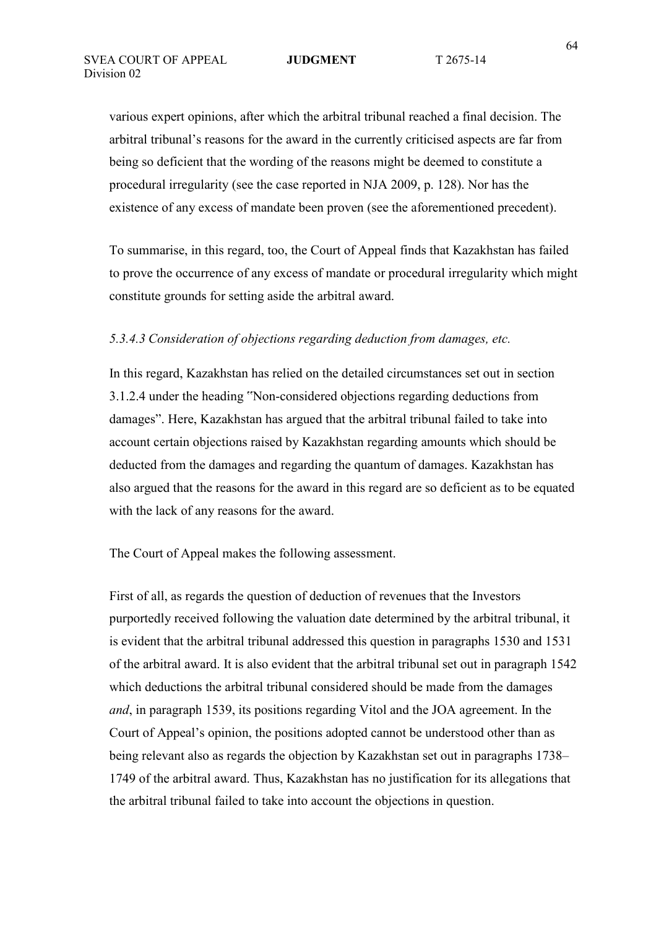various expert opinions, after which the arbitral tribunal reached a final decision. The arbitral tribunal's reasons for the award in the currently criticised aspects are far from being so deficient that the wording of the reasons might be deemed to constitute a procedural irregularity (see the case reported in NJA 2009, p. 128). Nor has the existence of any excess of mandate been proven (see the aforementioned precedent).

To summarise, in this regard, too, the Court of Appeal finds that Kazakhstan has failed to prove the occurrence of any excess of mandate or procedural irregularity which might constitute grounds for setting aside the arbitral award.

## *5.3.4.3 Consideration of objections regarding deduction from damages, etc.*

In this regard, Kazakhstan has relied on the detailed circumstances set out in section 3.1.2.4 under the heading "Non-considered objections regarding deductions from damages". Here, Kazakhstan has argued that the arbitral tribunal failed to take into account certain objections raised by Kazakhstan regarding amounts which should be deducted from the damages and regarding the quantum of damages. Kazakhstan has also argued that the reasons for the award in this regard are so deficient as to be equated with the lack of any reasons for the award.

The Court of Appeal makes the following assessment.

First of all, as regards the question of deduction of revenues that the Investors purportedly received following the valuation date determined by the arbitral tribunal, it is evident that the arbitral tribunal addressed this question in paragraphs 1530 and 1531 of the arbitral award. It is also evident that the arbitral tribunal set out in paragraph 1542 which deductions the arbitral tribunal considered should be made from the damages *and*, in paragraph 1539, its positions regarding Vitol and the JOA agreement. In the Court of Appeal's opinion, the positions adopted cannot be understood other than as being relevant also as regards the objection by Kazakhstan set out in paragraphs 1738– 1749 of the arbitral award. Thus, Kazakhstan has no justification for its allegations that the arbitral tribunal failed to take into account the objections in question.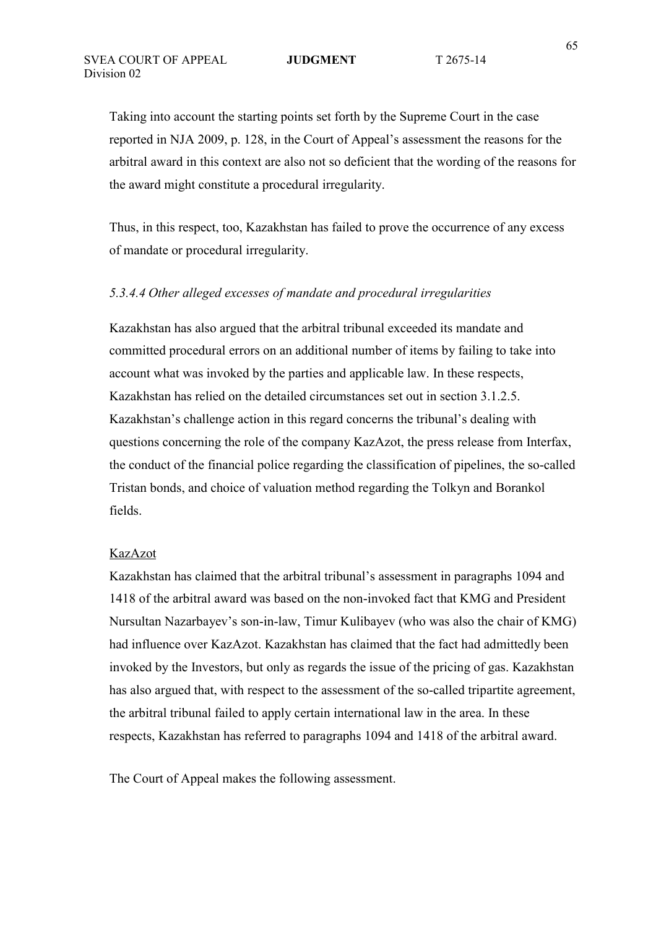Taking into account the starting points set forth by the Supreme Court in the case reported in NJA 2009, p. 128, in the Court of Appeal's assessment the reasons for the arbitral award in this context are also not so deficient that the wording of the reasons for the award might constitute a procedural irregularity.

Thus, in this respect, too, Kazakhstan has failed to prove the occurrence of any excess of mandate or procedural irregularity.

### *5.3.4.4 Other alleged excesses of mandate and procedural irregularities*

Kazakhstan has also argued that the arbitral tribunal exceeded its mandate and committed procedural errors on an additional number of items by failing to take into account what was invoked by the parties and applicable law. In these respects, Kazakhstan has relied on the detailed circumstances set out in section 3.1.2.5. Kazakhstan's challenge action in this regard concerns the tribunal's dealing with questions concerning the role of the company KazAzot, the press release from Interfax, the conduct of the financial police regarding the classification of pipelines, the so-called Tristan bonds, and choice of valuation method regarding the Tolkyn and Borankol fields.

### KazAzot

Kazakhstan has claimed that the arbitral tribunal's assessment in paragraphs 1094 and 1418 of the arbitral award was based on the non-invoked fact that KMG and President Nursultan Nazarbayev's son-in-law, Timur Kulibayev (who was also the chair of KMG) had influence over KazAzot. Kazakhstan has claimed that the fact had admittedly been invoked by the Investors, but only as regards the issue of the pricing of gas. Kazakhstan has also argued that, with respect to the assessment of the so-called tripartite agreement, the arbitral tribunal failed to apply certain international law in the area. In these respects, Kazakhstan has referred to paragraphs 1094 and 1418 of the arbitral award.

The Court of Appeal makes the following assessment.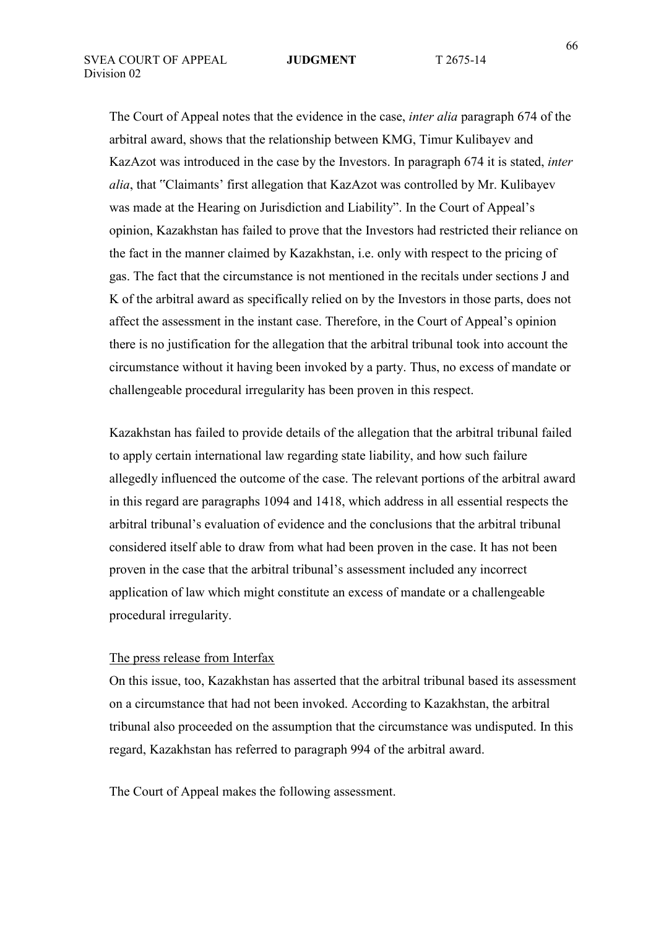The Court of Appeal notes that the evidence in the case, *inter alia* paragraph 674 of the arbitral award, shows that the relationship between KMG, Timur Kulibayev and KazAzot was introduced in the case by the Investors. In paragraph 674 it is stated, *inter alia*, that "Claimants' first allegation that KazAzot was controlled by Mr. Kulibayev was made at the Hearing on Jurisdiction and Liability". In the Court of Appeal's opinion, Kazakhstan has failed to prove that the Investors had restricted their reliance on the fact in the manner claimed by Kazakhstan, i.e. only with respect to the pricing of gas. The fact that the circumstance is not mentioned in the recitals under sections J and K of the arbitral award as specifically relied on by the Investors in those parts, does not affect the assessment in the instant case. Therefore, in the Court of Appeal's opinion there is no justification for the allegation that the arbitral tribunal took into account the circumstance without it having been invoked by a party. Thus, no excess of mandate or challengeable procedural irregularity has been proven in this respect.

Kazakhstan has failed to provide details of the allegation that the arbitral tribunal failed to apply certain international law regarding state liability, and how such failure allegedly influenced the outcome of the case. The relevant portions of the arbitral award in this regard are paragraphs 1094 and 1418, which address in all essential respects the arbitral tribunal's evaluation of evidence and the conclusions that the arbitral tribunal considered itself able to draw from what had been proven in the case. It has not been proven in the case that the arbitral tribunal's assessment included any incorrect application of law which might constitute an excess of mandate or a challengeable procedural irregularity.

### The press release from Interfax

On this issue, too, Kazakhstan has asserted that the arbitral tribunal based its assessment on a circumstance that had not been invoked. According to Kazakhstan, the arbitral tribunal also proceeded on the assumption that the circumstance was undisputed. In this regard, Kazakhstan has referred to paragraph 994 of the arbitral award.

The Court of Appeal makes the following assessment.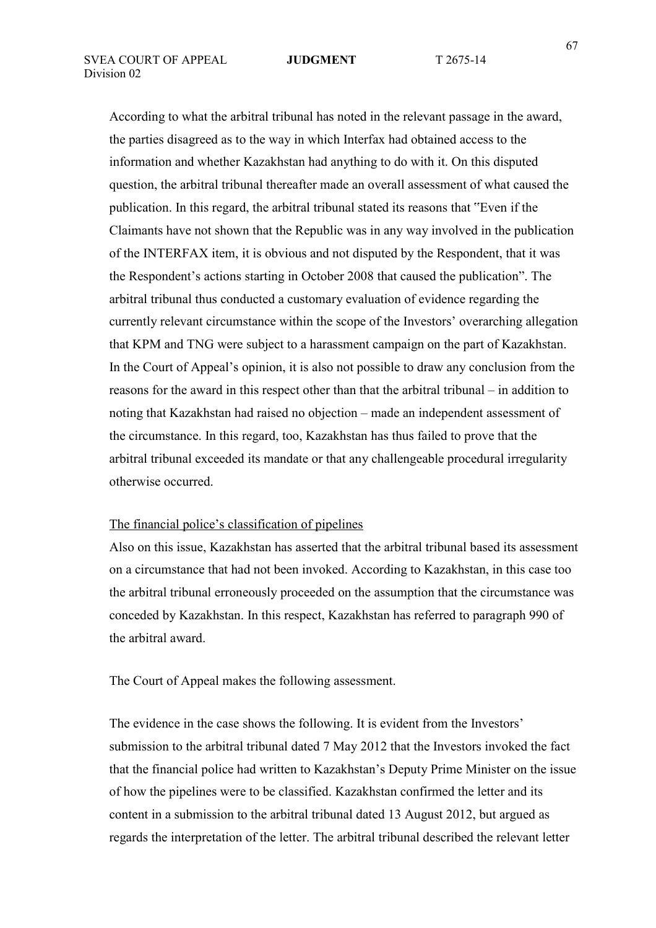According to what the arbitral tribunal has noted in the relevant passage in the award, the parties disagreed as to the way in which Interfax had obtained access to the information and whether Kazakhstan had anything to do with it. On this disputed question, the arbitral tribunal thereafter made an overall assessment of what caused the publication. In this regard, the arbitral tribunal stated its reasons that "Even if the Claimants have not shown that the Republic was in any way involved in the publication of the INTERFAX item, it is obvious and not disputed by the Respondent, that it was the Respondent's actions starting in October 2008 that caused the publication". The arbitral tribunal thus conducted a customary evaluation of evidence regarding the currently relevant circumstance within the scope of the Investors' overarching allegation that KPM and TNG were subject to a harassment campaign on the part of Kazakhstan. In the Court of Appeal's opinion, it is also not possible to draw any conclusion from the reasons for the award in this respect other than that the arbitral tribunal – in addition to noting that Kazakhstan had raised no objection – made an independent assessment of the circumstance. In this regard, too, Kazakhstan has thus failed to prove that the arbitral tribunal exceeded its mandate or that any challengeable procedural irregularity otherwise occurred.

### The financial police's classification of pipelines

Also on this issue, Kazakhstan has asserted that the arbitral tribunal based its assessment on a circumstance that had not been invoked. According to Kazakhstan, in this case too the arbitral tribunal erroneously proceeded on the assumption that the circumstance was conceded by Kazakhstan. In this respect, Kazakhstan has referred to paragraph 990 of the arbitral award.

The Court of Appeal makes the following assessment.

The evidence in the case shows the following. It is evident from the Investors' submission to the arbitral tribunal dated 7 May 2012 that the Investors invoked the fact that the financial police had written to Kazakhstan's Deputy Prime Minister on the issue of how the pipelines were to be classified. Kazakhstan confirmed the letter and its content in a submission to the arbitral tribunal dated 13 August 2012, but argued as regards the interpretation of the letter. The arbitral tribunal described the relevant letter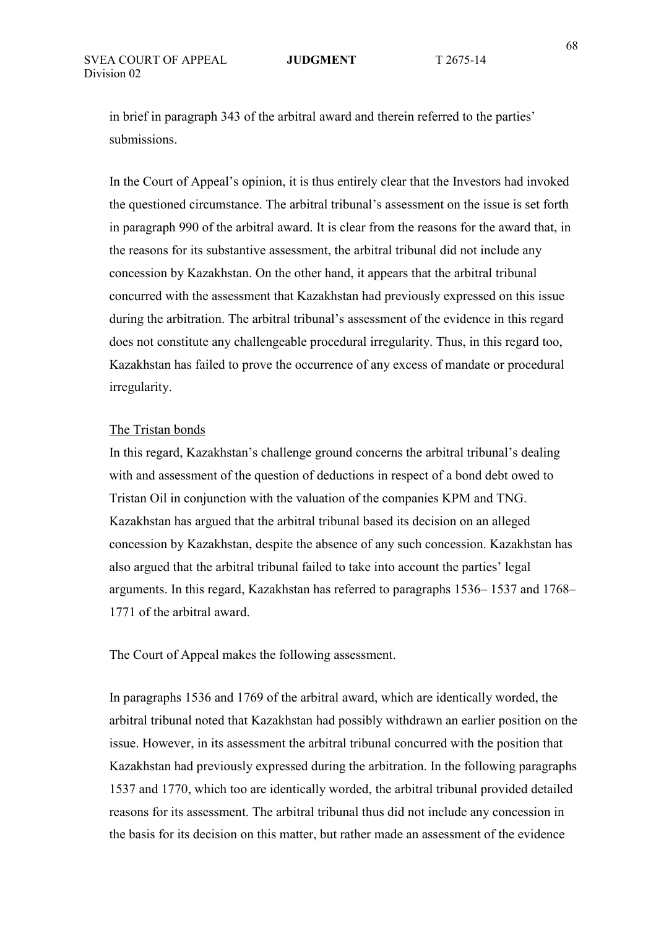in brief in paragraph 343 of the arbitral award and therein referred to the parties' submissions.

In the Court of Appeal's opinion, it is thus entirely clear that the Investors had invoked the questioned circumstance. The arbitral tribunal's assessment on the issue is set forth in paragraph 990 of the arbitral award. It is clear from the reasons for the award that, in the reasons for its substantive assessment, the arbitral tribunal did not include any concession by Kazakhstan. On the other hand, it appears that the arbitral tribunal concurred with the assessment that Kazakhstan had previously expressed on this issue during the arbitration. The arbitral tribunal's assessment of the evidence in this regard does not constitute any challengeable procedural irregularity. Thus, in this regard too, Kazakhstan has failed to prove the occurrence of any excess of mandate or procedural irregularity.

### The Tristan bonds

In this regard, Kazakhstan's challenge ground concerns the arbitral tribunal's dealing with and assessment of the question of deductions in respect of a bond debt owed to Tristan Oil in conjunction with the valuation of the companies KPM and TNG. Kazakhstan has argued that the arbitral tribunal based its decision on an alleged concession by Kazakhstan, despite the absence of any such concession. Kazakhstan has also argued that the arbitral tribunal failed to take into account the parties' legal arguments. In this regard, Kazakhstan has referred to paragraphs 1536– 1537 and 1768– 1771 of the arbitral award.

The Court of Appeal makes the following assessment.

In paragraphs 1536 and 1769 of the arbitral award, which are identically worded, the arbitral tribunal noted that Kazakhstan had possibly withdrawn an earlier position on the issue. However, in its assessment the arbitral tribunal concurred with the position that Kazakhstan had previously expressed during the arbitration. In the following paragraphs 1537 and 1770, which too are identically worded, the arbitral tribunal provided detailed reasons for its assessment. The arbitral tribunal thus did not include any concession in the basis for its decision on this matter, but rather made an assessment of the evidence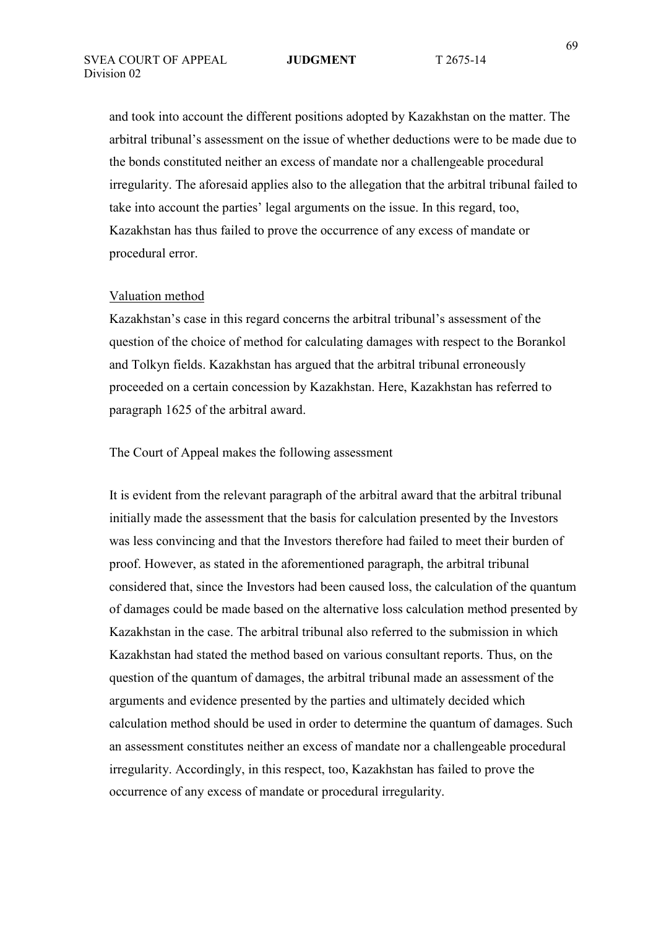and took into account the different positions adopted by Kazakhstan on the matter. The arbitral tribunal's assessment on the issue of whether deductions were to be made due to the bonds constituted neither an excess of mandate nor a challengeable procedural irregularity. The aforesaid applies also to the allegation that the arbitral tribunal failed to take into account the parties' legal arguments on the issue. In this regard, too, Kazakhstan has thus failed to prove the occurrence of any excess of mandate or procedural error.

### Valuation method

Kazakhstan's case in this regard concerns the arbitral tribunal's assessment of the question of the choice of method for calculating damages with respect to the Borankol and Tolkyn fields. Kazakhstan has argued that the arbitral tribunal erroneously proceeded on a certain concession by Kazakhstan. Here, Kazakhstan has referred to paragraph 1625 of the arbitral award.

The Court of Appeal makes the following assessment

It is evident from the relevant paragraph of the arbitral award that the arbitral tribunal initially made the assessment that the basis for calculation presented by the Investors was less convincing and that the Investors therefore had failed to meet their burden of proof. However, as stated in the aforementioned paragraph, the arbitral tribunal considered that, since the Investors had been caused loss, the calculation of the quantum of damages could be made based on the alternative loss calculation method presented by Kazakhstan in the case. The arbitral tribunal also referred to the submission in which Kazakhstan had stated the method based on various consultant reports. Thus, on the question of the quantum of damages, the arbitral tribunal made an assessment of the arguments and evidence presented by the parties and ultimately decided which calculation method should be used in order to determine the quantum of damages. Such an assessment constitutes neither an excess of mandate nor a challengeable procedural irregularity. Accordingly, in this respect, too, Kazakhstan has failed to prove the occurrence of any excess of mandate or procedural irregularity.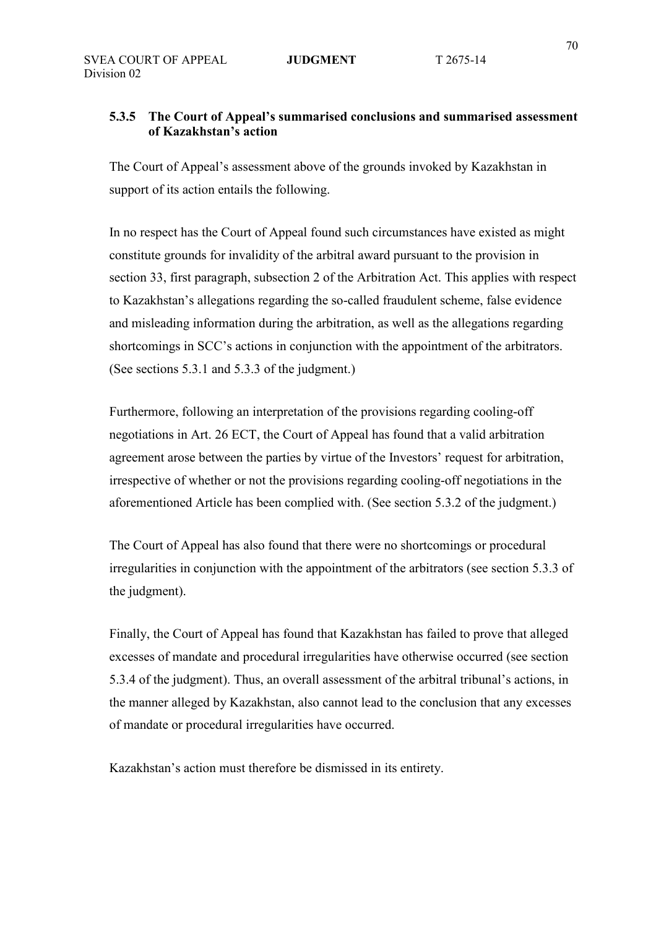# **5.3.5 The Court of Appeal's summarised conclusions and summarised assessment of Kazakhstan's action**

The Court of Appeal's assessment above of the grounds invoked by Kazakhstan in support of its action entails the following.

In no respect has the Court of Appeal found such circumstances have existed as might constitute grounds for invalidity of the arbitral award pursuant to the provision in section 33, first paragraph, subsection 2 of the Arbitration Act. This applies with respect to Kazakhstan's allegations regarding the so-called fraudulent scheme, false evidence and misleading information during the arbitration, as well as the allegations regarding shortcomings in SCC's actions in conjunction with the appointment of the arbitrators. (See sections 5.3.1 and 5.3.3 of the judgment.)

Furthermore, following an interpretation of the provisions regarding cooling-off negotiations in Art. 26 ECT, the Court of Appeal has found that a valid arbitration agreement arose between the parties by virtue of the Investors' request for arbitration, irrespective of whether or not the provisions regarding cooling-off negotiations in the aforementioned Article has been complied with. (See section 5.3.2 of the judgment.)

The Court of Appeal has also found that there were no shortcomings or procedural irregularities in conjunction with the appointment of the arbitrators (see section 5.3.3 of the judgment).

Finally, the Court of Appeal has found that Kazakhstan has failed to prove that alleged excesses of mandate and procedural irregularities have otherwise occurred (see section 5.3.4 of the judgment). Thus, an overall assessment of the arbitral tribunal's actions, in the manner alleged by Kazakhstan, also cannot lead to the conclusion that any excesses of mandate or procedural irregularities have occurred.

Kazakhstan's action must therefore be dismissed in its entirety.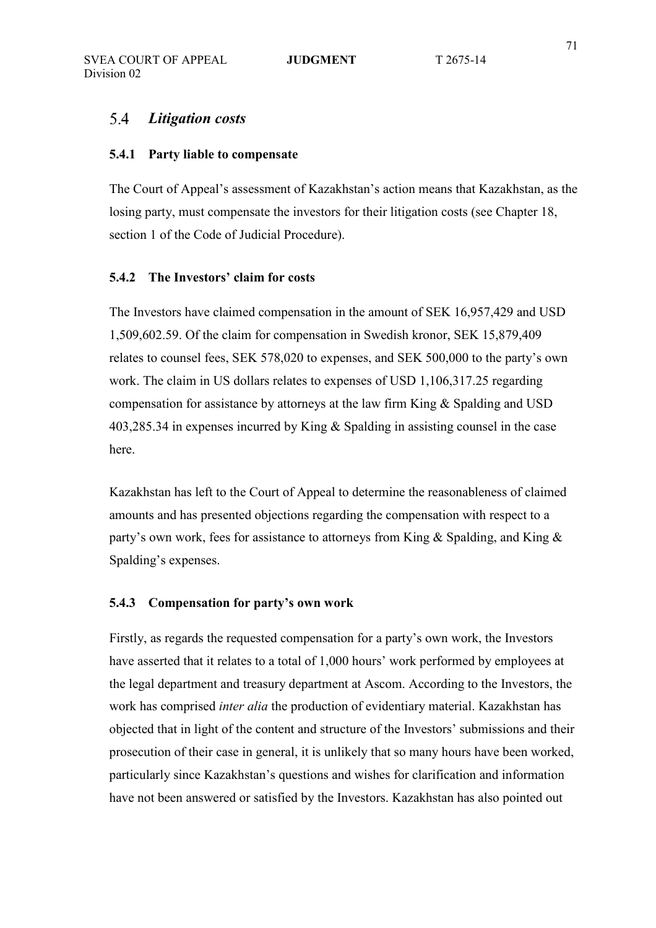### 54 *Litigation costs*

### **5.4.1 Party liable to compensate**

The Court of Appeal's assessment of Kazakhstan's action means that Kazakhstan, as the losing party, must compensate the investors for their litigation costs (see Chapter 18, section 1 of the Code of Judicial Procedure).

### **5.4.2 The Investors' claim for costs**

The Investors have claimed compensation in the amount of SEK 16,957,429 and USD 1,509,602.59. Of the claim for compensation in Swedish kronor, SEK 15,879,409 relates to counsel fees, SEK 578,020 to expenses, and SEK 500,000 to the party's own work. The claim in US dollars relates to expenses of USD 1,106,317.25 regarding compensation for assistance by attorneys at the law firm King & Spalding and USD 403,285.34 in expenses incurred by King & Spalding in assisting counsel in the case here.

Kazakhstan has left to the Court of Appeal to determine the reasonableness of claimed amounts and has presented objections regarding the compensation with respect to a party's own work, fees for assistance to attorneys from King & Spalding, and King & Spalding's expenses.

### **5.4.3 Compensation for party's own work**

Firstly, as regards the requested compensation for a party's own work, the Investors have asserted that it relates to a total of 1,000 hours' work performed by employees at the legal department and treasury department at Ascom. According to the Investors, the work has comprised *inter alia* the production of evidentiary material. Kazakhstan has objected that in light of the content and structure of the Investors' submissions and their prosecution of their case in general, it is unlikely that so many hours have been worked, particularly since Kazakhstan's questions and wishes for clarification and information have not been answered or satisfied by the Investors. Kazakhstan has also pointed out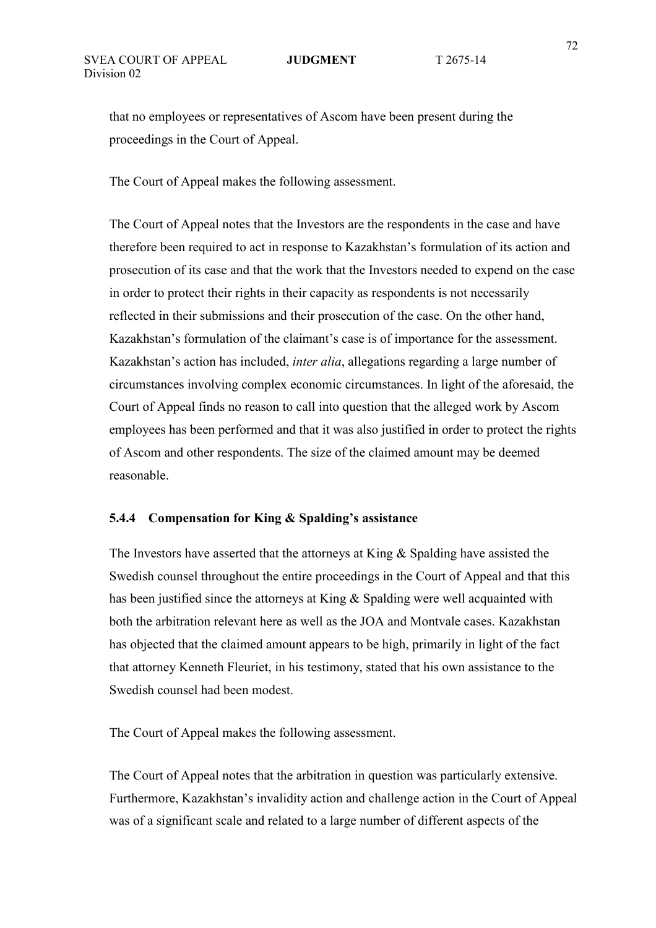that no employees or representatives of Ascom have been present during the proceedings in the Court of Appeal.

The Court of Appeal makes the following assessment.

The Court of Appeal notes that the Investors are the respondents in the case and have therefore been required to act in response to Kazakhstan's formulation of its action and prosecution of its case and that the work that the Investors needed to expend on the case in order to protect their rights in their capacity as respondents is not necessarily reflected in their submissions and their prosecution of the case. On the other hand, Kazakhstan's formulation of the claimant's case is of importance for the assessment. Kazakhstan's action has included, *inter alia*, allegations regarding a large number of circumstances involving complex economic circumstances. In light of the aforesaid, the Court of Appeal finds no reason to call into question that the alleged work by Ascom employees has been performed and that it was also justified in order to protect the rights of Ascom and other respondents. The size of the claimed amount may be deemed reasonable.

### **5.4.4 Compensation for King & Spalding's assistance**

The Investors have asserted that the attorneys at King & Spalding have assisted the Swedish counsel throughout the entire proceedings in the Court of Appeal and that this has been justified since the attorneys at King & Spalding were well acquainted with both the arbitration relevant here as well as the JOA and Montvale cases. Kazakhstan has objected that the claimed amount appears to be high, primarily in light of the fact that attorney Kenneth Fleuriet, in his testimony, stated that his own assistance to the Swedish counsel had been modest.

The Court of Appeal makes the following assessment.

The Court of Appeal notes that the arbitration in question was particularly extensive. Furthermore, Kazakhstan's invalidity action and challenge action in the Court of Appeal was of a significant scale and related to a large number of different aspects of the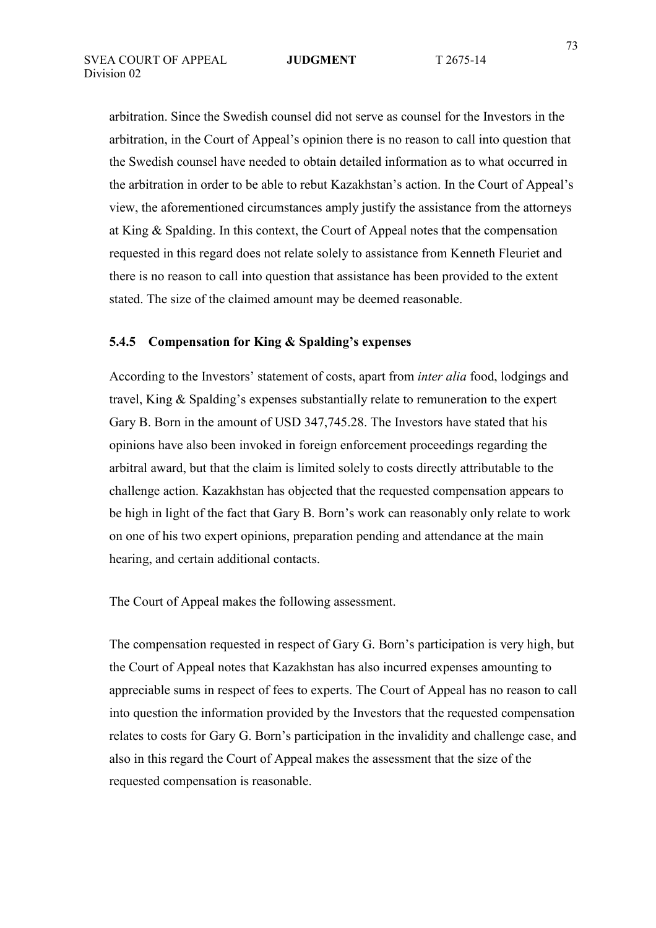arbitration. Since the Swedish counsel did not serve as counsel for the Investors in the arbitration, in the Court of Appeal's opinion there is no reason to call into question that the Swedish counsel have needed to obtain detailed information as to what occurred in the arbitration in order to be able to rebut Kazakhstan's action. In the Court of Appeal's view, the aforementioned circumstances amply justify the assistance from the attorneys at King & Spalding. In this context, the Court of Appeal notes that the compensation requested in this regard does not relate solely to assistance from Kenneth Fleuriet and there is no reason to call into question that assistance has been provided to the extent stated. The size of the claimed amount may be deemed reasonable.

# **5.4.5 Compensation for King & Spalding's expenses**

According to the Investors' statement of costs, apart from *inter alia* food, lodgings and travel, King & Spalding's expenses substantially relate to remuneration to the expert Gary B. Born in the amount of USD 347,745.28. The Investors have stated that his opinions have also been invoked in foreign enforcement proceedings regarding the arbitral award, but that the claim is limited solely to costs directly attributable to the challenge action. Kazakhstan has objected that the requested compensation appears to be high in light of the fact that Gary B. Born's work can reasonably only relate to work on one of his two expert opinions, preparation pending and attendance at the main hearing, and certain additional contacts.

The Court of Appeal makes the following assessment.

The compensation requested in respect of Gary G. Born's participation is very high, but the Court of Appeal notes that Kazakhstan has also incurred expenses amounting to appreciable sums in respect of fees to experts. The Court of Appeal has no reason to call into question the information provided by the Investors that the requested compensation relates to costs for Gary G. Born's participation in the invalidity and challenge case, and also in this regard the Court of Appeal makes the assessment that the size of the requested compensation is reasonable.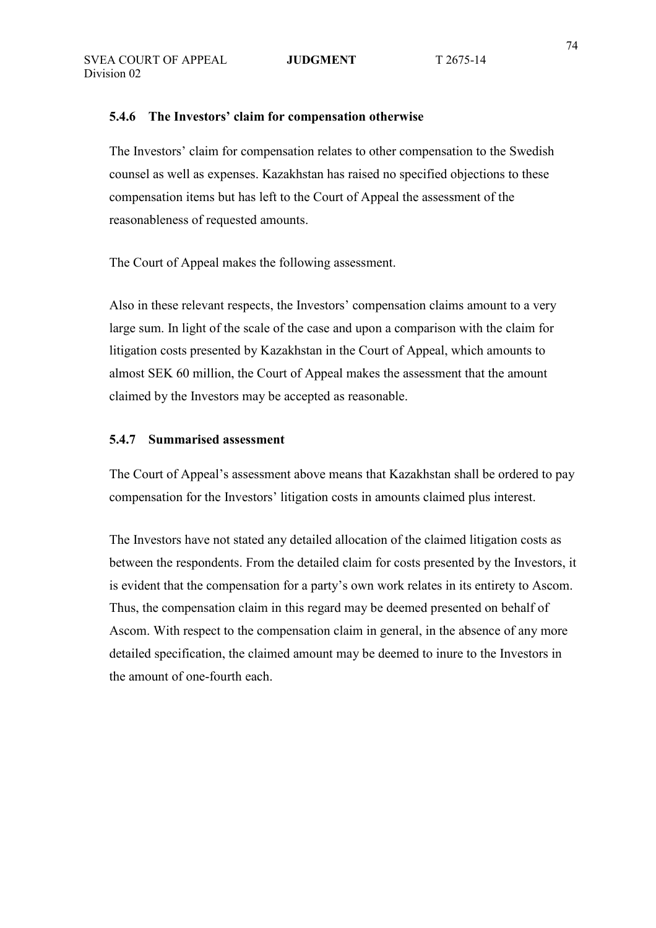## **5.4.6 The Investors' claim for compensation otherwise**

The Investors' claim for compensation relates to other compensation to the Swedish counsel as well as expenses. Kazakhstan has raised no specified objections to these compensation items but has left to the Court of Appeal the assessment of the reasonableness of requested amounts.

The Court of Appeal makes the following assessment.

Also in these relevant respects, the Investors' compensation claims amount to a very large sum. In light of the scale of the case and upon a comparison with the claim for litigation costs presented by Kazakhstan in the Court of Appeal, which amounts to almost SEK 60 million, the Court of Appeal makes the assessment that the amount claimed by the Investors may be accepted as reasonable.

## **5.4.7 Summarised assessment**

The Court of Appeal's assessment above means that Kazakhstan shall be ordered to pay compensation for the Investors' litigation costs in amounts claimed plus interest.

The Investors have not stated any detailed allocation of the claimed litigation costs as between the respondents. From the detailed claim for costs presented by the Investors, it is evident that the compensation for a party's own work relates in its entirety to Ascom. Thus, the compensation claim in this regard may be deemed presented on behalf of Ascom. With respect to the compensation claim in general, in the absence of any more detailed specification, the claimed amount may be deemed to inure to the Investors in the amount of one-fourth each.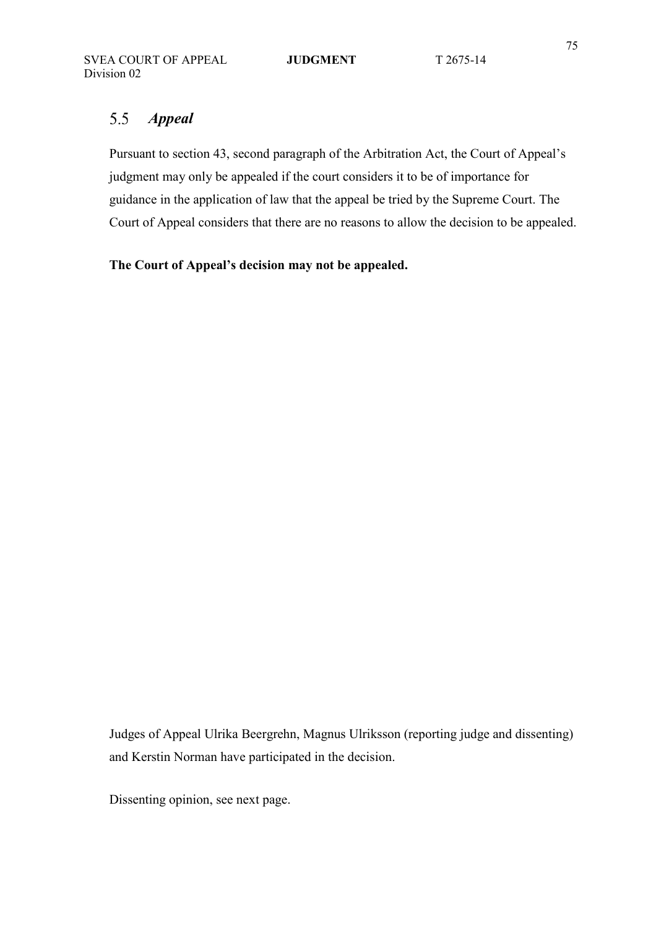### 5.5 *Appeal*

Pursuant to section 43, second paragraph of the Arbitration Act, the Court of Appeal's judgment may only be appealed if the court considers it to be of importance for guidance in the application of law that the appeal be tried by the Supreme Court. The Court of Appeal considers that there are no reasons to allow the decision to be appealed.

**The Court of Appeal's decision may not be appealed.** 

Judges of Appeal Ulrika Beergrehn, Magnus Ulriksson (reporting judge and dissenting) and Kerstin Norman have participated in the decision.

Dissenting opinion, see next page.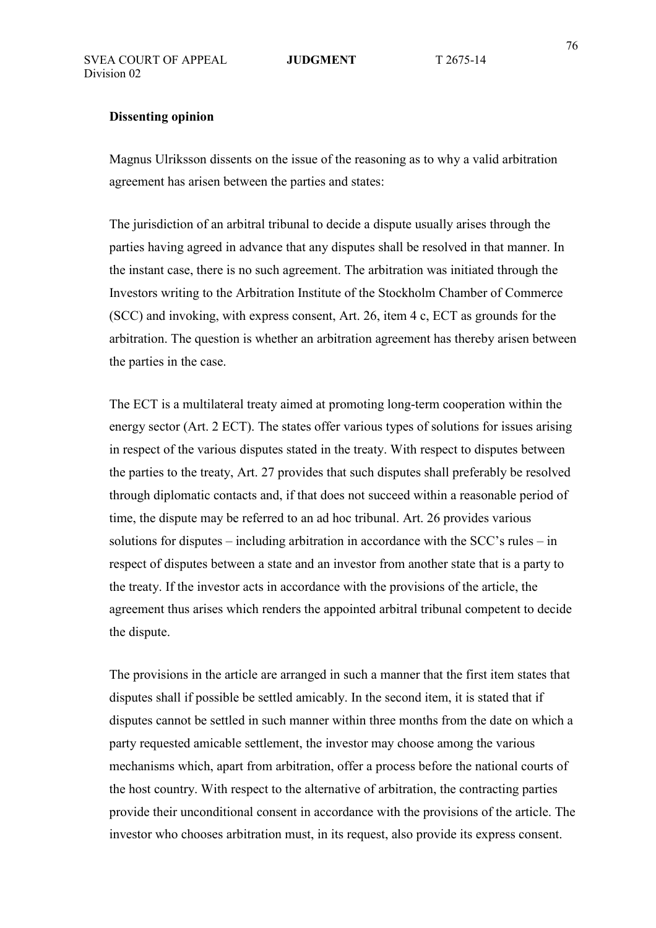# **Dissenting opinion**

Magnus Ulriksson dissents on the issue of the reasoning as to why a valid arbitration agreement has arisen between the parties and states:

The jurisdiction of an arbitral tribunal to decide a dispute usually arises through the parties having agreed in advance that any disputes shall be resolved in that manner. In the instant case, there is no such agreement. The arbitration was initiated through the Investors writing to the Arbitration Institute of the Stockholm Chamber of Commerce (SCC) and invoking, with express consent, Art. 26, item 4 c, ECT as grounds for the arbitration. The question is whether an arbitration agreement has thereby arisen between the parties in the case.

The ECT is a multilateral treaty aimed at promoting long-term cooperation within the energy sector (Art. 2 ECT). The states offer various types of solutions for issues arising in respect of the various disputes stated in the treaty. With respect to disputes between the parties to the treaty, Art. 27 provides that such disputes shall preferably be resolved through diplomatic contacts and, if that does not succeed within a reasonable period of time, the dispute may be referred to an ad hoc tribunal. Art. 26 provides various solutions for disputes – including arbitration in accordance with the SCC's rules – in respect of disputes between a state and an investor from another state that is a party to the treaty. If the investor acts in accordance with the provisions of the article, the agreement thus arises which renders the appointed arbitral tribunal competent to decide the dispute.

The provisions in the article are arranged in such a manner that the first item states that disputes shall if possible be settled amicably. In the second item, it is stated that if disputes cannot be settled in such manner within three months from the date on which a party requested amicable settlement, the investor may choose among the various mechanisms which, apart from arbitration, offer a process before the national courts of the host country. With respect to the alternative of arbitration, the contracting parties provide their unconditional consent in accordance with the provisions of the article. The investor who chooses arbitration must, in its request, also provide its express consent.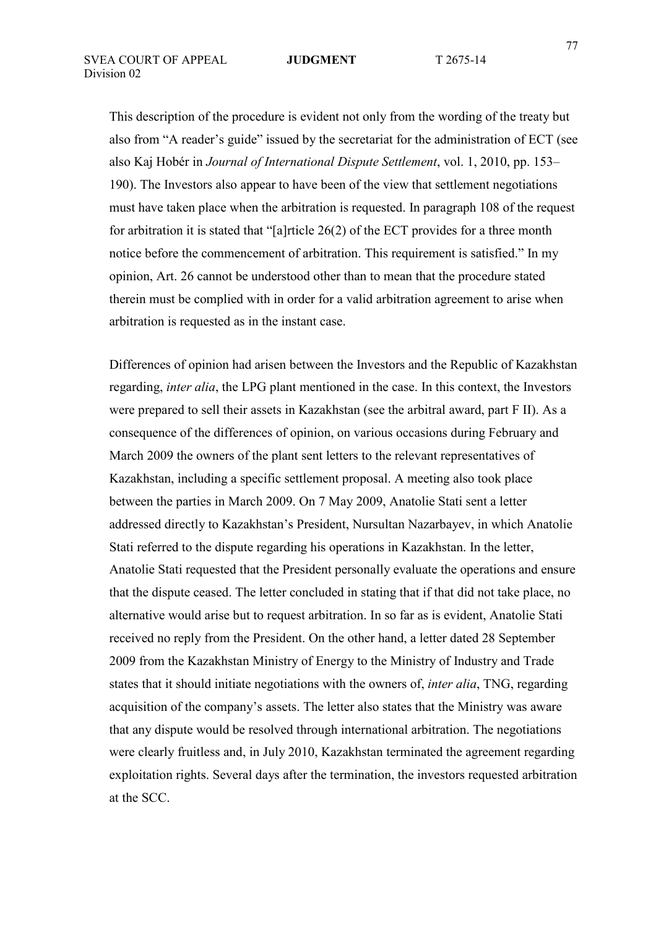This description of the procedure is evident not only from the wording of the treaty but also from "A reader's guide" issued by the secretariat for the administration of ECT (see also Kaj Hobér in *Journal of International Dispute Settlement*, vol. 1, 2010, pp. 153– 190). The Investors also appear to have been of the view that settlement negotiations must have taken place when the arbitration is requested. In paragraph 108 of the request for arbitration it is stated that "[a]rticle 26(2) of the ECT provides for a three month notice before the commencement of arbitration. This requirement is satisfied." In my opinion, Art. 26 cannot be understood other than to mean that the procedure stated therein must be complied with in order for a valid arbitration agreement to arise when arbitration is requested as in the instant case.

Differences of opinion had arisen between the Investors and the Republic of Kazakhstan regarding, *inter alia*, the LPG plant mentioned in the case. In this context, the Investors were prepared to sell their assets in Kazakhstan (see the arbitral award, part F II). As a consequence of the differences of opinion, on various occasions during February and March 2009 the owners of the plant sent letters to the relevant representatives of Kazakhstan, including a specific settlement proposal. A meeting also took place between the parties in March 2009. On 7 May 2009, Anatolie Stati sent a letter addressed directly to Kazakhstan's President, Nursultan Nazarbayev, in which Anatolie Stati referred to the dispute regarding his operations in Kazakhstan. In the letter, Anatolie Stati requested that the President personally evaluate the operations and ensure that the dispute ceased. The letter concluded in stating that if that did not take place, no alternative would arise but to request arbitration. In so far as is evident, Anatolie Stati received no reply from the President. On the other hand, a letter dated 28 September 2009 from the Kazakhstan Ministry of Energy to the Ministry of Industry and Trade states that it should initiate negotiations with the owners of, *inter alia*, TNG, regarding acquisition of the company's assets. The letter also states that the Ministry was aware that any dispute would be resolved through international arbitration. The negotiations were clearly fruitless and, in July 2010, Kazakhstan terminated the agreement regarding exploitation rights. Several days after the termination, the investors requested arbitration at the SCC.